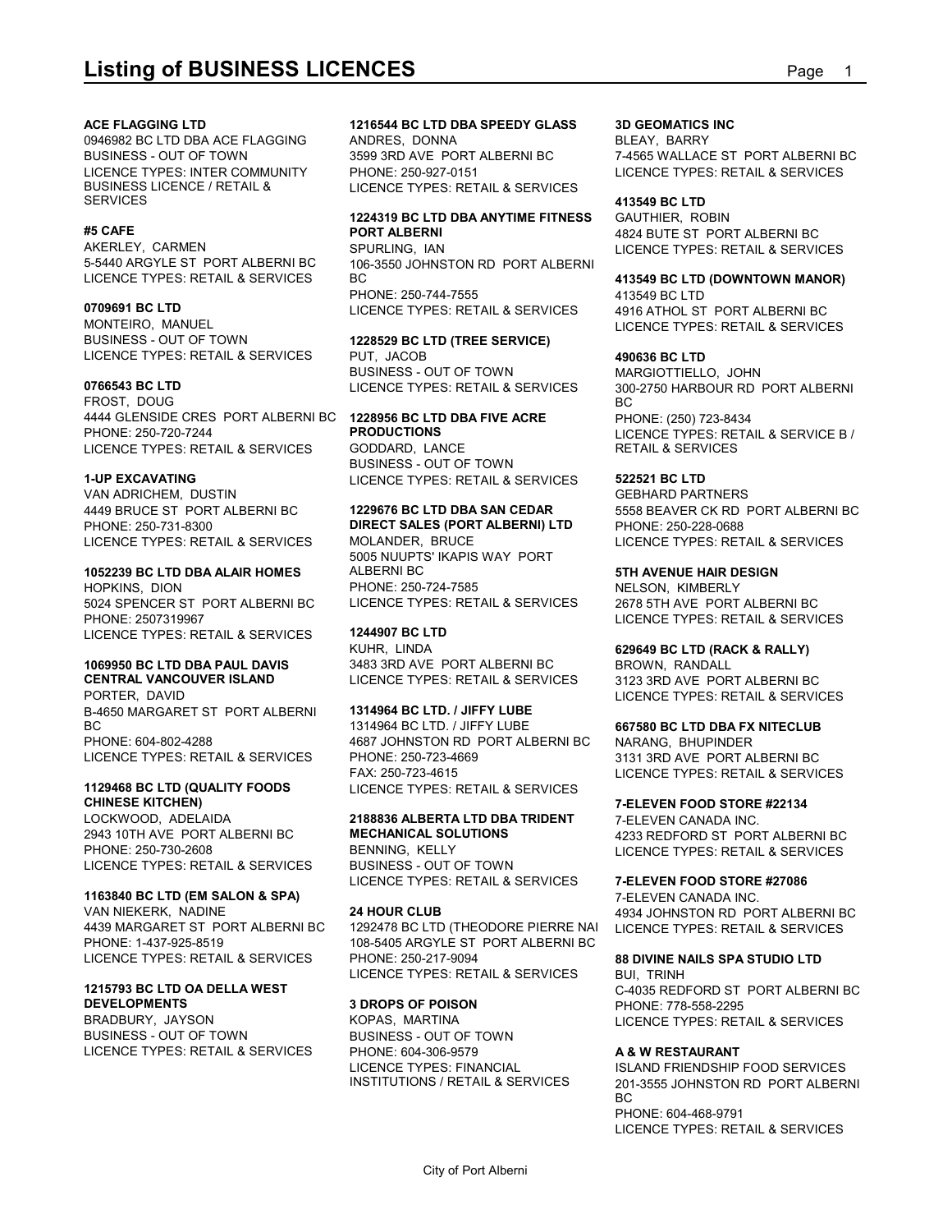0946982 BC LTD DBA ACE FLAGGING BUSINESS - OUT OF TOWN 3599 3RD AVE PORT ALBERNI BC LICENCE TYPES: INTER COMMUNITY PHONE: 250-927-0151<br>BUSINESS LICENCE / RETAIL & ILICENCE TYPES: RET BUSINESS LICENCE / RETAIL & LICENCE TYPES: RETAIL & SERVICES SERVICES

AKERLEY, CARMEN SPURLING, IAN LICENCE TYPES: RETAIL & SERVICES

MONTEIRO, MANUEL BUSINESS - OUT OF TOWN LICENCE TYPES: RETAIL & SERVICES

FROST, DOUG 4444 GLENSIDE CRES PORT ALBERNI BC **PHONE: 250-720-7244 PRODUCTIONS** LICENCE TYPES: RETAIL & SERVICES GODDARD, LANCE

VAN ADRICHEM, DUSTIN 4449 BRUCE ST PORT ALBERNI BC LICENCE TYPES: RETAIL & SERVICES

#### **1052239 BC LTD DBA ALAIR HOMES**

HOPKINS, DION 5024 SPENCER ST\_PORT ALBERNI BC\_\_\_\_\_LICENCE TYPES: RETAIL & SERVICES \_\_\_\_\_2678 5TH AVE\_PORT ALBERNI BC PHONE: 2507319967 LICENCE TYPES: RETAIL & SERVICES 1244907 BC LT<br>KUHR LINDA

## **CENTRAL VANCOUVER ISLAND** LICENCE TYPES: RETAIL & SERVICES

PORTER, DAVID B-4650 MARGARET ST PORT ALBERNI BC BC CONTROL 1314964 BC LTD. / JIFFY LUBE LICENCE TYPES: RETAIL & SERVICES

## **CHINESE KITCHEN)**

2943 10TH AVE PORT ALBERNI BC PHONE: 250-730-2608 LICENCE TYPES: RETAIL & SERVICES

### **1163840 BC LTD (EM SALON & SPA)**

VAN NIEKERK, NADINE LICENCE TYPES: RETAIL & SERVICES

#### **1215793 BC LTD OA DELLA WEST** DEVELOPMENTS 3 DROPS OF POISON

BRADBURY, JAYSON KOPAS, MARTINA BUSINESS - OUT OF TOWN LICENCE TYPES: RETAIL & SERVICES

ANDRES, DONNA

### **#5 CAFE PORT ALBERNI 1224319 BC LTD DBA ANYTIME FITNESS**

5-5440 ARGYLE ST PORT ALBERNI BC 106-3550 JOHNSTON RD PORT ALBERNI BC **413549 BC LTD (DOWNTOWN MANOR)** PHONE: 250-744-7555

**0766543 BC LTD** LICENCE TYPES: RETAIL & SERVICES **1228529 BC LTD (TREE SERVICE)** PUT, JACOB **490636 BC LTD** BUSINESS - OUT OF TOWN

## **1228956 BC LTD DBA FIVE ACRE**

**1-UP EXCAVATING** LICENCE TYPES: RETAIL & SERVICES BUSINESS - OUT OF TOWN

5005 NUUPTS' IKAPIS WAY PORT ALBERNI BC **5TH AVENUE HAIR DESIGN** PHONE: 250-724-7585 NELSON, KIMBERLY

## **1244907 BC LTD**

PHONE: 604-802-4288 4687 JOHNSTON RD PORT ALBERNI BC **1129468 BC LTD (QUALITY FOODS** LICENCE TYPES: RETAIL & SERVICES **1314964 BC LTD. / JIFFY LUBE** 1314964 BC LTD. / JIFFY LUBE **667580 BC LTD DBA FX NITECLUB** PHONE: 250-723-4669 3131 3RD AVE PORT ALBERNI BC FAX: 250-723-4615 LICENCE TYPES: RETAIL & SERVICES

## BUSINESS - OUT OF TOWN LICENCE TYPES: RETAIL & SERVICES

4439 MARGARET ST\_PORT ALBERNI BC 1292478 BC LTD (THEODORE PIERRE NAI LICENCE TYPES: RE PHONE: 1-437-925-8519 108-5405 ARGYLE ST PORT ALBERNI BC **24 HOUR CLUB** 4934 JOHNSTON RD PORT ALBERNI BC PHONE: 250-217-9094 **88 DIVINE NAILS SPA STUDIO LTD** LICENCE TYPES: RETAIL & SERVICES

BUSINESS - OUT OF TOWN PHONE: 604-306-9579

**Listing of BUSINESS LICENCES**<br> **ACE FLAGGING LTD**<br> **ACE FLAGGING LTD**<br> **PAG882 BC LTD DBA ACE FLAGGING**<br> **PHONE:** 25093 ANDRES, DONNA<br> **PHONE:** 250,927,4151<br>
PHONE: 250,927,4151<br>
PHONE: 250,927,4151<br>
PHONE: 250,927,4151<br> **ACE FLAGGING LTD 1216544 BC LTD DBA SPEEDY GLASS** 3599 3RD AVE PORT ALBERNI BC 7-4565 WALLACE ST PORT ALBERNI BC PHONE: 250-927-0151 LICENCE TYPES: RETAIL & SERVICES **3D GEOMATICS INC** BLEAY, BARRY

#### **413549 BC LTD**

SPURLING, IAN LICENCE TYPES: RETAIL & SERVICES GAUTHIER, ROBIN 4824 BUTE ST PORT ALBERNI BC

#### **0709691 BC LTD** LICENCE TYPES: RETAIL & SERVICES 413549 BC LTD 4916 ATHOL ST PORT ALBERNI BC

LICENCE TYPES: RETAIL & SERVICES

LICENCE TYPES: RETAIL & SERVICES 300-2750 HARBOUR RD PORT ALBERNI MARGIOTTIELLO, JOHN BC and the state of the state of the state of the state of the state of the state of the state of the state of PHONE: (250) 723-8434

**PRODUCTIONS** LICENCE TYPES: RETAIL & SERVICE B / GODDARD, LANCE RETAIL & SERVICES

### **522521 BC LTD**

PHONE: 250-731-8300 **DIRECT SALES (PORT ALBERNI) LTD 1229676 BC LTD DBA SAN CEDAR** 5558 BEAVER CK RD PORT ALBERNI BC MOLANDER, BRUCE LICENCE TYPES: RETAIL & SERVICES GEBHARD PARTNERS PHONE: 250-228-0688

2678 5TH AVE PORT ALBERNI BC

**1069950 BC LTD DBA PAUL DAVIS** 3483 3RD AVE PORT ALBERNI BC KUHR, LINDA **629649 BC LTD (RACK & RALLY)** BROWN, RANDALL

LICENCE TYPES: RETAIL & SERVICES

3123 3RD AVE PORT ALBERNI BC LICENCE TYPES: RETAIL & SERVICES

NARANG, BHUPINDER

#### **7-ELEVEN FOOD STORE #22134**

LOCKWOOD, ADELAIDA **2188836 ALBERTA LTD DBA TRIDENT MECHANICAL SOLUTIONS** 4233 REDFORD ST PORT ALBERNI BC BENNING, KELLY LICENCE TYPES: RETAIL & SERVICES 7-ELEVEN CANADA INC.

> **7-ELEVEN FOOD STORE #27086** 7-ELEVEN CANADA INC. LICENCE TYPES: RETAIL & SERVICES

**3 DROPS OF POISON** PHONE: 778-558-2295 KOPAS, MARTINA LICENCE TYPES: RETAIL & SERVICES BUI, TRINH C-4035 REDFORD ST PORT ALBERNI BC

#### **A & W RESTAURANT**

LICENCE TYPES: FINANCIAL ISLAND FRIENDSHIP FOOD SERVICES INSTITUTIONS / RETAIL & SERVICES 201-3555 JOHNSTON RD PORT ALBERNI BC and the state of the state of the state of the state of the state of the state of the state of the state of PHONE: 604-468-9791 LICENCE TYPES: RETAIL & SERVICES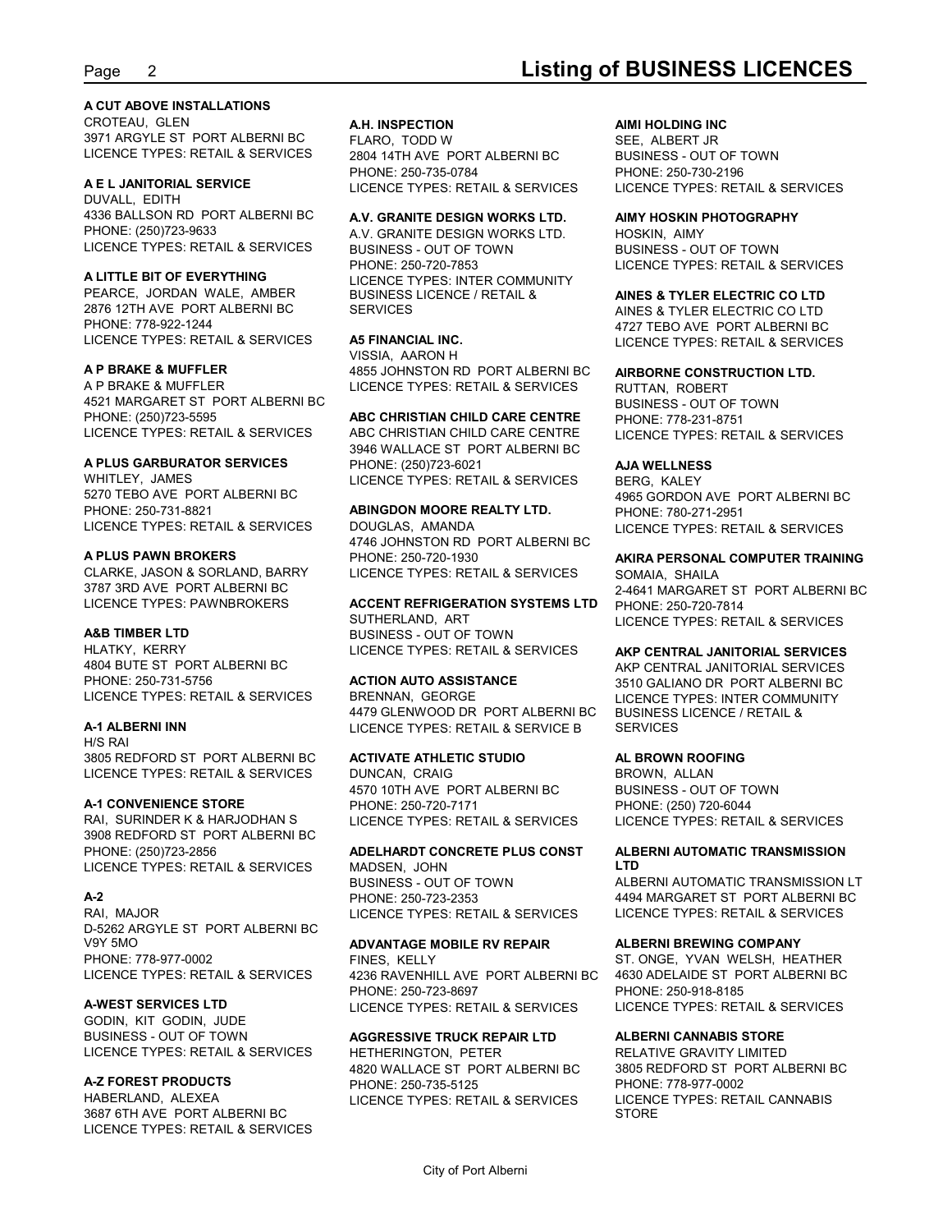#### **A CUT ABOVE INSTALLATIONS**

CROTEAU, GLEN **A.H. INSPECTION** 3971 ARGYLE ST PORT ALBERNI BC LICENCE TYPES: RETAIL & SERVICES

DUVALL, EDITH 4336 BALLSON RD PORT ALBERNI BC PHONE: (250)723-9633 A.V. GRANITE DESIGN WORKS LTD. LICENCE TYPES: RETAIL & SERVICES

PEARCE, JORDAN WALE, AMBER BUSINESS LICENCE / RETAIL & 2876 12TH AVE PORT ALBERNI BC PHONE: 778-922-1244 LICENCE TYPES: RETAIL & SERVICES

4521 MARGARET ST PORT ALBERNI BC PHONE: (250)723-5595 LICENCE TYPES: RETAIL & SERVICES ABC CHRISTIAN CHILD CARE CENTRE

### **A PLUS GARBURATOR SERVICES**

5270 TEBO AVE PORT ALBERNI BC PHONE: 250-731-8821 **ABINGDON MOORE REALTY LTD.** LICENCE TYPES: RETAIL & SERVICES

#### **A PLUS PAWN BROKERS**

3787 3RD AVE PORT ALBERNI BC

4804 BUTE ST PORT ALBERNI BC PHONE: 250-731-5756 ACTION AUTO ASSISTANCE LICENCE TYPES: RETAIL & SERVICES

H/S RAI 3805 REDFORD ST PORT ALBERNI BC LICENCE TYPES: RETAIL & SERVICES

#### **A-1 CONVENIENCE STORE**

RAI, SURINDER K & HARJODHAN S LICENCE TYPES: RETAIL & SERVICES 3908 REDFORD ST PORT ALBERNI BC PHONE: (250)723-2856 **ADELHARDT CONCRETE PLUS CONST** LICENCE TYPES: RETAIL & SERVICES MADSEN, JOHN **ETD** 

D-5262 ARGYLE ST PORT ALBERNI BC V9Y 5MO **ADVANTAGE MOBILE RV REPAIR** PHONE: 778-977-0002

GODIN, KIT GODIN, JUDE BUSINESS - OUT OF TOWN LICENCE TYPES: RETAIL & SERVICES

3687 6TH AVE PORT ALBERNI BC LICENCE TYPES: RETAIL & SERVICES

**A E L JANITORIAL SERVICE** 2804 14TH AVE PORT ALBERNI BC

### **A.V. GRANITE DESIGN WORKS LTD.**

**A LITTLE BIT OF EVERYTHING** LICENCE TYPES: INTER COMMUNITY BUSINESS - OUT OF TOWN BUSINESS LICENCE / RETAIL & **AINES & TYLER ELECTRIC CO LTD**

#### **A5 FINANCIAL INC.**

**A P BRAKE & MUFFLER** 4855 JOHNSTON RD PORT ALBERNI BC A P BRAKE & MUFFLER LICENCE TYPES: RETAIL & SERVICES VISSIA, AARON H

#### **ABC CHRISTIAN CHILD CARE CENTRE**

WHITLEY, JAMES LICENCE TYPES: RETAIL & SERVICES ABC CHRISTIAN CHILD CARE CENTRE LICENCE TYPES: RETAIL & SERVICES 3946 WALLACE ST PORT ALBERNI BC PHONE: (250)723-6021

DOUGLAS, AMANDA LICENCE TYPES: RETAIL & SERVICES 4746 JOHNSTON RD PORT ALBERNI BC

**A&B TIMBER LTD** BUSINESS - OUT OF TOWN HLATKY, KERRY **Example 20 Finally CONCE** TYPES: RETAIL & SERVICES SUTHERLAND, ART LICENCE TYPES: RETAIL & SERVICES LICENCE TYPES: RETAIL & SERVICES **AKP CENTRAL JANITORIAL SERVICES**

**A-1 ALBERNI INN** LICENCE TYPES: RETAIL & SERVICE B BRENNAN, GEORGE LICENCE TYPES: INTER COMMUNITY 4479 GLENWOOD DR PORT ALBERNI BC

#### **ACTIVATE ATHLETIC STUDIO**

DUNCAN, CRAIG 4570 10TH AVE PORT ALBERNI BC PHONE: 250-720-7171 PHONE: (250) 720-6044

A-2 PHONE: 250-723-2353 MADSEN, JOHN BUSINESS - OUT OF TOWN

LICENCE TYPES: RETAIL & SERVICES 4236 RAVENHILL AVE PORT ALBERNI BC **A-WEST SERVICES LTD** FINES, KELLY ST. ONGE, YVAN WELSH, HEATHER PHONE: 250-723-8697 LICENCE TYPES: RETAIL & SERVICES LICENCE TYPES: RETAIL & SERVICES

#### **AGGRESSIVE TRUCK REPAIR LTD**

**A-Z FOREST PRODUCTS** PHONE: 250-735-5125 HETHERINGTON, PETER 4820 WALLACE ST PORT ALBERNI BC

#### **A.H. INSPECTION AIMI HOLDING INC**

FLARO, TODD W SEE, ALBERT JR PHONE: 250-735-0784 PHONE: 250-730-2196 LICENCE TYPES: RETAIL & SERVICES LICENCE TYPES: RETAIL & SERVICES BUSINESS - OUT OF TOWN

#### **AIMY HOSKIN PHOTOGRAPHY**

PHONE: 250-720-7853 LICENCE TYPES: RETAIL & SERVICES HOSKIN, AIMY BUSINESS - OUT OF TOWN

SERVICES AINES & TYLER ELECTRIC CO LTD 4727 TEBO AVE PORT ALBERNI BC LICENCE TYPES: RETAIL & SERVICES

#### **AIRBORNE CONSTRUCTION LTD.**

RUTTAN, ROBERT BUSINESS - OUT OF TOWN PHONE: 778-231-8751

### **AJA WELLNESS**

BERG, KALEY 4965 GORDON AVE PORT ALBERNI BC PHONE: 780-271-2951

#### CLARKE, JASON & SORLAND, BARRY LICENCE TYPES: RETAIL & SERVICES LICENCE TYPES: PAWNBROKERS **ACCENT REFRIGERATION SYSTEMS LTD** <sub>PHONE:</sub> 250-720-7814 PHONE: 250-720-1930 **AKIRA PERSONAL COMPUTER TRAINING** SOMAIA, SHAILA 2-4641 MARGARET ST PORT ALBERNI BC PHONE: 250-720-7814

**ACTION AUTO ASSISTANCE** 3510 GALIANO DR PORT ALBERNI BC AKP CENTRAL JANITORIAL SERVICES BUSINESS LICENCE / RETAIL & SERVICES

### **AL BROWN ROOFING**

BROWN, ALLAN BUSINESS - OUT OF TOWN LICENCE TYPES: RETAIL & SERVICES

#### **ALBERNI AUTOMATIC TRANSMISSION LTD**

RAI, MAJOR LICENCE TYPES: RETAIL & SERVICES PHONE: 250-723-2353 4494 MARGARET ST PORT ALBERNI BC ALBERNI AUTOMATIC TRANSMISSION LT LICENCE TYPES: RETAIL & SERVICES

### **ALBERNI BREWING COMPANY**

4630 ADELAIDE ST PORT ALBERNI BC PHONE: 250-918-8185

### **ALBERNI CANNABIS STORE**

HABERLAND, ALEXEA LICENCE TYPES: RETAIL & SERVICES RELATIVE GRAVITY LIMITED 3805 REDFORD ST PORT ALBERNI BC PHONE: 778-977-0002 LICENCE TYPES: RETAIL CANNABIS STORE **STORE**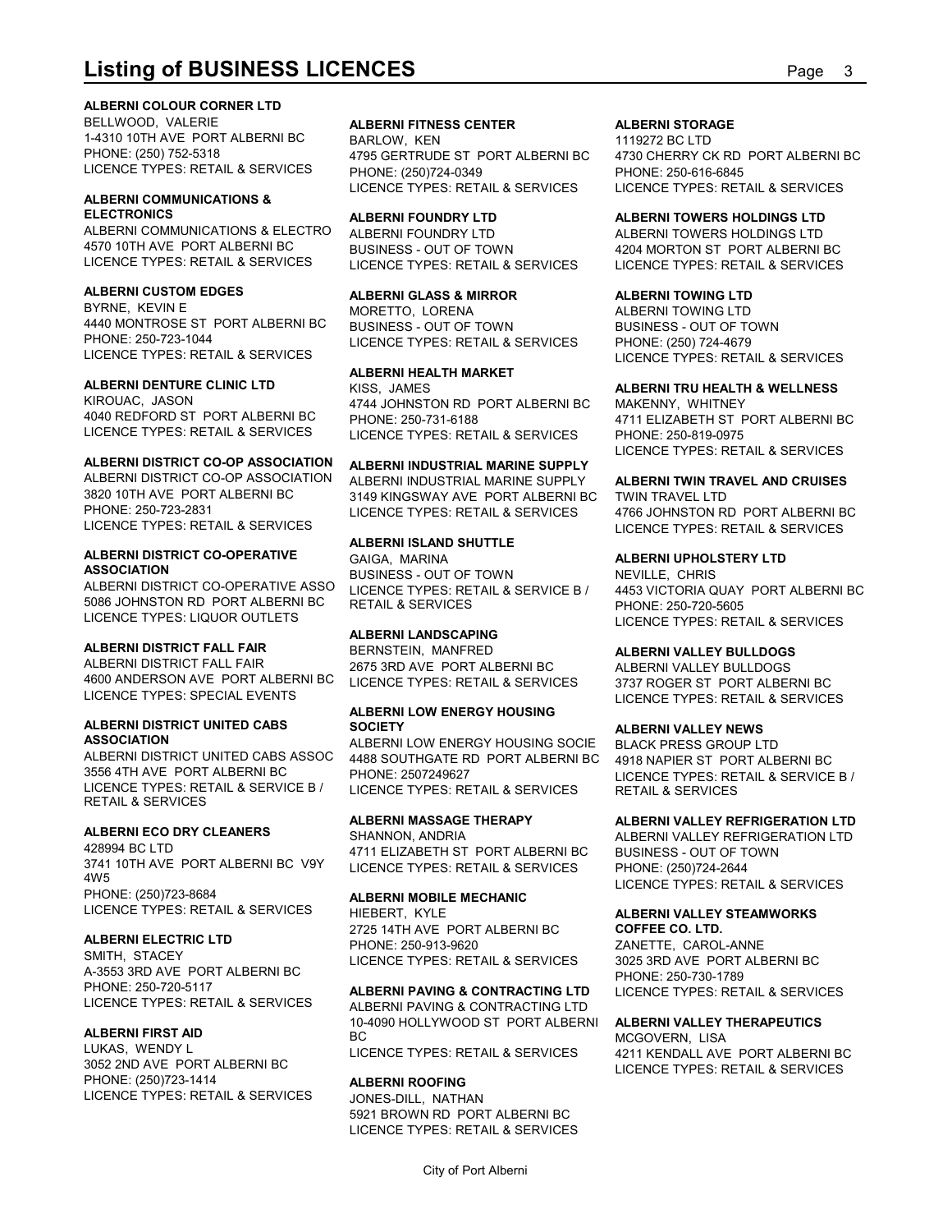#### **ALBERNI COLOUR CORNER LTD**

**Listing of BUSINESS LICENCES**<br>ALBERNI COLOUR CORNER LTD<br>BELLWOOD, VALERIE ALBERNI BC ALBERNI FITNESS CENTER ALBERNI STORAGE<br>PHONE: (250) 752-5318<br>LICENCE TYPES: RETAIL & SERVICES PIONE: (250) 734.09 OF ALBERNI BC 4730 CLE BELLWOOD, VALERIE **ALBERNI FITNESS CENTER** 1-4310 10TH AVE PORT ALBERNI BC LICENCE TYPES: RETAIL & SERVICES

## **ALBERNI COMMUNICATIONS &**

ALBERNI COMMUNICATIONS & ELECTRO ALBERNI FOUNDRY LTD 4570 10TH AVE PORT ALBERNI BC

BYRNE, KEVIN E MORETTO, LORENA 4440 MONTROSE ST PORT ALBERNI BC PHONE: 250-723-1044 LICENCE TYPES: RETAIL & SERVICES LICENCE TYPES: RETAIL & SERVICES

#### **ALBERNI DENTURE CLINIC LTD**

4040 REDFORD ST PORT ALBERNI BC

ALBERNI DISTRICT CO-OP ASSOCIATION PHONE: 250-723-2831 LICENCE TYPES: RETAIL & SERVICES LICENCE TYPES: RETAIL & SERVICES

## **ALBERNI DISTRICT CO-OPERATIVE**

ALBERNI DISTRICT CO-OPERATIVE ASSO LICENCE TYPES: RETAIL & SERVICE B / 4453 VICTORIA QU 5086 JOHNSTON RD PORT ALBERNI BC LICENCE TYPES: LIQUOR OUTLETS

#### **ALBERNI DISTRICT FALL FAIR**

ALBERNI DISTRICT FALL FAIR 2675 3RD AVE PORT ALBERNI BC 4600 ANDERSON AVE PORT ALBERNI BC LICENCE TYPES: SPECIAL EVENTS

## **ALBERNI DISTRICT UNITED CABS**

3556 4TH AVE PORT ALBERNI BC LICENCE TYPES: RETAIL & SERVICE B / RETAIL & SERVICES

### **ALBERNI ECO DRY CLEANERS**

3741 10TH AVE PORT ALBERNI BC V9Y 4W5 PHONE: (250)723-8684 **ALBERNI MOBILE MECHANIC** LICENCE TYPES: RETAIL & SERVICES

SMITH, STACEY<br>CORPORATION TO THE RESERVICE OF TYPES: RETAIL & SERVICES 3025 3RD AVE PORT ALBERNI BC A-3553 3RD AVE PORT ALBERNI BC PHONE: 250-720-5117 **ALBERNI PAVING & CONTRACTING LTD** LICENCE TYPES: RETAIL & SERVICES

### **ALBERNI FIRST AID**

LUKAS, WENDY L<br>LICENCE TYPES: RETAIL & SERVICES 3052 2ND AVE PORT ALBERNI BC PHONE: (250)723-1414 LICENCE TYPES: RETAIL & SERVICES

PHONE: (250) 752-5318 4795 GERTRUDE ST PORT ALBERNI BC BARLOW, KEN 1119272 BC LTD PHONE: (250)724-0349

### **ALBERNI FOUNDRY LTD**

LICENCE TYPES: RETAIL & SERVICES BUSINESS - OUT OF TOWN

#### **ALBERNI CUSTOM EDGES ALBERNI GLASS & MIRROR**

BUSINESS - OUT OF TOWN

#### **ALBERNI HEALTH MARKET**

KIROUAC, JASON 4744 JOHNSTON RD PORT ALBERNI BC KISS, JAMES **ALBERNI TRU HEALTH & WELLNESS**

### **ALBERNI DISTRICT CO-OP ASSOCIATION ALBERNI INDUSTRIAL MARINE SUPPLY**

3820 10TH AVE PORT ALBERNI BC 3149 KINGSWAY AVE PORT ALBERNI BC ALBERNI INDUSTRIAL MARINE SUPPLY LICENCE TYPES: RETAIL & SERVICES 4766 JOHNSTON RD PORT ALBERNI BC

#### **ALBERNI ISLAND SHUTTLE**

**ASSOCIATION** BUSINESS - OUT OF TOWN GAIGA, MARINA **ALBERNI UPHOLSTERY LTD**

#### **ALBERNI LANDSCAPING**

BERNSTEIN, MANFRED **ALBERNI VALLEY BULLDOGS**

### **ALBERNI LOW ENERGY HOUSING SOCIETY ALBERNI VALLEY NEWS**

**ASSOCIATION** ALBERNI LOW ENERGY HOUSING SOCIE ALBERNI DISTRICT UNITED CABS ASSOC 4488 SOUTHGATE RD PORT ALBERNI BC PHONE: 2507249627 LICENCE TYPES: RETAIL & SERVICE B / LICENCE TYPES: RETAIL & SERVICES

428994 BC LTD 4711 ELIZABETH ST PORT ALBERNI BC LICENCE TYPES: RETAIL & SERVICES

**ALBERNI ELECTRIC LTD**<br>PHONE: 250-913-9620 HIEBERT, KYLE **ALBERNI VALLEY STEAMWORKS** 2725 14TH AVE PORT ALBERNI BC PHONE: 250-913-9620 ZANETTE, CAROL-ANNE

ALBERNI PAVING & CONTRACTING LTD 10-4090 HOLLYWOOD ST PORT ALBERNI BC MCGOVERN, LISA LICENCE TYPES: RETAIL & SERVICES 4211 KENDALL AVE PORT ALBERNI BC

#### **ALBERNI ROOFING**

JONES-DILL, NATHAN 5921 BROWN RD PORT ALBERNI BC LICENCE TYPES: RETAIL & SERVICES

#### **ALBERNI STORAGE**

4795 GERTRUDE ST PORT ALBERNI BC 4730 CHERRY CK RD PORT ALBERNI BC LICENCE TYPES: RETAIL & SERVICES LICENCE TYPES: RETAIL & SERVICES PHONE: 250-616-6845

#### **ALBERNI FOUNDRY LTD ALBERNI TOWERS HOLDINGS LTD**

ALBERNI FOUNDRY LTD ALBERNI TOWERS HOLDINGS LTD LICENCE TYPES: RETAIL & SERVICES LICENCE TYPES: RETAIL & SERVICES 4204 MORTON ST PORT ALBERNI BC

#### **ALBERNI TOWING LTD**

ALBERNI TOWING LTD BUSINESS - OUT OF TOWN PHONE: (250) 724-4679 LICENCE TYPES: RETAIL & SERVICES

LICENCE TYPES: RETAIL & SERVICES LICENCE TYPES: RETAIL & SERVICES PHONE: 250-731-6188 4711 ELIZABETH ST PORT ALBERNI BC MAKENNY, WHITNEY PHONE: 250-819-0975 LICENCE TYPES: RETAIL & SERVICES

#### **ALBERNI TWIN TRAVEL AND CRUISES**

TWIN TRAVEL LTD LICENCE TYPES: RETAIL & SERVICES

RETAIL & SERVICES PHONE: 250-720-5605 NEVILLE, CHRIS 4453 VICTORIA QUAY PORT ALBERNI BC LICENCE TYPES: RETAIL & SERVICES

LICENCE TYPES: RETAIL & SERVICES 3737 ROGER ST PORT ALBERNI BC ALBERNI VALLEY BULLDOGS LICENCE TYPES: RETAIL & SERVICES

BLACK PRESS GROUP LTD 4918 NAPIER ST PORT ALBERNI BC RETAIL & SERVICES

#### **ALBERNI MASSAGE THERAPY ALBERNI VALLEY REFRIGERATION LTD**

SHANNON, ANDRIA ALBERNI VALLEY REFRIGERATION LTD BUSINESS - OUT OF TOWN PHONE: (250)724-2644 LICENCE TYPES: RETAIL & SERVICES

**ALBERNI PAVING & CONTRACTING LTD** LICENCE TYPES: RETAIL & SERVICES **COFFEE CO. LTD.** 3025 3RD AVE PORT ALBERNI BC PHONE: 250-730-1789

#### **ALBERNI VALLEY THERAPEUTICS**

LICENCE TYPES: RETAIL & SERVICES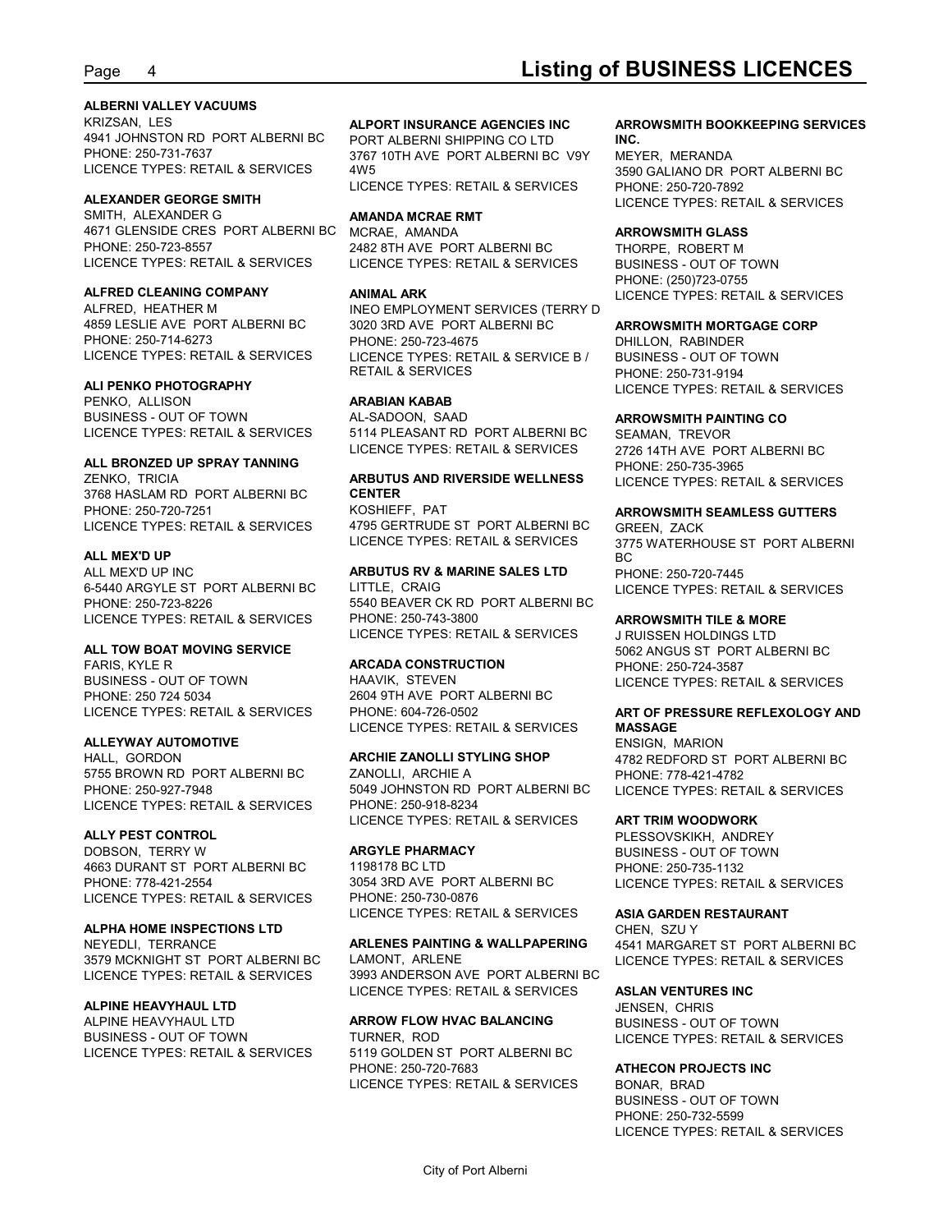#### **ALBERNI VALLEY VACUUMS**

KRIZSAN, LES **ALPORT INSURANCE AGENCIES INC** 4941 JOHNSTON RD PORT ALBERNI BC LICENCE TYPES: RETAIL & SERVICES

#### **ALEXANDER GEORGE SMITH**

SMITH, ALEXANDER G **AMANDA MCRAE RMT** 4671 GLENSIDE CRES PORT ALBERNI BC PHONE: 250-723-8557 2482 8TH AVE PORT ALBERNI BC LICENCE TYPES: RETAIL & SERVICES LICENCE TYPES: RETAIL & SERVICES

#### **ALFRED CLEANING COMPANY**

PHONE: 250-714-6273 PHONE: 250-723-4675

#### **ALI PENKO PHOTOGRAPHY**

PENKO, ALLISON BUSINESS - OUT OF TOWN AL-SADOON, SAAD

## **ALL BRONZED UP SPRAY TANNING**

3768 HASLAM RD PORT ALBERNI BC PHONE: 250-720-7251 LICENCE TYPES: RETAIL & SERVICES

#### **ALL MEX'D UP**

6-5440 ARGYLE ST PORT ALBERNI BC LICENCE TYPES: RETAIL & SERVICES

#### **ALL TOW BOAT MOVING SERVICE**

BUSINESS - OUT OF TOWN HAAVIK, STEVEN PHONE: 250 724 5034 LICENCE TYPES: RETAIL & SERVICES

#### **ALLEYWAY AUTOMOTIVE**

5755 BROWN RD PORT ALBERNI BC LICENCE TYPES: RETAIL & SERVICES

#### **ALLY PEST CONTROL**

DOBSON, TERRY W **ARGYLE PHARMACY** 4663 DURANT ST PORT ALBERNI BC PHONE: 778-421-2554 38 2054 3RD AVE PORT ALBERNI BC LICENCE TYPES: RETAIL & SERVICES

#### **ALPHA HOME INSPECTIONS LTD**

3579 MCKNIGHT ST PORT ALBERNI BC

#### **ALPINE HEAVYHAUL LTD**

BUSINESS - OUT OF TOWN LICENCE TYPES: RETAIL & SERVICES

PHONE: 250-731-7637 3767 10TH AVE PORT ALBERNI BC V9Y PORT ALBERNI SHIPPING CO LTD 4W5 3590 GALIANO DR PORT ALBERNI BC LICENCE TYPES: RETAIL & SERVICES

MCRAE, AMANDA **ARROWSMITH GLASS**

ALFRED, HEATHER M INEO EMPLOYMENT SERVICES (TERRY D 4859 LESLIE AVE PORT ALBERNI BC 3020 3RD AVE PORT ALBERNI BC **ARROWSMITH MORTGAGE CORP** LICENCE TYPES: RETAIL & SERVICES LICENCE TYPES: RETAIL & SERVICE B / PHONE: 250-723-4675 DHILLON, RABINDER RETAIL & SERVICES PHONE: 250-731-9194

#### **ARABIAN KABAB**

LICENCE TYPES: RETAIL & SERVICES 5114 PLEASANT RD PORT ALBERNI BC AL-SADOON, SAAD **ARROWSMITH PAINTING CO** LICENCE TYPES: RETAIL & SERVICES

#### ZENKO, TRICIA **NA SALA SERVITUS AND RIVERSIDE WELLNESS ARBUTUS AND RIVERSIDE WELLNESS** LICENCE TYPES: RETAIL & SERVICES **CENTER**

4795 GERTRUDE ST PORT ALBERNI BC

PHONE: 250-723-8226 5540 BEAVER CK RD PORT ALBERNI BC LITTLE, CRAIG LICENCE TYPES: RETAIL & SERVICES PHONE: 250-743-3800 **ARROWSMITH TILE & MORE** LICENCE TYPES: RETAIL & SERVICES

HAAVIK, STEVEN LICENCE TYPES: RETAIL & SERVICES 2604 9TH AVE PORT ALBERNI BC LICENCE TYPES: RETAIL & SERVICES

#### HALL, GORDON **ARCHIE ZANOLLI STYLING SHOP**

PHONE: 250-927-7948 6049 JOHNSTON RD PORT ALBERNI BC ZANOLLI, ARCHIE A PHONE: 778-421-4782 5049 JOHNSTON RD PORT ALBERNI BC LICENCE TYPES: RETAIL & SERVICES PHONE: 250-918-8234 LICENCE TYPES: RETAIL & SERVICES

PHONE: 250-730-0876 LICENCE TYPES: RETAIL & SERVICES

## NEYEDLI, TERRANCE **ARLENES PAINTING & WALLPAPERING**

LICENCE TYPES: RETAIL & SERVICES 3993 ANDERSON AVE PORT ALBERNI BC LICENCE TYPES: RETAIL & SERVICES

## 5119 GOLDEN ST PORT ALBERNI BC

PHONE: 250-720-7683 **ATHECON PROJECTS INC** LICENCE TYPES: RETAIL & SERVICES

#### **ALPORT INSURANCE AGENCIES INC ARROWSMITH BOOKKEEPING SERVICES INC.**

MEYER, MERANDA PHONE: 250-720-7892 LICENCE TYPES: RETAIL & SERVICES

**ANIMAL ARK** LICENCE TYPES: RETAIL & SERVICES THORPE, ROBERT M BUSINESS - OUT OF TOWN PHONE: (250)723-0755

#### **ARROWSMITH MORTGAGE CORP**

BUSINESS - OUT OF TOWN LICENCE TYPES: RETAIL & SERVICES

SEAMAN, TREVOR 2726 14TH AVE PORT ALBERNI BC PHONE: 250-735-3965

#### KOSHIEFF, PAT **ARROWSMITH SEAMLESS GUTTERS**

ALL MEX'D UP INC **ARBUTUS RV & MARINE SALES LTD** LICENCE TYPES: RETAIL & SERVICES 3775 WATERHOUSE ST PORT ALBERNI GREEN, ZACK BC and the state of the state of the state of the state of the state of the state of the state of the state of PHONE: 250-720-7445

FARIS, KYLE R **ARCADA CONSTRUCTION** J RUISSEN HOLDINGS LTD 5062 ANGUS ST PORT ALBERNI BC PHONE: 250-724-3587

#### PHONE: 604-726-0502 **ART OF PRESSURE REFLEXOLOGY AND MASSAGE**

**ARCHIE ZANOLLI STYLING SHOP** 4782 REDFORD ST PORT ALBERNI BC ENSIGN, MARION

#### **ART TRIM WOODWORK**

**ARGYLE PHARMACY** BUSINESS - OUT OF TOWN 1198178 BC LTD PHONE: 250-735-1132 3054 3RD AVE PORT ALBERNI BC LICENCE TYPES: RETAIL & SERVICES PLESSOVSKIKH, ANDREY

#### **ASIA GARDEN RESTAURANT**

**ARLENES PAINTING & WALLPAPERING** 4541 MARGARET ST PORT ALBERNI BC LAMONT, ARLENE LICENCE TYPES: RETAIL & SERVICES CHEN, SZU Y

#### **ASLAN VENTURES INC**

ALPINE HEAVYHAUL LTD **ARROW FLOW HVAC BALANCING** TURNER, ROD LICENCE TYPES: RETAIL & SERVICES JENSEN, CHRIS BUSINESS - OUT OF TOWN

BONAR, BRAD BUSINESS - OUT OF TOWN PHONE: 250-732-5599 LICENCE TYPES: RETAIL & SERVICES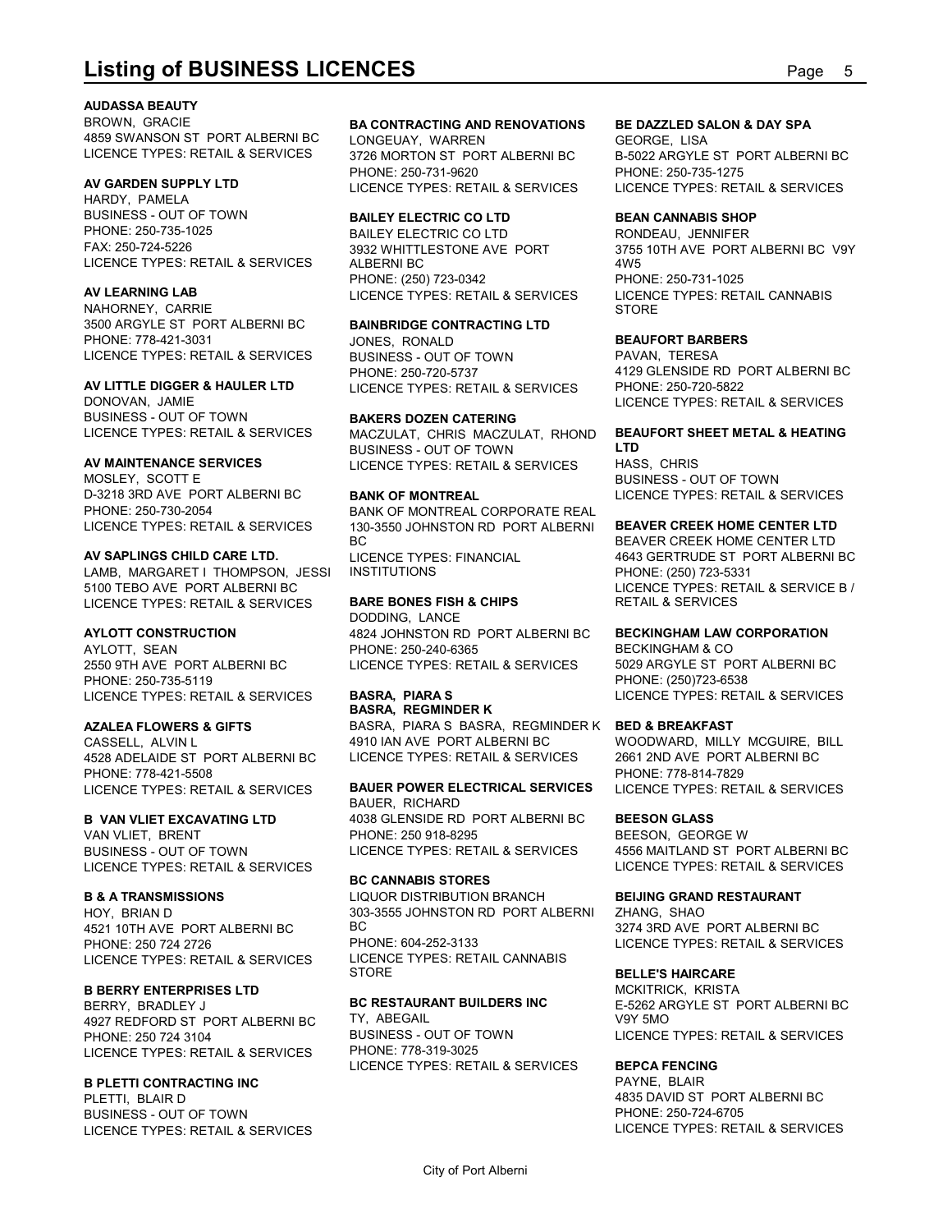#### **AUDASSA BEAUTY**

**Listing of BUSINESS LICENCES**<br>Audassa Beauty<br>BROWN, GRACIE BA CONTRACTING AND RENOVATIONS BE DAZZLED SALON & DAY SPA<br>ASSO SWANSON ST PORT ALBERNI BC LONGEUAY, WARREN BC B-5022 ARGYLE ST PORT ALBERNI BC<br>LICENCE TYPES: RETA BROWN, GRACIE **BA CONTRACTING AND RENOVATIONS** 4859 SWANSON ST PORT ALBERNI BC LICENCE TYPES: RETAIL & SERVICES 3726 MORTON ST PORT ALBERNI BC

HARDY, PAMELA BUSINESS - OUT OF TOWN FAX: 250-724-5226

NAHORNEY, CARRIE 3500 ARGYLE ST PORT ALBERNI BC PHONE: 778-421-3031 LICENCE TYPES: RETAIL & SERVICES

DONOVAN, JAMIE BUSINESS - OUT OF TOWN

MOSLEY, SCOTT E D-3218 3RD AVE PORT ALBERNI BC BANK OF MONTREAL

#### **AV SAPLINGS CHILD CARE LTD.**

LAMB, MARGARET I THOMPSON, JESSI INSTITUTIONS 5100 TEBO AVE PORT ALBERNI BC LICENCE TYPES: RETAIL & SERVICES

PHONE: 250-735-5119<br>LICENCE TYPES: RETAIL & SERVICES BASRA, PIARA S LICENCE TYPES: RETAIL & SERVICES

4528 ADELAIDE ST PORT ALBERNI BC PHONE: 778-421-5508<br>LICENCE TYPES: RETAIL & SERVICES BAUER POWER ELECTRICAL SERVICES LICENCE TYPES: RETAIL & SERVICES

VAN VLIET, BRENT LICENCE TYPES: RETAIL & SERVICES

4521 10TH AVE PORT ALBERNI BC BC<br>PHONE: 250 724 2726 PHONE: 604-252-3133 PHONE: 250 724 2726 LICENCE TYPES: RETAIL & SERVICES LICENC

BERRY, BRADLEY J 4927 REDFORD ST PORT ALBERNI BC PHONE: 250 724 3104 LICENCE TYPES: RETAIL & SERVICES

#### **B PLETTI CONTRACTING INC**

PLETTI, BLAIR D BUSINESS - OUT OF TOWN LICENCE TYPES: RETAIL & SERVICES

**AV GARDEN SUPPLY LTD** LONGEUAY, WARREN

#### **BAILEY ELECTRIC CO LTD**

LICENCE TYPES: RETAIL & SERVICES ALBERNI BC PHONE: (250) 723-0342

### **BAINBRIDGE CONTRACTING LTD**

JONES, RONALD **BEAUFORT BARBERS** BUSINESS - OUT OF TOWN PHONE: 250-720-5737

#### **BAKERS DOZEN CATERING**

LICENCE TYPES: RETAIL & SERVICES MACZULAT, CHRIS MACZULAT, RHOND **BEAUFORT SHEET METAL & HEATING AV MAINTENANCE SERVICES** LICENCE TYPES: RETAIL & SERVICES BUSINESS - OUT OF TOWN LTD

PHONE: 250-730-2054 BANK OF MONTREAL CORPORATE REAL LICENCE TYPES: RETAIL & SERVICES 130-3550 JOHNSTON RD\_PORT ALBERNI **BEAVER CREEK HO** BC BEAVER CREEK HOME CENTER LTD LICENCE TYPES: FINANCIAL 4643 GERTRUDE ST PORT ALBERNI BC

#### **BARE BONES FISH & CHIPS**

**AYLOTT CONSTRUCTION** 4824 JOHNSTON RD PORT ALBERNI BC AYLOTT, SEAN PHONE: 250-240-6365 2550 9TH AVE PORT ALBERNI BC LICENCE TYPES: RETAIL & SERVICES DODDING, LANCE

**AZALEA FLOWERS & GIFTS** BASRA, PIARA S BASRA, REGMINDER K CASSELL, ALVIN L<br>4528 ADELAIDE ST. PORT ALBERNI BC LICENCE TYPES: RETAIL & SERVICES **BASRA, REGMINDER K** 4910 IAN AVE PORT ALBERNI BC WOODWARD, MILLY MCGUIRE, BILL LICENCE TYPES: RETAIL & SERVICES 2661 2ND AVE PORT ALBERNI BC

#### **B VAN VLIET EXCAVATING LTD** 4038 GLENSIDE RD PORT ALBERNI BC BUSINESS - OUT OF TOWN **BAUER POWER ELECTRICAL SERVICES** LICENCE TYPES: RETAIL & SERVICES BAUER, RICHARD PHONE: 250 918-8295 BEESON, GEORGE W LICENCE TYPES: RETAIL & SERVICES 4556 MAITLAND ST PORT ALBERNI BC

**B & A TRANSMISSIONS** LIQUOR DISTRIBUTION BRANCH HOY, BRIAN D 303-3555 JOHNSTON RD PORT ALBERNI **BC CANNABIS STORES** BC 3274 3RD AVE PORT ALBERNI BC PHONE: 604-252-3133 LICENCE TYPES: RETAIL & SERVICES LICENCE TYPES: RETAIL CANNABIS

## **B BERRY ENTERPRISES LTD<br>RERRY RRADLEY LAND BO RESTAURANT BUILDERS INC** TY, ABEGAIL

BUSINESS - OUT OF TOWN PHONE: 778-319-3025 LICENCE TYPES: RETAIL & SERVICES

#### **BE DAZZLED SALON & DAY SPA**

3726 MORTON ST PORT ALBERNI BC B-5022 ARGYLE ST PORT ALBERNI BC PHONE: 250-731-9620 PHONE: 250-735-1275 LICENCE TYPES: RETAIL & SERVICES LICENCE TYPES: RETAIL & SERVICES GEORGE, LISA

#### **BEAN CANNABIS SHOP**

PHONE: 250-735-1025 BAILEY ELECTRIC CO LTD **AV LEARNING LAB** LICENCE TYPES: RETAIL & SERVICES 3932 WHITTLESTONE AVE PORT 3755 10TH AVE PORT ALBERNI BC V9Y RONDEAU, JENNIFER 4W5 PHONE: 250-731-1025 LICENCE TYPES: RETAIL CANNABIS STORE **STORE** 

**AV LITTLE DIGGER & HAULER LTD** LICENCE TYPES: RETAIL & SERVICES PAVAN, TERESA 4129 GLENSIDE RD PORT ALBERNI BC PHONE: 250-720-5822 LICENCE TYPES: RETAIL & SERVICES

### **BEAUFORT SHEET METAL & HEATING**

**BANK OF MONTREAL** LICENCE TYPES: RETAIL & SERVICES **LTD** HASS, CHRIS BUSINESS - OUT OF TOWN

#### **BEAVER CREEK HOME CENTER LTD**

INSTITUTIONS PHONE: (250) 723-5331 LICENCE TYPES: RETAIL & SERVICE B / RETAIL & SERVICES

#### **BECKINGHAM LAW CORPORATION**

**BASRA, PIARA S** LICENCE TYPES: RETAIL & SERVICES BECKINGHAM & CO 5029 ARGYLE ST PORT ALBERNI BC PHONE: (250)723-6538

#### **BED & BREAKFAST**

PHONE: 778-814-7829

#### **BEESON GLASS**

LICENCE TYPES: RETAIL & SERVICES

### **BEIJING GRAND RESTAURANT**

ZHANG, SHAO

#### STORE **BELLE'S HAIRCARE**

**BC RESTAURANT BUILDERS INC** E-5262 ARGYLE ST PORT ALBERNI BC MCKITRICK, KRISTA V9Y 5MO LICENCE TYPES: RETAIL & SERVICES

#### **BEPCA FENCING**

PAYNE, BLAIR 4835 DAVID ST PORT ALBERNI BC PHONE: 250-724-6705 LICENCE TYPES: RETAIL & SERVICES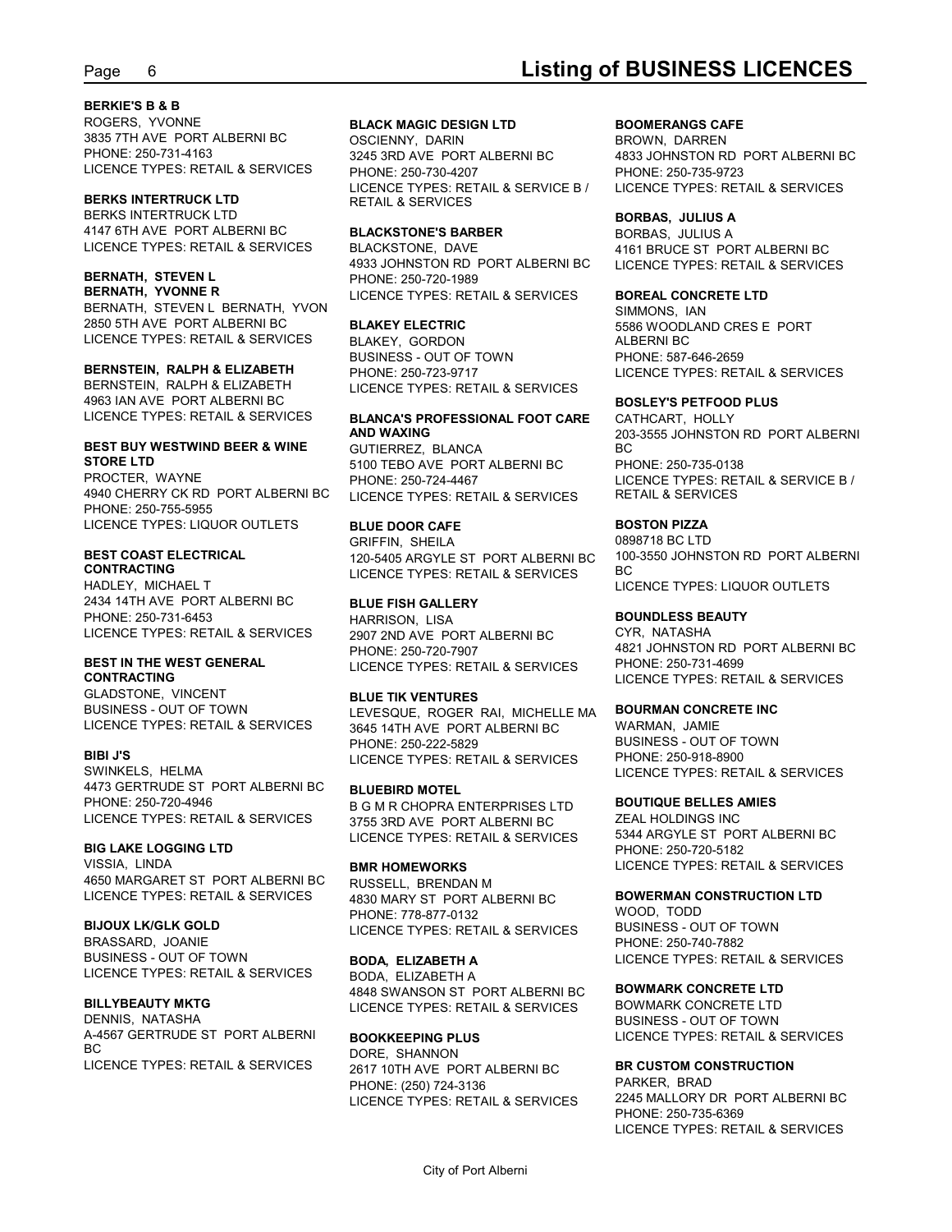#### **BERKIE'S B & B**

ROGERS, YVONNE **BLACK MAGIC DESIGN LTD** 3835 7TH AVE PORT ALBERNI BC PHONE: 250-731-4163 3245 3RD AVE PORT ALBERNI BC LICENCE TYPES: RETAIL & SERVICES

#### **BERKS INTERTRUCK LTD**

BERKS INTERTRUCK LTD 4147 6TH AVE PORT ALBERNI BC LICENCE TYPES: RETAIL & SERVICES BLACKSTONE, DAVE

BERNATH, STEVEN L BERNATH, YVON 2850 5TH AVE PORT ALBERNI BC LICENCE TYPES: RETAIL & SERVICES

**BERNSTEIN, RALPH & ELIZABETH** 4963 IAN AVE PORT ALBERNI BC<br>LICENCE TYPES: RETAIL & SERVICES

## **BEST BUY WESTWIND BEER & WINE** GUTIERREZ, BLANCA BE BC<br>STORE LTD **BEER & WINE** 6100 TERO AVE POPT ALBERNI BC PH

PROCTER, WAYNE PHONE: 250-724-4467 4940 CHERRY CK RD\_PORT ALBERNI BC LICENCE TYPES: RETAIL & SERVICES RETAIL & SERVICES PHONE: 250-755-5955 LICENCE TYPES: LIQUOR OUTLETS

HADLEY, MICHAEL T 2434 14TH AVE PORT ALBERNI BC PHONE: 250-731-6453 LICENCE TYPES: RETAIL & SERVICES

## **CONTRACTING**

GLADSTONE, VINCENT BUSINESS - OUT OF TOWN LICENCE TYPES: RETAIL & SERVICES

SWINKELS, HELMA 4473 GERTRUDE ST PORT ALBERNI BC PHONE: 250-720-4946 B G M R CHOPRA ENTERPRISES LTD

#### **BIG LAKE LOGGING LTD**

VISSIA, LINDA 4650 MARGARET ST PORT ALBERNI BC LICENCE TYPES: RETAIL & SERVICES

BRASSARD, JOANIE BUSINESS - OUT OF TOWN BODA, ELIZABETH A LICENCE TYPES: RETAIL & SERVICES

DENNIS, NATASHA A-4567 GERTRUDE ST PORT ALBERNI BOOKKEEPING PLUS BC DORE, SHANNON LICENCE TYPES: RETAIL & SERVICES

OSCIENNY, DARIN LICENCE TYPES: RETAIL & SERVICE B / RETAIL & SERVICES

#### **BLACKSTONE'S BARBER**

**BERNATH, STEVEN L** PHONE: 250-720-1989 **BERNATH, YVONNE R** LICENCE TYPES: RETAIL & SERVICES 4933 JOHNSTON RD PORT ALBERNI BC LICENCE TYPES: RETAIL & SERVICES

BERNSTEIN, RALPH & ELIZABETH LICENCE TYPES: RETAIL & SERVICES BLAKEY, GORDON BUSINESS - OUT OF TOWN PHONE: 250-723-9717 LICENCE TYPES: RETAIL & SERVICES

GUTIERREZ, BLANCA

#### **BLUE DOOR CAFE**

**BEST COAST ELECTRICAL** 120-5405 ARGYLE ST\_PORT ALBERNI BC 100-3550 JOHNSTON RD\_PORT ALBERNI **CONTRACTING** LICENCE TYPES: RETAIL & SERVICES GRIFFIN, SHEILA

#### **BLUE FISH GALLERY**

HARRISON, LISA 2907 2ND AVE PORT ALBERNI BC PHONE: 250-720-7907

#### **BLUE TIK VENTURES**

**BIBI J'S** LICENCE TYPES: RETAIL & SERVICES LEVESQUE, ROGER RAI, MICHELLE MA 3645 14TH AVE PORT ALBERNI BC PHONE: 250-222-5829

#### **BLUEBIRD MOTEL**

LICENCE TYPES: RETAIL & SERVICES 3755 3RD AVE PORT ALBERNI BC LICENCE TYPES: RETAIL & SERVICES

RUSSELL, BRENDAN M 4830 MARY ST PORT ALBERNI BC PHONE: 778-877-0132

**BILLYBEAUTY MKTG** LICENCE TYPES: RETAIL & SERVICES BODA, ELIZABETH A 4848 SWANSON ST PORT ALBERNI BC

2617 10TH AVE PORT ALBERNI BC PHONE: (250) 724-3136 LICENCE TYPES: RETAIL & SERVICES

#### **BOOMERANGS CAFE**

3245 3RD AVE PORT ALBERNI BC 4833 JOHNSTON RD PORT ALBERNI BC PHONE: 250-730-4207 PHONE: 250-735-9723 BROWN, DARREN LICENCE TYPES: RETAIL & SERVICES

#### **BORBAS, JULIUS A**

BLACKSTONE, DAVE 4161 BRUCE ST PORT ALBERNI BC BORBAS, JULIUS A

#### **BOREAL CONCRETE LTD**

**BLAKEY ELECTRIC** 5586 WOODLAND CRES E PORT SIMMONS, IAN ALBERNI BC PHONE: 587-646-2659

#### **BOSLEY'S PETFOOD PLUS**

LICENCE TYPES: RETAIL & SERVICES **BLANCA'S PROFESSIONAL FOOT CARE** CATHCART, HOLLY **STORE LTD** 5100 TEBO AVE PORT ALBERNI BC **AND WAXING** 203-3555 JOHNSTON RD PORT ALBERNI PHONE: 250-724-4467 LICENCE TYPES: RETAIL & SERVICE B / CATHCART, HOLLY BC and the state of the state of the state of the state of the state of the state of the state of the state of PHONE: 250-735-0138 RETAIL & SERVICES

#### **BOSTON PIZZA**

0898718 BC LTD 100-3550 JOHNSTON RD PORT ALBERNI BC and the state of the state of the state of the state of the state of the state of the state of the state of LICENCE TYPES: LIQUOR OUTLETS

#### **BOUNDLESS BEAUTY**

**BEST IN THE WEST GENERAL** LICENCE TYPES: RETAIL & SERVICES CYR, NATASHA 4821 JOHNSTON RD PORT ALBERNI BC PHONE: 250-731-4699 LICENCE TYPES: RETAIL & SERVICES

#### **BOURMAN CONCRETE INC**

WARMAN, JAMIE BUSINESS - OUT OF TOWN PHONE: 250-918-8900 LICENCE TYPES: RETAIL & SERVICES

#### **BOUTIQUE BELLES AMIES**

**BMR HOMEWORKS** LICENCE TYPES: RETAIL & SERVICES ZEAL HOLDINGS INC 5344 ARGYLE ST PORT ALBERNI BC PHONE: 250-720-5182

#### **BOWERMAN CONSTRUCTION LTD**

**BIJOUX LK/GLK GOLD** LICENCE TYPES: RETAIL & SERVICES **BODA, ELIZABETH A** LICENCE TYPES: RETAIL & SERVICES WOOD, TODD BUSINESS - OUT OF TOWN PHONE: 250-740-7882

#### **BOWMARK CONCRETE LTD**

**BOOKKEEPING PLUS** LICENCE TYPES: RETAIL & SERVICES BOWMARK CONCRETE LTD BUSINESS - OUT OF TOWN

#### **BR CUSTOM CONSTRUCTION**

PARKER, BRAD 2245 MALLORY DR PORT ALBERNI BC PHONE: 250-735-6369 LICENCE TYPES: RETAIL & SERVICES

## Page 6 **Listing of BUSINESS LICENCES**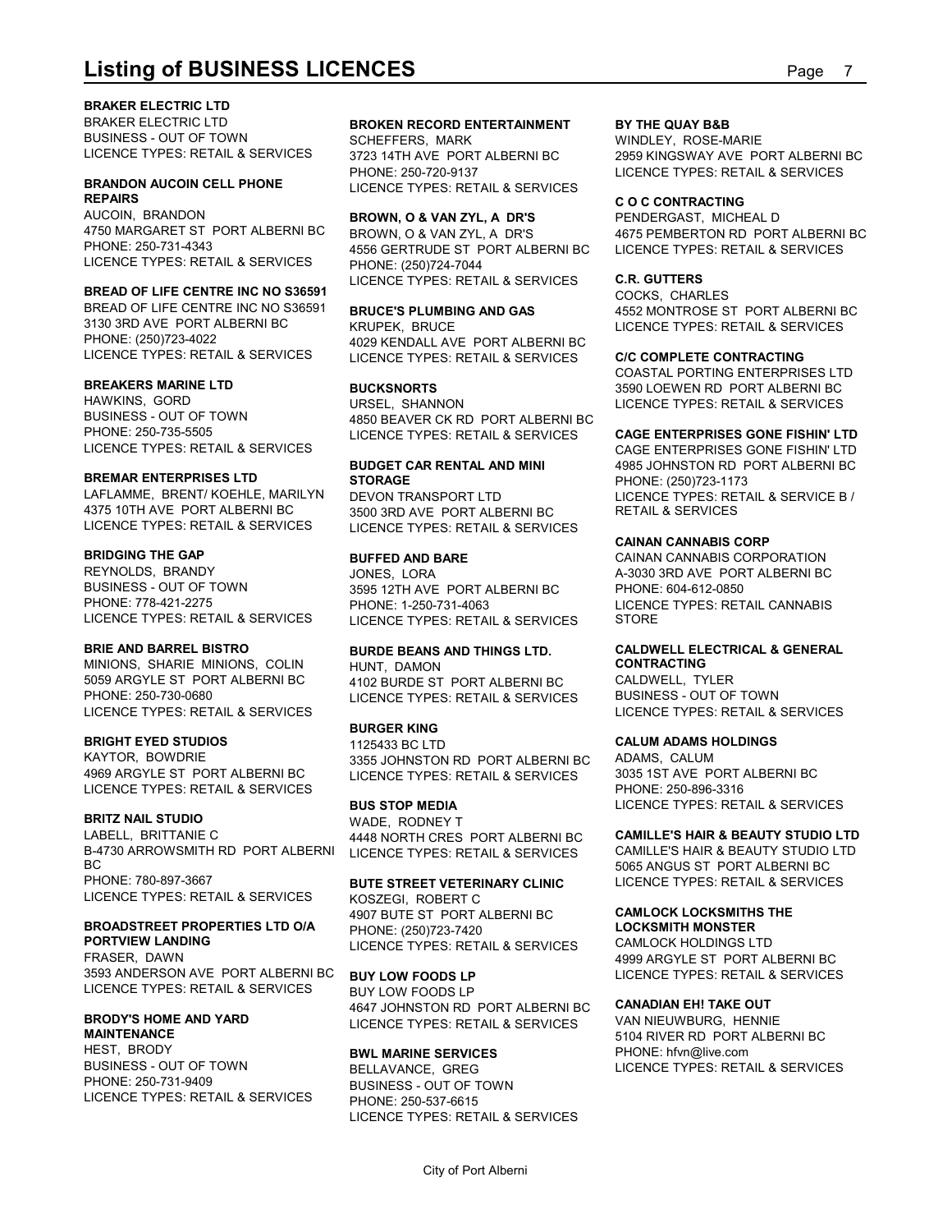#### **BRAKER ELECTRIC LTD**

**Listing of BUSINESS LICENCES** Page 7 BRAKER ELECTRIC LTD **BROKEN RECORD ENTERTAINMENT** BUSINESS - OUT OF TOWN LICENCE TYPES: RETAIL & SERVICES 3723 14TH AVE PORT ALBERNI BC

## **REPAIRS**

AUCOIN, BRANDON **BROWN, O & VAN ZYL, A DR'S** 4750 MARGARET ST PORT ALBERNI BC LICENCE TYPES: RETAIL & SERVICES

#### **BREAD OF LIFE CENTRE INC NO S36591**

BREAD OF LIFE CENTRE INC NO S36591 BRUCE'S PLUMBING AND GAS 3130 3RD AVE PORT ALBERNI BC PHONE: (250)723-4022 4029 KENDALL AVE PORT ALBERNI BC

#### **BREAKERS MARINE LTD**

HAWKINS, GORD BUSINESS - OUT OF TOWN LICENCE TYPES: RETAIL & SERVICES

### **BREMAR ENTERPRISES LTD**

LAFLAMME, BRENT/KOEHLE, MARILYN DEVON TRANSPORT LTD 4375 10TH AVE PORT ALBERNI BC 3500 3RD AVE PORT ALBERNI BC

#### **BRIDGING THE GAP**

REYNOLDS, BRANDY JONES, LORA BUSINESS - OUT OF TOWN

MINIONS, SHARIE MINIONS, COLIN LICENCE TYPES: RETAIL & SERVICES

#### **BRIGHT EYED STUDIOS**

LICENCE TYPES: RETAIL & SERVICES

LABELL, BRITTANIE C 4448 NORTH CRES PORT ALBERNI BC **CAMILLE'S HAIR & BEAUTY STUDIO LTD** B-4730 ARROWSMITH RD PORT ALBERNI BC and the state of the state of the state of the state of the state of the state of the state of the state of PHONE: 780-897-3667 **BUTE STREET VETERINARY CLINIC** LICENCE TYPES: RETAIL & SERVICES

## **BROADSTREET PROPERTIES LTD O/A**

FRASER, DAWN 3593 ANDERSON AVE PORT ALBERNI BC BUY LOW FOODS LP LICENCE TYPES: RETAIL & SERVICES

## **MAINTENANCE**

HEST, BRODY **BWL MARINE SERVICES** BUSINESS - OUT OF TOWN BELLAVANCE, GREG PHONE: 250-731-9409 BUSINESS - OUT OF TOWN LICENCE TYPES: RETAIL & SERVICES

**BRANDON AUCOIN CELL PHONE** LICENCE TYPES: RETAIL & SERVICES

PHONE: (250)724-7044 LICENCE TYPES: RETAIL & SERVICES

LICENCE TYPES: RETAIL & SERVICES LICENCE TYPES: RETAIL & SERVICES **C/C COMPLETE CONTRACTING** 

PHONE: 250-735-5505 LICENCE TYPES: RETAIL & SERVICES **CAGE ENTERPRISES GONE FISHIN' LTD** URSEL, SHANNON LICENCE TYPES: RETAIL & SERVICES 4850 BEAVER CK RD PORT ALBERNI BC

## **BUDGET CAR RENTAL AND MINI**

LICENCE TYPES: RETAIL & SERVICES LICENCE TYPES: RETAIL & SERVICES

PHONE: 778-421-2275 PHONE: 1-250-731-4063 LICENCE TYPES: RETAIL & SERVICES LICENCE TYPES: RETAIL & SERVICES JONES, LORA A-3030 3RD AVE PORT ALBERNI BC 3595 12TH AVE PORT ALBERNI BC

## **BRIE AND BARREL BISTRO BURDE BEANS AND THINGS LTD.** HUNT, DAMON

#### **BURGER KING**

KAYTOR, BOWDRIE 3355 JOHNSTON RD PORT ALBERNI BC 4969 ARGYLE ST PORT ALBERNI BC LICENCE TYPES: RETAIL & SERVICES 1125433 BC LTD **CALUM ADAMS HOLDINGS**

**BRITZ NAIL STUDIO** WADE, RODNEY T LICENCE TYPES: RETAIL & SERVICES

**PORTVIEW LANDING** LICENCE TYPES: RETAIL & SERVICES KOSZEGI, ROBERT C 4907 BUTE ST PORT ALBERNI BC PHONE: (250)723-7420

**BRODY'S HOME AND YARD LICENCE TYPES: RETAIL & SERVICES VAN NIEUWBURG, HENNIE BUY LOW FOODS LP** LICENCE TYPES: RETAIL & SERVICES BUY LOW FOODS LP 4647 JOHNSTON RD PORT ALBERNI BC

PHONE: 250-537-6615 LICENCE TYPES: RETAIL & SERVICES

#### **BY THE QUAY B&B**

SCHEFFERS, MARK WINDLEY, ROSE-MARIE 3723 14TH AVE PORT ALBERNI BC 2959 KINGSWAY AVE PORT ALBERNI BC PHONE: 250-720-9137 LICENCE TYPES: RETAIL & SERVICES

#### **C O C CONTRACTING**

PHONE: 250-731-4343 4556 GERTRUDE ST PORT ALBERNI BC BROWN, O & VAN ZYL, A DR'S 4675 PEMBERTON RD PORT ALBERNI BC PENDERGAST, MICHEAL D LICENCE TYPES: RETAIL & SERVICES

#### **C.R. GUTTERS**

**BRUCE'S PLUMBING AND GAS** 4552 MONTROSE ST PORT ALBERNI BC KRUPEK, BRUCE LICENCE TYPES: RETAIL & SERVICES COCKS, CHARLES

#### **C/C COMPLETE CONTRACTING**

**BUCKSNORTS** 3590 LOEWEN RD PORT ALBERNI BC COASTAL PORTING ENTERPRISES LTD

### **CAGE ENTERPRISES GONE FISHIN' LTD**

**STORAGE** PHONE: (250)723-1173 DEVON TRANSPORT LTD LICENCE TYPES: RETAIL & SERVICE B / CAGE ENTERPRISES GONE FISHIN' LTD 4985 JOHNSTON RD PORT ALBERNI BC RETAIL & SERVICES

#### **CAINAN CANNABIS CORP**

**BUFFED AND BARE** CAINAN CANNABIS CORPORATION PHONE: 604-612-0850 LICENCE TYPES: RETAIL CANNABIS STORE **STORE** 

#### **CALDWELL ELECTRICAL & GENERAL CONTRACTING**

5059 ARGYLE ST PORT ALBERNI BC 4102 BURDE ST PORT ALBERNI BC PHONE: 250-730-0680 LICENCE TYPES: RETAIL & SERVICES CALDWELL, TYLER BUSINESS - OUT OF TOWN LICENCE TYPES: RETAIL & SERVICES

**BUS STOP MEDIA** LICENCE TYPES: RETAIL & SERVICES ADAMS, CALUM 3035 1ST AVE PORT ALBERNI BC PHONE: 250-896-3316

#### **CAMILLE'S HAIR & BEAUTY STUDIO LTD**

CAMILLE'S HAIR & BEAUTY STUDIO LTD 5065 ANGUS ST PORT ALBERNI BC LICENCE TYPES: RETAIL & SERVICES

### **CAMLOCK LOCKSMITHS THE**

**LOCKSMITH MONSTER** CAMLOCK HOLDINGS LTD 4999 ARGYLE ST PORT ALBERNI BC

#### **CANADIAN EH! TAKE OUT**

BELLAVANCE, GREG LICENCE TYPES: RETAIL & SERVICES VAN NIEUWBURG, HENNIE 5104 RIVER RD PORT ALBERNI BC PHONE: hfvn@live.com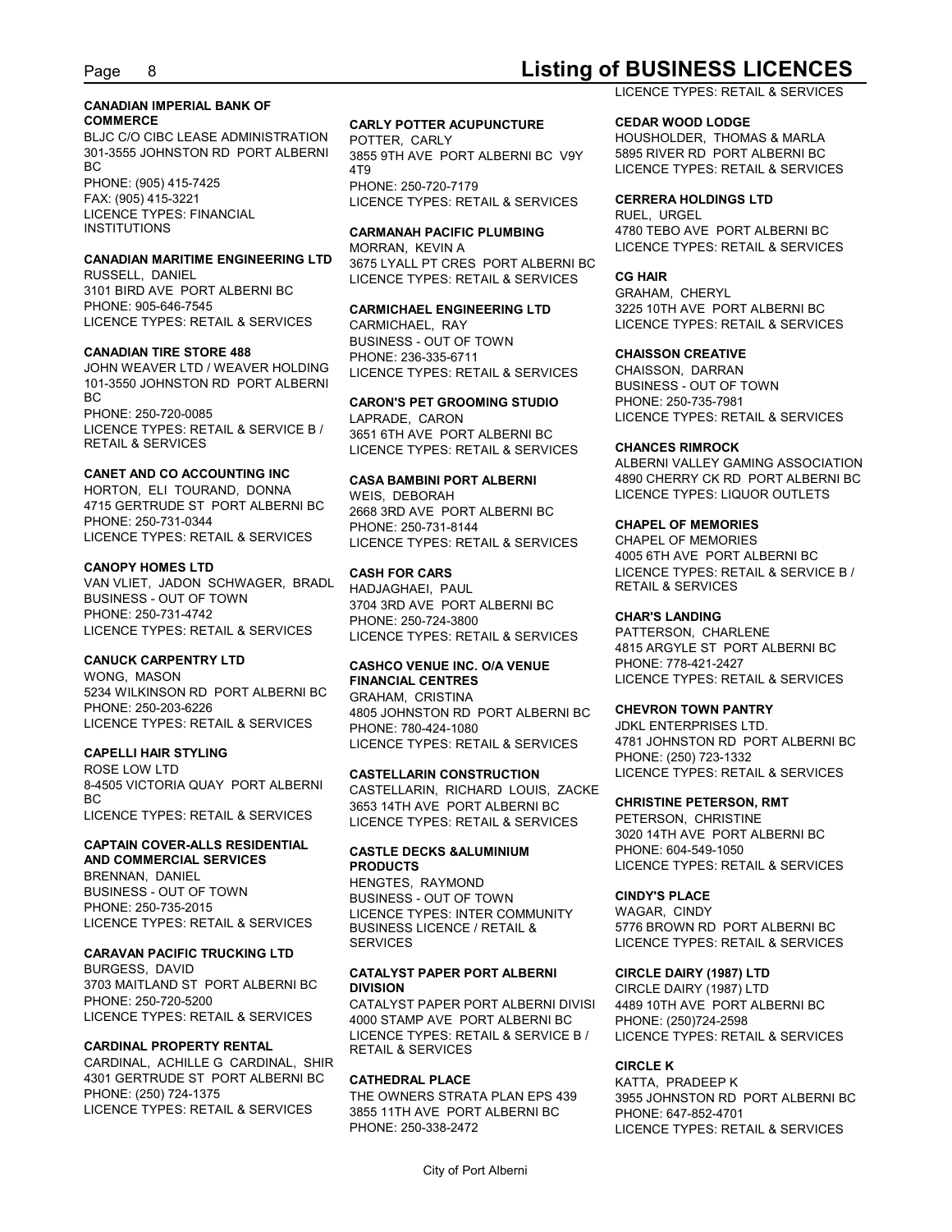## Page 8 **Listing of BUSINESS LICENCES**

## **CANADIAN IMPERIAL BANK OF**

BLJC C/O CIBC LEASE ADMINISTRATION POTTER. CARLY 301-3555 JOHNSTON RD PORT ALBERNI BC 4T9 PHONE: (905) 415-7425 FAX: (905) 415-3221 LICENCE TYPES: RETAIL & SERVICES LICENCE TYPES: FINANCIAL

## **CANADIAN MARITIME ENGINEERING LTD** MORRAN, KEVIN A

RUSSELL, DANIEL 3101 BIRD AVE PORT ALBERNI BC PHONE: 905-646-7545 CARMICHAEL ENGINEERING LTD LICENCE TYPES: RETAIL & SERVICES

#### **CANADIAN TIRE STORE 488**

JOHN WEAVER LTD / WEAVER HOLDING 101-3550 JOHNSTON RD PORT ALBERNI BC
BC **CARON'S PET GROOMING STUDIO**PHONE: 250-735-7981 PHONE: 250-720-0085 LAPRADE, CARON LICENCE TYPES: RETAIL & SERVICE B /<br>RETAIL & SERVICES

#### **CANET AND CO ACCOUNTING INC**

HORTON, ELI TOURAND, DONNA WEIS, DEBORAH 4715 GERTRUDE ST PORT ALBERNI BC PHONE: 250-731-0344 PHONE: 250-731-8144 LICENCE TYPES: RETAIL & SERVICES

### **CANOPY HOMES LTD**

VAN VLIET, JADON SCHWAGER, BRADL BUSINESS - OUT OF TOWN PHONE: 250-731-4742 LICENCE TYPES: RETAIL & SERVICES

WONG, MASON **FINANCIAL CENTRES** 5234 WILKINSON RD PORT ALBERNI BC PHONE: 250-203-6226 4805 JOHNSTON RD PORT ALBERNI BC LICENCE TYPES: RETAIL & SERVICES

#### **CAPELLI HAIR STYLING**

ROSE LOW LTD **CASTELLARIN CONSTRUCTION** 8-4505 VICTORIA QUAY PORT ALBERNI LICENCE TYPES: RETAIL & SERVICES

## **CAPTAIN COVER-ALLS RESIDENTIAL**

**AND COMMERCIAL SERVICES** BRENNAN, DANIEL BUSINESS - OUT OF TOWN PHONE: 250-735-2015

#### **CARAVAN PACIFIC TRUCKING LTD**

BURGESS, DAVID **CATALYST PAPER PORT ALBERNI** 3703 MAITLAND ST PORT ALBERNI BC DIVISION PHONE: 250-720-5200 LICENCE TYPES: RETAIL & SERVICES

#### **CARDINAL PROPERTY RENTAL**

CARDINAL, ACHILLE G CARDINAL, SHIR 4301 GERTRUDE ST PORT ALBERNI BC PHONE: (250) 724-1375 THE OWNERS STRATA PLAN EPS 439 LICENCE TYPES: RETAIL & SERVICES

#### **COMMERCE CARLY POTTER ACUPUNCTURE**

3855 9TH AVE PORT ALBERNI BC V9Y 4T9 PHONE: 250-720-7179

MORRAN, KEVIN A LICENCE TYPES: RETAIL & SERVICES 3675 LYALL PT CRES PORT ALBERNI BC LICENCE TYPES: RETAIL & SERVICES

CARMICHAEL, RAY LICENCE TYPES: RETAIL & SERVICES BUSINESS - OUT OF TOWN PHONE: 236-335-6711 LICENCE TYPES: RETAIL & SERVICES

RETAIL & SERVICES **EXAMPLE TREASE IN ACCOMPT CONTROL** CHANCES **CHANCES RIMROCK** LAPRADE, CARON LICENCE TYPES: RETAIL & SERVICES 3651 6TH AVE PORT ALBERNI BC

#### **CASA BAMBINI PORT ALBERNI**

2668 3RD AVE PORT ALBERNI BC PHONE: 250-731-8144 **CHAPEL OF MEMORIES** LICENCE TYPES: RETAIL & SERVICES

HADJAGHAEI, PAUL 3704 3RD AVE PORT ALBERNI BC PHONE: 250-724-3800 LICENCE TYPES: RETAIL & SERVICES

GRAHAM, CRISTINA PHONE: 780-424-1080 LICENCE TYPES: RETAIL & SERVICES

### BC<br>3653 14TH AVE PORT ALBERNI BC **CHRISTINE PETERSON, RMT** 3653 14TH AVE PORT ALBERNI BC CASTELLARIN, RICHARD LOUIS, ZACKE LICENCE TYPES: RETAIL & SERVICES

## **CASTLE DECKS &ALUMINIUM**

LICENCE TYPES: RETAIL & SERVICES<br>BUSINESS LICENCE / RETAIL & HENGTES, RAYMOND BUSINESS - OUT OF TOWN LICENCE TYPES: INTER COMMUNITY SERVICES LICENCE TYPES: RETAIL & SERVICES

CATALYST PAPER PORT ALBERNI DIVISI 4000 STAMP AVE PORT ALBERNI BC LICENCE TYPES: RETAIL & SERVICE B / RETAIL & SERVICES

#### **CATHEDRAL PLACE**

3855 11TH AVE PORT ALBERNI BC

### LICENCE TYPES: RETAIL & SERVICES

#### **CEDAR WOOD LODGE**

POTTER, CARLY HOUSHOLDER, THOMAS & MARLA 5895 RIVER RD PORT ALBERNI BC LICENCE TYPES: RETAIL & SERVICES

#### **CERRERA HOLDINGS LTD**

INSTITUTIONS **CARMANAH PACIFIC PLUMBING** RUEL, URGEL 4780 TEBO AVE PORT ALBERNI BC

#### **CG HAIR**

**CARMICHAEL ENGINEERING LTD** 3225 10TH AVE PORT ALBERNI BC GRAHAM, CHERYL

#### **CHAISSON CREATIVE**

CHAISSON, DARRAN BUSINESS - OUT OF TOWN PHONE: 250-735-7981

#### **CHANCES RIMROCK**

WEIS, DEBORAH LICENCE TYPES: LIQUOR OUTLETS ALBERNI VALLEY GAMING ASSOCIATION 4890 CHERRY CK RD PORT ALBERNI BC

**CASH FOR CARS** LICENCE TYPES: RETAIL & SERVICE B / CHAPEL OF MEMORIES 4005 6TH AVE PORT ALBERNI BC RETAIL & SERVICES

#### **CHAR'S LANDING**

**CANUCK CARPENTRY LTD CASHCO VENUE INC. O/A VENUE FINANCIAL CENTRES** LICENCE TYPES: RETAIL & SERVICES PATTERSON, CHARLENE 4815 ARGYLE ST PORT ALBERNI BC PHONE: 778-421-2427

#### **CHEVRON TOWN PANTRY**

JDKL ENTERPRISES LTD. 4781 JOHNSTON RD PORT ALBERNI BC PHONE: (250) 723-1332 LICENCE TYPES: RETAIL & SERVICES

#### **CHRISTINE PETERSON, RMT**

**PRODUCTS** LICENCE TYPES: RETAIL & SERVICES PETERSON, CHRISTINE 3020 14TH AVE PORT ALBERNI BC PHONE: 604-549-1050

### **CINDY'S PLACE**

BUSINESS LICENCE / RETAIL & 5776 BROWN RD PORT ALBERNI BC WAGAR, CINDY

#### **CIRCLE DAIRY (1987) LTD**

**DIVISION** CIRCLE DAIRY (1987) LTD 4489 10TH AVE PORT ALBERNI BC PHONE: (250)724-2598 LICENCE TYPES: RETAIL & SERVICES

#### **CIRCLE K**

THE OWNERS STRATA PLAN EPS 439 3955 JOHNSTON RD PORT ALBERNI BC PHONE: 250-338-2472 LICENCE TYPES: RETAIL & SERVICES KATTA, PRADEEP K PHONE: 647-852-4701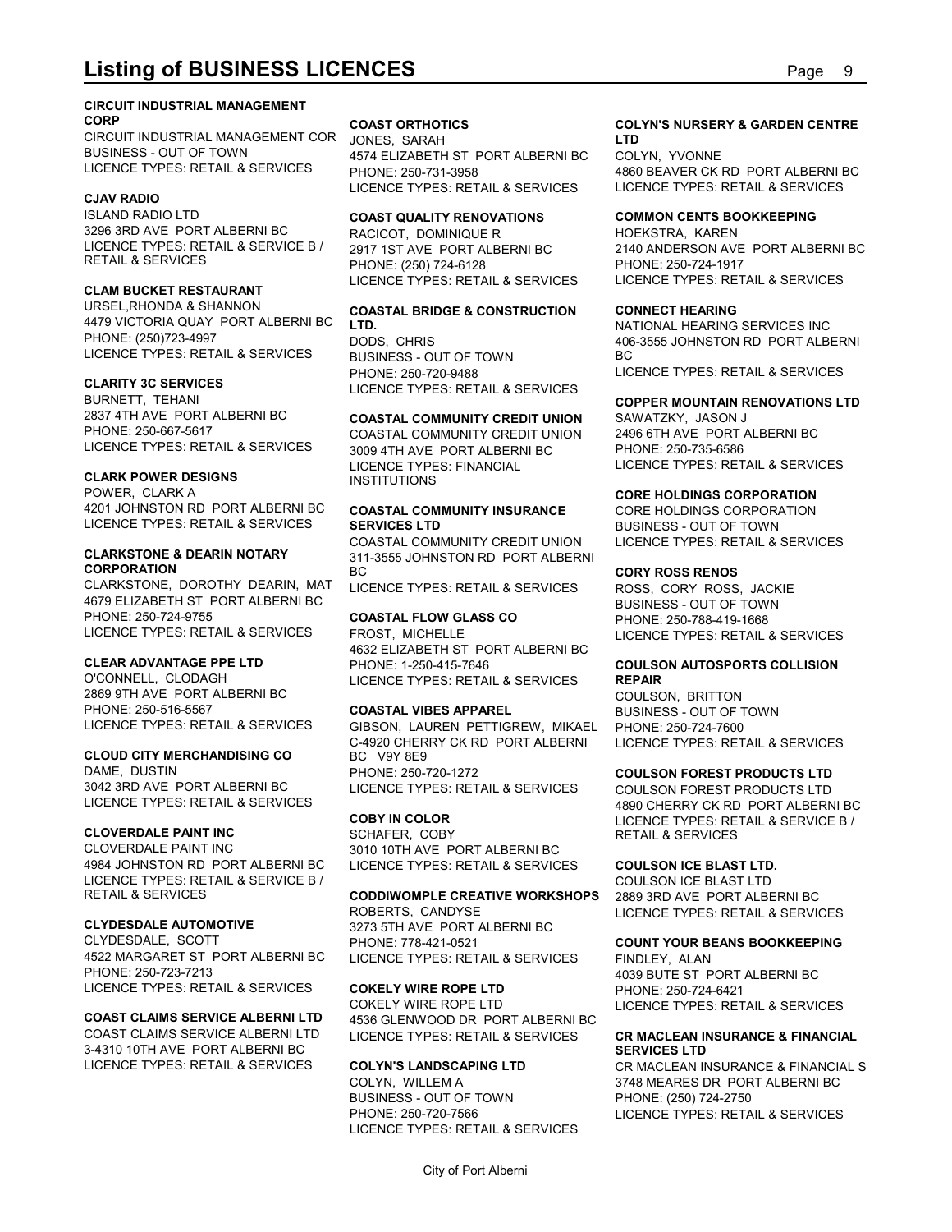#### **CIRCUIT INDUSTRIAL MANAGEMENT CORP COAST ORTHOTICS**

**Listing of BUSINESS LICENCES**<br>CIRCUIT INDUSTRIAL MANAGEMENT<br>CORP COAST ORT PRIMITIONS COAST ORTHOTICS COLYN'S NURSERY & GARDEN CENTRE<br>BUSINESS - OUT OF TOWN 4574 ELIZABETH ST PORT ALBERNI BC COLYN, YVONNE<br>LICENCE TYPES: R CIRCUIT INDUSTRIAL MANAGEMENT COR JONES. SARAH BUSINESS - OUT OF TOWN LICENCE TYPES: RETAIL & SERVICES

#### **CJAV RADIO**

ISLAND RADIO LTD **COAST QUALITY RENOVATIONS** 3296 3RD AVE PORT ALBERNI BC LICENCE TYPES: RETAIL & SERVICE B / 2917 1ST AVE PORT ALBERNI BC

### **CLAM BUCKET RESTAURANT**

URSEL,RHONDA & SHANNON **COASTAL BRIDGE & CONSTRUCTION** 4479 VICTORIA QUAY PORT ALBERNI BC PHONE: (250)723-4997 LICENCE TYPES: RETAIL & SERVICES

BURNETT, TEHANI 2837 4TH AVE PORT ALBERNI BC **COASTAL COMMUNITY CREDIT UNION** PHONE: 250-667-5617 COASTAL COMMUNITY CREDIT UNION LICENCE TYPES: RETAIL & SERVICES

### **CLARK POWER DESIGNS**

POWER, CLARK A 4201 JOHNSTON RD\_PORT ALBERNI BC **COASTAL COMMUNITY INSURANCE** CORE HOLDINGS CORPORATION LICENCE TYPES: RETAIL & SERVICES SERVICES LTD

## **CORPORATION**

CLARKSTONE, DOROTHY DEARIN, MAT 4679 ELIZABETH ST PORT ALBERNI BC PHONE: 250-724-9755 COASTAL FLOW GLASS CO LICENCE TYPES: RETAIL & SERVICES

### **CLEAR ADVANTAGE PPE LTD**

2869 9TH AVE PORT ALBERNI BC PHONE: 250-516-5567 COASTAL VIBES APPAREL

#### **CLOUD CITY MERCHANDISING CO**

DAME, DUSTIN **DAME**, DUSTIN LICENCE TYPES: RETAIL & SERVICES

### **CLOVERDALE PAINT INC**

CLOVERDALE PAINT INC 3010 10TH AVE PORT ALBERNI BC 4984 JOHNSTON RD\_PORT ALBERNI BC\_\_\_\_LICENCE TYPES: RETAIL & SERVICES\_\_\_\_\_**COULSON ICE BLAST LTD.** LICENCE TYPES: RETAIL & SERVICE B /

CLYDESDALE, SCOTT 4522 MARGARET ST PORT ALBERNI BC PHONE: 250-723-7213 LICENCE TYPES: RETAIL & SERVICES

COAST CLAIMS SERVICE ALBERNI LTD LICENCE TYPES: RETAIL & SERVICES 3-4310 10TH AVE PORT ALBERNI BC LICENCE TYPES: RETAIL & SERVICES COLYN'S LANDSCAPING LTD

JONES, SARAH 4574 ELIZABETH ST PORT ALBERNI BC LICENCE TYPES: RETAIL & SERVICES

RETAIL & SERVICES PHONE: (250) 724-6128 RACICOT, DOMINIQUE R LICENCE TYPES: RETAIL & SERVICES

## **LTD.**

**CLARITY 3C SERVICES** LICENCE TYPES: RETAIL & SERVICES BUSINESS - OUT OF TOWN PHONE: 250-720-9488

3009 4TH AVE PORT ALBERNI BC LICENCE TYPES: FINANCIAL INSTITUTIONS

**CLARKSTONE & DEARIN NOTARY** 311-3555 JOHNSTON RD PORT ALBERNI COASTAL COMMUNITY CREDIT UNION BC **CORY ROSS RENOS**

LICENCE TYPES: RETAIL & SERVICES

O'CONNELL, CLODAGH LICENCE TYPES: RETAIL & SERVICES **REPAIR** FROST, MICHELLE LICENCE TYPES: RETAIL & SERVICES 4632 ELIZABETH ST PORT ALBERNI BC PHONE: 1-250-415-7646 **COULSON AUTOSPORTS COLLISION**

LICENCE TYPES: RETAIL & SERVICES GIBSON, LAUREN PETTIGREW, MIKAEL PHONE: 250-724-7600 C-4920 CHERRY CK RD PORT ALBERNI BC V9Y 8E9 PHONE: 250-720-1272 **COULSON FOREST PRODUCTS LTD**

RETAIL & SERVICES **CODDIWOMPLE CREATIVE WORKSHOPS CLYDESDALE AUTOMOTIVE** 3273 5TH AVE PORT ALBERNI BC ROBERTS, CANDYSE LICENCE TYPES: RETAIL & SERVICES PHONE: 778-421-0521 **COUNT YOUR BEANS BOOKKEEPING** LICENCE TYPES: RETAIL & SERVICES

#### **COAST CLAIMS SERVICE ALBERNI LTD** 4536 GLENWOOD DR PORT ALBERNI BC **COKELY WIRE ROPE LTD** COKELY WIRE ROPE LTD LICENCE TYPES: RETAIL & SERVICES LICENCE TYPES: RETAIL & SERVICES **CR MACLEAN INSURANCE & FINANCIAL**

BUSINESS - OUT OF TOWN LICENCE TYPES: RETAIL & SERVICES

#### **COAST ORTHOTICS COLYN'S NURSERY & GARDEN CENTRE LTD**

PHONE: 250-731-3958 4860 BEAVER CK RD PORT ALBERNI BC COLYN, YVONNE LICENCE TYPES: RETAIL & SERVICES

#### **COMMON CENTS BOOKKEEPING**

2917 1ST AVE PORT ALBERNI BC 2140 ANDERSON AVE PORT ALBERNI BC HOEKSTRA, KAREN PHONE: 250-724-1917 LICENCE TYPES: RETAIL & SERVICES

### **CONNECT HEARING**

DODS, CHRIS 406-3555 JOHNSTON RD PORT ALBERNI NATIONAL HEARING SERVICES INC BC and the state of the state of the state of the state of the state of the state of the state of the state of LICENCE TYPES: RETAIL & SERVICES

#### **COPPER MOUNTAIN RENOVATIONS LTD**

SAWATZKY, JASON J 2496 6TH AVE PORT ALBERNI BC PHONE: 250-735-6586 LICENCE TYPES: RETAIL & SERVICES

### **CORE HOLDINGS CORPORATION**

**SERVICES LTD** BUSINESS - OUT OF TOWN CORE HOLDINGS CORPORATION LICENCE TYPES: RETAIL & SERVICES

**COASTAL FLOW GLASS CO** PHONE: 250-788-419-1668 ROSS, CORY ROSS, JACKIE BUSINESS - OUT OF TOWN

## **REPAIR**

**COASTAL VIBES APPAREL** BUSINESS - OUT OF TOWN COULSON, BRITTON PHONE: 250-724-7600 LICENCE TYPES: RETAIL & SERVICES

3042 3RD AVE PORT ALBERNI BC LICENCE TYPES: RETAIL & SERVICES **COBY IN COLOR** LICENCE TYPES: RETAIL & SERVICE B / SCHAFER, COBY RETAIL & SERVICES COULSON FOREST PRODUCTS LTD 4890 CHERRY CK RD PORT ALBERNI BC

#### **COULSON ICE BLAST LTD.**

COULSON ICE BLAST LTD 2889 3RD AVE PORT ALBERNI BC

FINDLEY, ALAN 4039 BUTE ST PORT ALBERNI BC PHONE: 250-724-6421

## **SERVICES LTD**

**COLYN'S LANDSCAPING LTD** CR MACLEAN INSURANCE & FINANCIAL S COLYN, WILLEM A 3748 MEARES DR PORT ALBERNI BC PHONE: 250-720-7566 LICENCE TYPES: RETAIL & SERVICES PHONE: (250) 724-2750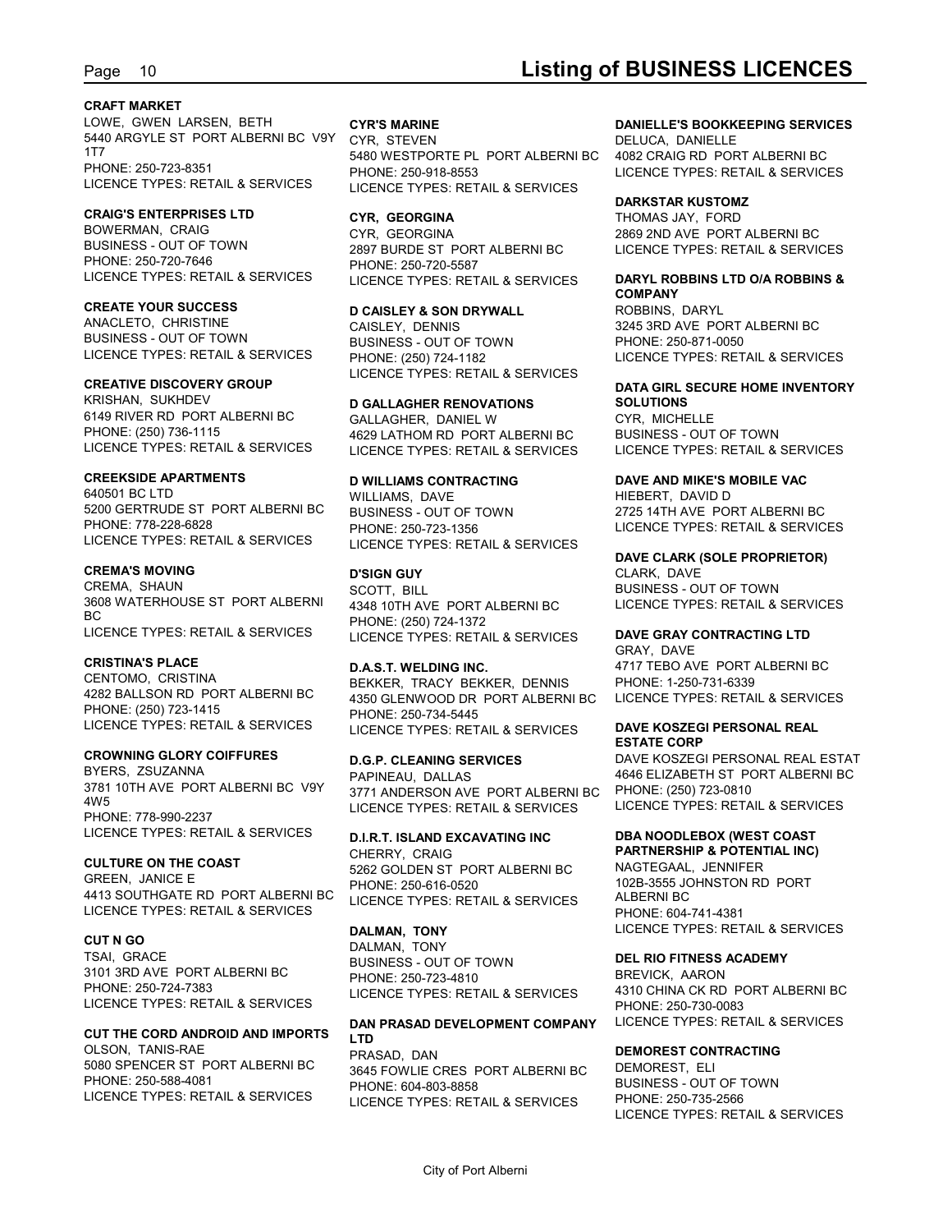#### **CRAFT MARKET**

LOWE, GWEN LARSEN, BETH CYR'S MARINE 5440 ARGYLE ST PORT ALBERNI BC V9Y CYR, STEVEN 1T7 5480 WESTPORTE PL PORT ALBERNI BC PHONE: 250-723-8351<br>LICENCE TYPES: RETAIL & SERVICES LICENCE TYPES: RET

### **CRAIG'S ENTERPRISES LTD**

BOWERMAN, CRAIG CYR, GEORGINA BUSINESS - OUT OF TOWN 2897 BURDE ST PORT ALBERNI BC PHONE: 250-720-7646<br>LICENCE TYPES: RETAIL & SERVICES

ANACLETO, CHRISTINE BUSINESS - OUT OF TOWN LICENCE TYPES: RETAIL & SERVICES

#### **CREATIVE DISCOVERY GROUP**

KRISHAN, SUKHDEV **D GALLAGHER RENOVATIONS** 6149 RIVER RD PORT ALBERNI BC PHONE: (250) 736-1115 4629 LATHOM RD PORT ALBERNI BC

### **CREEKSIDE APARTMENTS**

640501 BC LTD WILLIAMS, DAVE 5200 GERTRUDE ST PORT ALBERNI BC PHONE: 778-228-6828 PHONE: 250-723-1356 LICENCE TYPES: RETAIL & SERVICES

#### **CREMA'S MOVING**

CREMA, SHAUN 3608 WATERHOUSE ST PORT ALBERNI BC PHONE: (250) 724-1372 LICENCE TYPES: RETAIL & SERVICES

4282 BALLSON RD PORT ALBERNI BC PHONE: (250) 723-1415 LICENCE TYPES: RETAIL & SERVICES

#### **CROWNING GLORY COIFFURES**

BYERS, ZSUZANNA 3781 10TH AVE PORT ALBERNI BC V9Y 4W5 PHONE: 778-990-2237 LICENCE TYPES: RETAIL & SERVICES

GREEN, JANICE E 4413 SOUTHGATE RD PORT ALBERNI BC LICENCE TYPES: RETAIL & SERVICES

3101 3RD AVE PORT ALBERNI BC PHONE: 250-724-7383 LICENCE TYPES: RETAIL & SERVICES

### **CUT THE CORD ANDROID AND IMPORTS**

OLSON, TANIS-RAE 5080 SPENCER ST PORT ALBERNI BC PHONE: 250-588-4081 LICENCE TYPES: RETAIL & SERVICES

## LICENCE TYPES: RETAIL & SERVICES LICENCE TYPES: RETAIL & SERVICES CYR, STEVEN DELUCA, DANIELLE PHONE: 250-918-8553 LICENCE TYPES: RETAIL & SERVICES

2897 BURDE ST PORT ALBERNI BC LICENCE TYPES: RETAIL & SERVICES PHONE: 250-720-5587

**CREATE YOUR SUCCESS D CAISLEY & SON DRYWALL** CAISLEY, DENNIS 3245 3RD AVE PORT ALBERNI BC BUSINESS - OUT OF TOWN PHONE: (250) 724-1182 LICENCE TYPES: RETAIL & SERVICES

LICENCE TYPES: RETAIL & SERVICES LICENCE TYPES: RETAIL & SERVICES GALLAGHER, DANIEL W

## **D WILLIAMS CONTRACTING DAVE AND MIKE'S MOBILE VAC** BUSINESS - OUT OF TOWN LICENCE TYPES: RETAIL & SERVICES

**D'SIGN GUY** CLARK, DAVE SCOTT, BILL 4348 10TH AVE PORT ALBERNI BC LICENCE TYPES: RETAIL & SERVICES

**CRISTINA'S PLACE D.A.S.T. WELDING INC.** CENTOMO, CRISTINA BEKKER, TRACY BEKKER, DENNIS 4350 GLENWOOD DR PORT ALBERNI BC PHONE: 250-734-5445 LICENCE TYPES: RETAIL & SERVICES

> **D.G.P. CLEANING SERVICES** DAVE KOSZEGI PERSONAL REAL ESTAT PAPINEAU, DALLAS 4646 ELIZABETH ST PORT ALBERNI BC 3771 ANDERSON AVE PORT ALBERNI BC LICENCE TYPES: RETAIL & SERVICES

**CULTURE ON THE COAST** CHERRY, CRAIG **D.I.R.T. ISLAND EXCAVATING INC** CHERRY, CRAIG **PARTNERSHIP & POTENTIAL INC)** 5262 GOLDEN ST PORT ALBERNI BC PHONE: 250-616-0520 LICENCE TYPES: RETAIL & SERVICES

**CUT N GO** DALMAN, TONY TSAI, GRACE<br>BUSINESS - OUT OF TOWN DEL RI PHONE: 250-723-4810 LICENCE TYPES: RETAIL & SERVICES

#### **DAN PRASAD DEVELOPMENT COMPANY LTD**

PRASAD, DAN **DEMOREST CONTRACTING** 3645 FOWLIE CRES PORT ALBERNI BC PHONE: 604-803-8858 LICENCE TYPES: RETAIL & SERVICES

### **CYR'S MARINE DANIELLE'S BOOKKEEPING SERVICES**

4082 CRAIG RD PORT ALBERNI BC

#### **DARKSTAR KUSTOMZ**

**CYR, GEORGINA** THOMAS JAY, FORD CYR, GEORGINA 2869 2ND AVE PORT ALBERNI BC

#### LICENCE TYPES: RETAIL & SERVICES LICENCE TYPES: RETAIL & SERVICES **DARYL ROBBINS LTD O/A ROBBINS & COMPANY**

ROBBINS, DARYL PHONE: 250-871-0050 LICENCE TYPES: RETAIL & SERVICES

#### **DATA GIRL SECURE HOME INVENTORY SOLUTIONS**

CYR, MICHELLE BUSINESS - OUT OF TOWN LICENCE TYPES: RETAIL & SERVICES

HIEBERT, DAVID D 2725 14TH AVE PORT ALBERNI BC LICENCE TYPES: RETAIL & SERVICES

## **DAVE CLARK (SOLE PROPRIETOR)**

BUSINESS - OUT OF TOWN LICENCE TYPES: RETAIL & SERVICES

#### **DAVE GRAY CONTRACTING LTD**

GRAY, DAVE 4717 TEBO AVE PORT ALBERNI BC PHONE: 1-250-731-6339 LICENCE TYPES: RETAIL & SERVICES

#### **DAVE KOSZEGI PERSONAL REAL ESTATE CORP**

PHONE: (250) 723-0810 LICENCE TYPES: RETAIL & SERVICES

### **DBA NOODLEBOX (WEST COAST**

**DALMAN, TONY** LICENCE TYPES: RETAIL & SERVICES NAGTEGAAL, JENNIFER 102B-3555 JOHNSTON RD PORT ALBERNI BC PHONE: 604-741-4381

#### **DEL RIO FITNESS ACADEMY**

BREVICK, AARON 4310 CHINA CK RD PORT ALBERNI BC PHONE: 250-730-0083 LICENCE TYPES: RETAIL & SERVICES

DEMOREST, ELI BUSINESS - OUT OF TOWN PHONE: 250-735-2566 LICENCE TYPES: RETAIL & SERVICES

## Page 10 **Listing of BUSINESS LICENCES**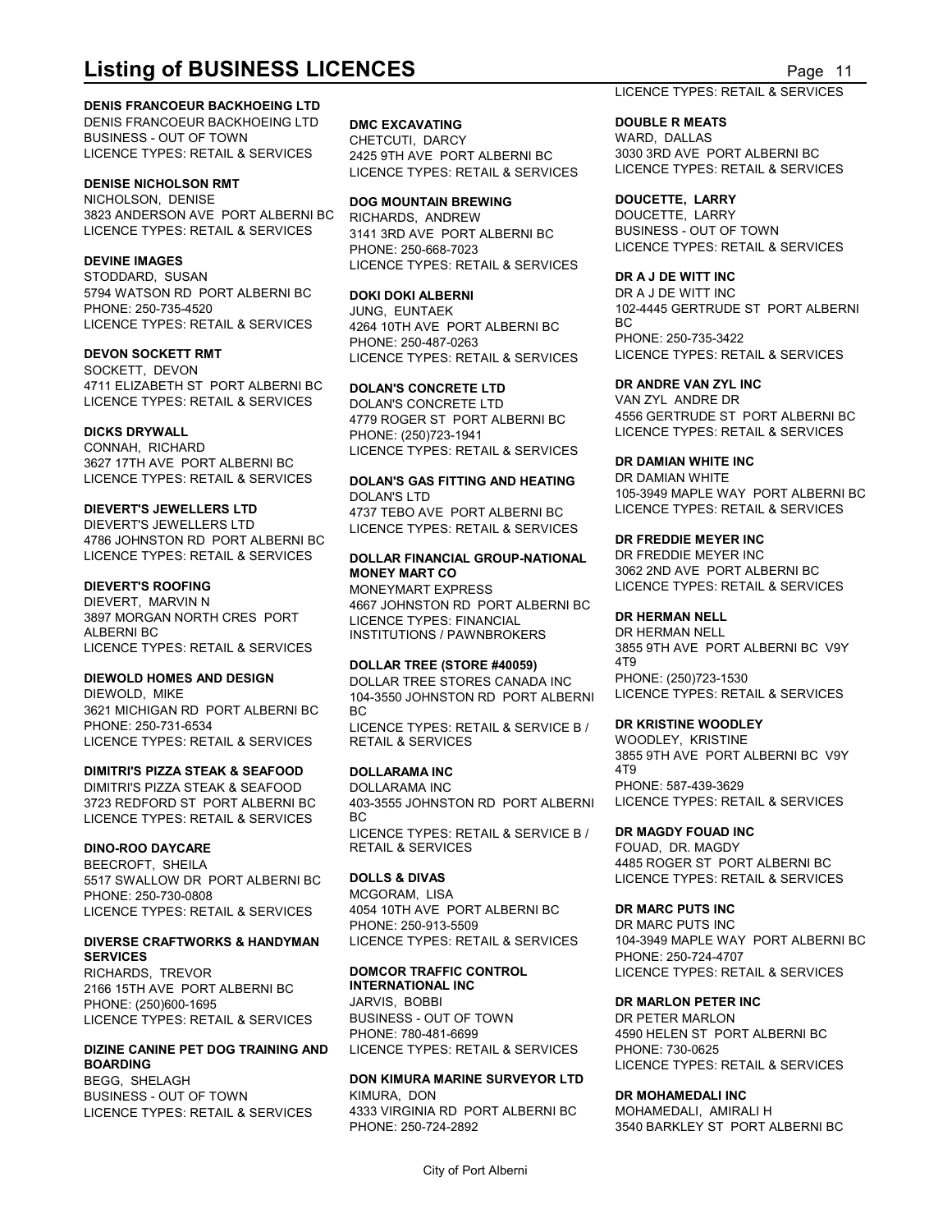#### **DENIS FRANCOEUR BACKHOEING LTD**

DENIS FRANCOEUR BACKHOEING LTD BUSINESS - OUT OF TOWN LICENCE TYPES: RETAIL & SERVICES 2425 9TH AVE PORT ALBERNI BC

#### **DENISE NICHOLSON RMT**

NICHOLSON, DENISE **DOG MOUNTAIN BREWING** 3823 ANDERSON AVE PORT ALBERNI BC LICENCE TYPES: RETAIL & SERVICES

STODDARD, SUSAN 5794 WATSON RD PORT ALBERNI BC PHONE: 250-735-4520

SOCKETT, DEVON 4711 ELIZABETH ST PORT ALBERNI BC LICENCE TYPES: RETAIL & SERVICES

3627 17TH AVE PORT ALBERNI BC

DIEVERT'S JEWELLERS LTD LICENCE TYPES: RETAIL & SERVICES 4786 JOHNSTON RD PORT ALBERNI BC

3897 MORGAN NORTH CRES PORT LICENCE TYPES: RETAIL & SERVICES

3621 MICHIGAN RD PORT ALBERNI BC LICENCE TYPES: RETAIL & SERVICES

### **DIMITRI'S PIZZA STEAK & SEAFOOD**

DIMITRI'S PIZZA STEAK & SEAFOOD LICENCE TYPES: RETAIL & SERVICES

#### **DINO-ROO DAYCARE**

BEECROFT, SHEILA<br>5517 SWALLOW DR PORT ALBERNI BC DOLLS & DIVAS 5517 SWALLOW DR PORT ALBERNI BC PHONE: 250-730-0808 LICENCE TYPES: RETAIL & SERVICES

### **DIVERSE CRAFTWORKS & HANDYMAN SERVICES**

RICHARDS, TREVOR 2166 15TH AVE PORT ALBERNI BC PHONE: (250)600-1695 LICENCE TYPES: RETAIL & SERVICES BUSINESS - OUT OF 1<br>PHONE: 780-481-6699

#### **DIZINE CANINE PET DOG TRAINING AND BOARDING**

BUSINESS - OUT OF TOWN

**LISTING OF BUSINESS LICENCES**<br>
DENIS FRANCOEUR BACKHOEING LTD<br>
DENIS FRANCOEUR BACKHOEING LTD<br>
BUSINESS - OUT OF TOWN<br>
LICENCE TYPES: RETAIL & SERVICES<br>
PARD, DALLAS<br>
LICENCE TYPES: RETAIL & SERVICES<br>
PARD, DALLAS<br>
PARD, **DMC EXCAVATING** CHETCUTI, DARCY 2425 9TH AVE PORT ALBERNI BC 3030 3RD AVE PORT ALBERNI BC LICENCE TYPES: RETAIL & SERVICES

**DEVINE IMAGES** LICENCE TYPES: RETAIL & SERVICES RICHARDS, ANDREW 3141 3RD AVE PORT ALBERNI BC PHONE: 250-668-7023

#### **DOKI DOKI ALBERNI**

**DEVON SOCKETT RMT** LICENCE TYPES: RETAIL & SERVICES PHONE: 250-487-0263

#### **DOLAN'S CONCRETE LTD**

**DICKS DRYWALL** PHONE: (250)723-1941 CONNAH, RICHARD LICENCE TYPES: RETAIL & SERVICES DOLAN'S CONCRETE LTD 4779 ROGER ST PORT ALBERNI BC

## **MONEY MART CO** 3062 2ND AVE PORT ALBERNI BC

**DIEVERT'S ROOFING** DIEVERT, MARVIN N 4667 JOHNSTON RD PORT ALBERNI BC ALBERNI BC INSTITUTIONS / PAWNBROKERS MONEYMART EXPRESS LICENCE TYPES: RETAIL & SERVICES LICENCE TYPES: FINANCIAL

## **DOLLAR TREE (STORE #40059)**

DIEWOLD, MIKE 104-3550 JOHNSTON RD PORT ALBERNI PHONE: 250-731-6534 LICENCE TYPES: RETAIL & SERVICE B / **DR KRISTINE WOC** BC and the state of the state of the state of the state of the state of the state of the state of the state of RETAIL & SERVICES

#### **DOLLARAMA INC**

3723 REDFORD ST PORT ALBERNI BC 403-3555 JOHNSTON RD PORT ALBERNI DOLLARAMA INC BC and the state of the state of the state of the state of the state of the state of the state of the state of LICENCE TYPES: RETAIL & SERVICE B / RETAIL & SERVICES

MCGORAM, LISA 4054 10TH AVE PORT ALBERNI BC PHONE: 250-913-5509 LICENCE TYPES: RETAIL & SERVICES

## **INTERNATIONAL INC**

JARVIS, BOBBI BUSINESS - OUT OF TOWN LICENCE TYPES: RETAIL & SERVICES

## BEGG, SHELAGH **DON KIMURA MARINE SURVEYOR LTD**

LICENCE TYPES: RETAIL & SERVICES 4333 VIRGINIA RD PC<br>PHONE: 250-724-2892 4333 VIRGINIA RD PORT ALBERNI BC

#### LICENCE TYPES: RETAIL & SERVICES

#### **DOUBLE R MEATS**

WARD, DALLAS LICENCE TYPES: RETAIL & SERVICES

#### **DOUCETTE, LARRY**

DOUCETTE, LARRY BUSINESS - OUT OF TOWN LICENCE TYPES: RETAIL & SERVICES

#### **DR A J DE WITT INC**

LICENCE TYPES: RETAIL & SERVICES 4264 10TH AVE PORT ALBERNI BC JUNG, EUNTAEK 102-4445 GERTRUDE ST PORT ALBERNI DR A J DE WITT INC BC and the state of the state of the state of the state of the state of the state of the state of the state of PHONE: 250-735-3422 LICENCE TYPES: RETAIL & SERVICES

### **DR ANDRE VAN ZYL INC**

VAN ZYL ANDRE DR 4556 GERTRUDE ST PORT ALBERNI BC LICENCE TYPES: RETAIL & SERVICES

### **DR DAMIAN WHITE INC**

LICENCE TYPES: RETAIL & SERVICES **DOLAN'S GAS FITTING AND HEATING** <sup>DR DAMIAN WHITE</sup> **DIEVERT'S JEWELLERS LTD** 4737 TEBO AVE PORT ALBERNI BC DOLAN'S LTD 105-3949 MAPLE WAY PORT ALBERNI BC DR DAMIAN WHITE LICENCE TYPES: RETAIL & SERVICES

### **DR FREDDIE MEYER INC**

LICENCE TYPES: RETAIL & SERVICES **DOLLAR FINANCIAL GROUP-NATIONAL** DR FREDDIE MEYER INC DR FREDDIE MEYER INC

### **DR HERMAN NELL**

**DIEWOLD HOMES AND DESIGN** DOLLAR TREE STORES CANADA INC DR HERMAN NELL 3855 9TH AVE PORT ALBERNI BC V9Y 4T9 PHONE: (250)723-1530 LICENCE TYPES: RETAIL & SERVICES

#### **DR KRISTINE WOODLEY**

WOODLEY, KRISTINE 3855 9TH AVE PORT ALBERNI BC V9Y 4T9 PHONE: 587-439-3629 LICENCE TYPES: RETAIL & SERVICES

#### **DR MAGDY FOUAD INC**

**DOLLS & DIVAS** LICENCE TYPES: RETAIL & SERVICES FOUAD, DR. MAGDY 4485 ROGER ST PORT ALBERNI BC

#### **DR MARC PUTS INC**

**DOMCOR TRAFFIC CONTROL** LICENCE TYPES: RETAIL & SERVICES DR MARC PUTS INC 104-3949 MAPLE WAY PORT ALBERNI BC PHONE: 250-724-4707

#### **DR MARLON PETER INC**

PHONE: 780-481-6699 4590 HELEN ST PORT ALBERNI BC DR PETER MARLON PHONE: 730-0625 LICENCE TYPES: RETAIL & SERVICES

#### KIMURA, DON **DR MOHAMEDALI INC**

PHONE: 250-724-2892 3540 BARKLEY ST PORT ALBERNI BC MOHAMEDALI, AMIRALI H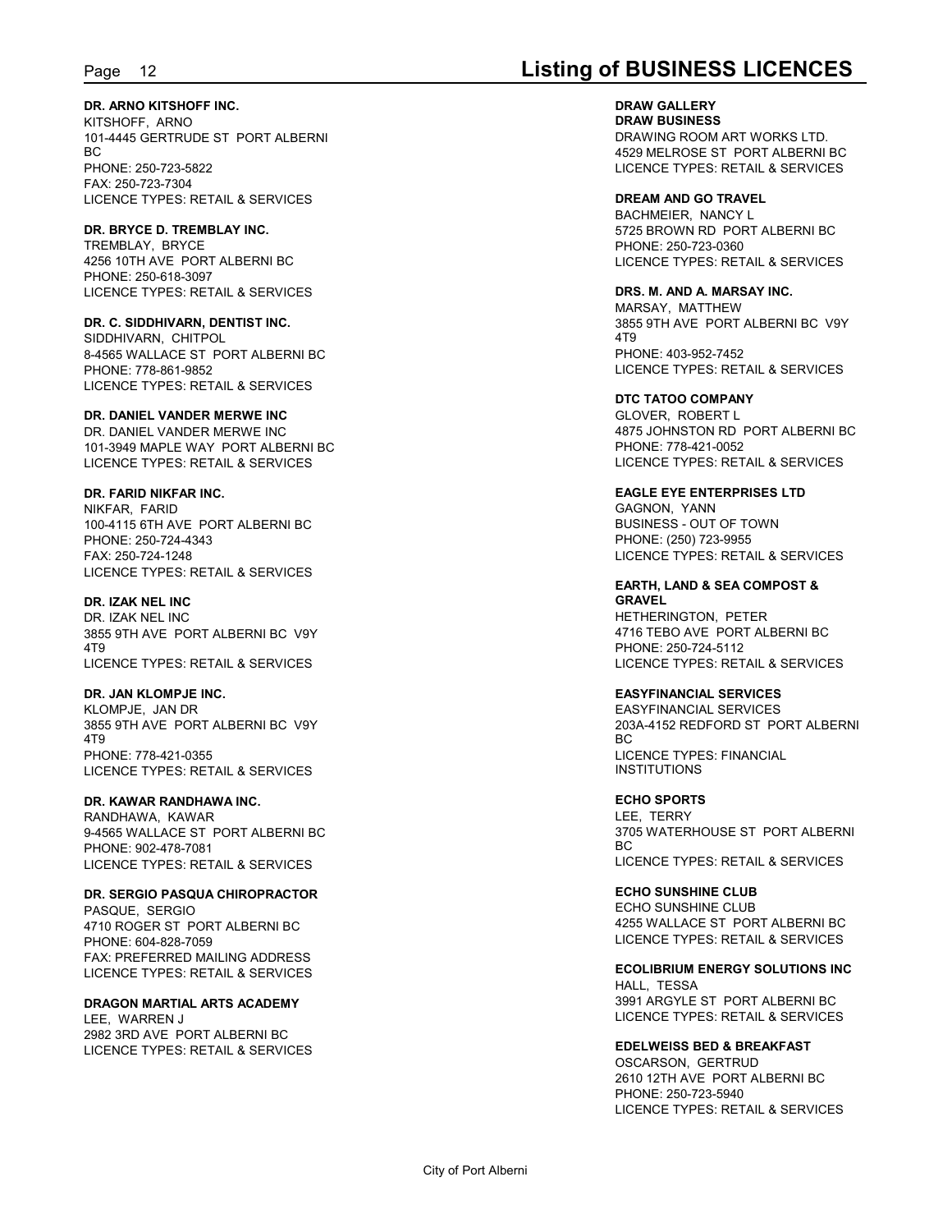## Page 12 **Listing of BUSINESS LICENCES**

**DR. ARNO KITSHOFF INC.**

KITSHOFF, ARNO 101-4445 GERTRUDE ST PORT ALBERNI BC and the state of the state of the state of the state of the state of the state of the state of the state of PHONE: 250-723-5822 FAX: 250-723-7304 LICENCE TYPES: RETAIL & SERVICES

**DR. BRYCE D. TREMBLAY INC.** TREMBLAY, BRYCE 4256 10TH AVE PORT ALBERNI BC PHONE: 250-618-3097 LICENCE TYPES: RETAIL & SERVICES

**DR. C. SIDDHIVARN, DENTIST INC.** SIDDHIVARN, CHITPOL 8-4565 WALLACE ST PORT ALBERNI BC PHONE: 778-861-9852 LICENCE TYPES: RETAIL & SERVICES

#### **DR. DANIEL VANDER MERWE INC**

DR. DANIEL VANDER MERWE INC 101-3949 MAPLE WAY PORT ALBERNI BC LICENCE TYPES: RETAIL & SERVICES

**DR. FARID NIKFAR INC.**

NIKFAR, FARID 100-4115 6TH AVE PORT ALBERNI BC PHONE: 250-724-4343 FAX: 250-724-1248 LICENCE TYPES: RETAIL & SERVICES

**DR. IZAK NEL INC**

DR. IZAK NEL INC 3855 9TH AVE PORT ALBERNI BC V9Y 4T9 LICENCE TYPES: RETAIL & SERVICES

**DR. JAN KLOMPJE INC.** KLOMPJE, JAN DR 3855 9TH AVE PORT ALBERNI BC V9Y 4T9

PHONE: 778-421-0355 LICENCE TYPES: RETAIL & SERVICES

### **DR. KAWAR RANDHAWA INC.**

RANDHAWA, KAWAR 9-4565 WALLACE ST\_PORT ALBERNI BC<br>PHONE: 002.478.7081 PHONE: 902-478-7081 LICENCE TYPES: RETAIL & SERVICES

**DR. SERGIO PASQUA CHIROPRACTOR** PASQUE, SERGIO 4710 ROGER ST PORT ALBERNI BC PHONE: 604-828-7059 FAX: PREFERRED MAILING ADDRESS LICENCE TYPES: RETAIL & SERVICES

**DRAGON MARTIAL ARTS ACADEMY** LEE, WARREN J

2982 3RD AVE PORT ALBERNI BC LICENCE TYPES: RETAIL & SERVICES

**DRAW GALLERY DRAW BUSINESS** DRAWING ROOM ART WORKS LTD. 4529 MELROSE ST PORT ALBERNI BC LICENCE TYPES: RETAIL & SERVICES

**DREAM AND GO TRAVEL** BACHMEIER, NANCY L 5725 BROWN RD PORT ALBERNI BC PHONE: 250-723-0360 LICENCE TYPES: RETAIL & SERVICES

**DRS. M. AND A. MARSAY INC.** MARSAY, MATTHEW 3855 9TH AVE PORT ALBERNI BC V9Y 4T9

PHONE: 403-952-7452 LICENCE TYPES: RETAIL & SERVICES

**DTC TATOO COMPANY**

GLOVER, ROBERT L 4875 JOHNSTON RD PORT ALBERNI BC PHONE: 778-421-0052 LICENCE TYPES: RETAIL & SERVICES

**EAGLE EYE ENTERPRISES LTD**

GAGNON, YANN BUSINESS - OUT OF TOWN PHONE: (250) 723-9955 LICENCE TYPES: RETAIL & SERVICES

**EARTH, LAND & SEA COMPOST & GRAVEL** HETHERINGTON, PETER

4716 TEBO AVE PORT ALBERNI BC PHONE: 250-724-5112 LICENCE TYPES: RETAIL & SERVICES

**EASYFINANCIAL SERVICES**

EASYFINANCIAL SERVICES 203A-4152 REDFORD ST PORT ALBERNI BC and the state of the state of the state of the state of the state of the state of the state of the state of LICENCE TYPES: FINANCIAL INSTITUTIONS

**ECHO SPORTS** LEE, TERRY 3705 WATERHOUSE ST PORT ALBERNI BC and the state of the state of the state of the state of the state of the state of the state of the state of LICENCE TYPES: RETAIL & SERVICES

**ECHO SUNSHINE CLUB** ECHO SUNSHINE CLUB 4255 WALLACE ST PORT ALBERNI BC LICENCE TYPES: RETAIL & SERVICES

**ECOLIBRIUM ENERGY SOLUTIONS INC** HALL, TESSA 3991 ARGYLE ST PORT ALBERNI BC LICENCE TYPES: RETAIL & SERVICES

**EDELWEISS BED & BREAKFAST** OSCARSON, GERTRUD 2610 12TH AVE PORT ALBERNI BC PHONE: 250-723-5940 LICENCE TYPES: RETAIL & SERVICES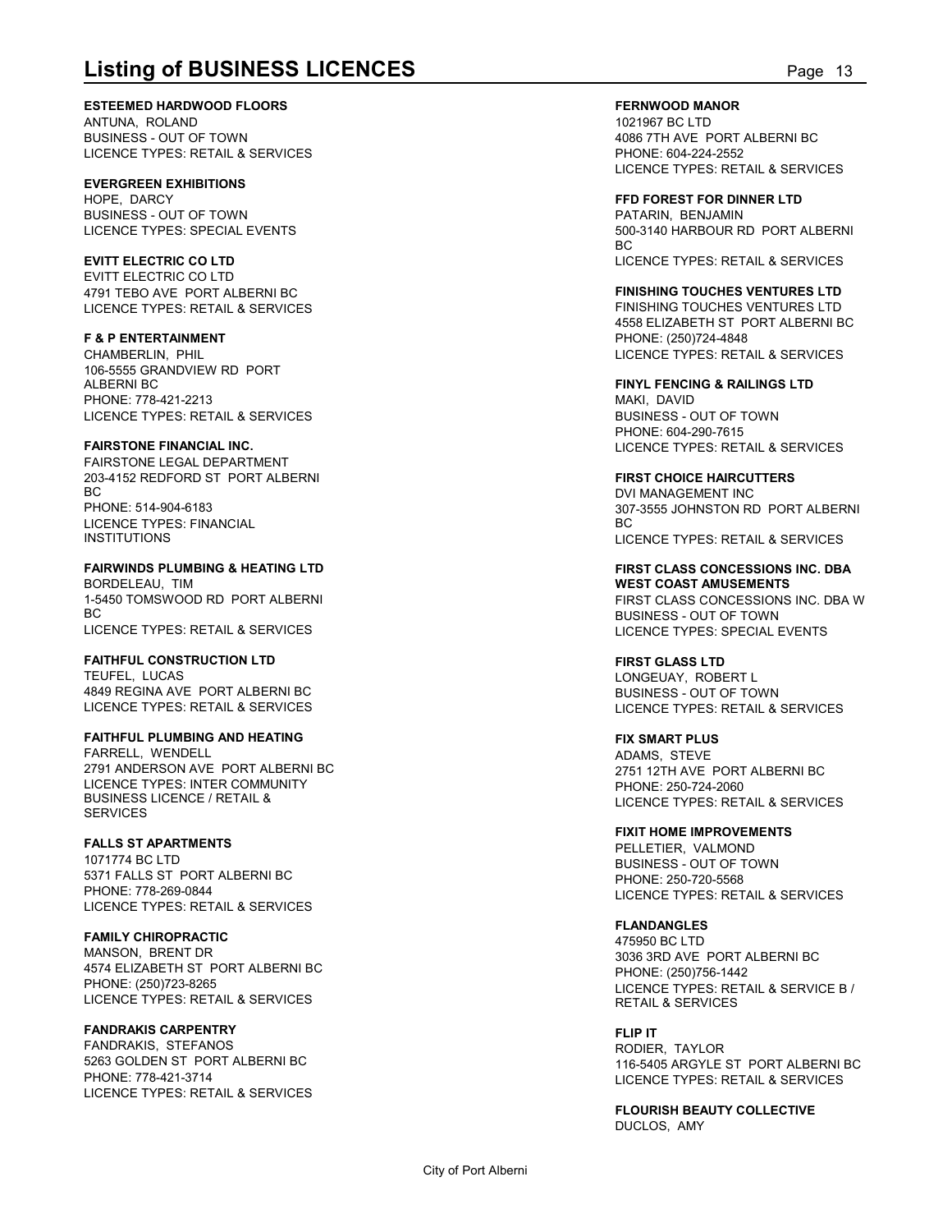**ESTEEMED HARDWOOD FLOORS**

ANTUNA, ROLAND BUSINESS - OUT OF TOWN LICENCE TYPES: RETAIL & SERVICES

### **EVERGREEN EXHIBITIONS**

HOPE DARCY BUSINESS - OUT OF TOWN LICENCE TYPES: SPECIAL EVENTS

### **EVITT ELECTRIC CO LTD**

EVITT ELECTRIC CO LTD 4791 TEBO AVE PORT ALBERNI BC LICENCE TYPES: RETAIL & SERVICES

### **F & P ENTERTAINMENT**

CHAMBERLIN, PHIL 106-5555 GRANDVIEW RD PORT ALBERNI BC PHONE: 778-421-2213 LICENCE TYPES: RETAIL & SERVICES

### **FAIRSTONE FINANCIAL INC.**

FAIRSTONE LEGAL DEPARTMENT 203-4152 REDFORD ST PORT ALBERNI BC and the state of the state of the state of the state of the state of the state of the state of the state of PHONE: 514-904-6183 LICENCE TYPES: FINANCIAL **INSTITUTIONS** 

### **FAIRWINDS PLUMBING & HEATING LTD**

BORDELEAU, TIM 1-5450 TOMSWOOD RD PORT ALBERNI BC and the state of the state of the state of the state of the state of the state of the state of the state of LICENCE TYPES: RETAIL & SERVICES

### **FAITHFUL CONSTRUCTION LTD**

TEUFEL, LUCAS 4849 REGINA AVE PORT ALBERNI BC LICENCE TYPES: RETAIL & SERVICES

### **FAITHFUL PLUMBING AND HEATING**

FARRELL, WENDELL 2791 ANDERSON AVE PORT ALBERNI BC LICENCE TYPES: INTER COMMUNITY BUSINESS LICENCE / RETAIL & **SERVICES** 

### **FALLS ST APARTMENTS**

1071774 BC LTD 5371 FALLS ST PORT ALBERNI BC PHONE: 778-269-0844 LICENCE TYPES: RETAIL & SERVICES

### **FAMILY CHIROPRACTIC**

MANSON, BRENT DR 4574 ELIZABETH ST PORT ALBERNI BC PHONE: (250)723-8265 LICENCE TYPES: RETAIL & SERVICES

### **FANDRAKIS CARPENTRY**

FANDRAKIS, STEFANOS 5263 GOLDEN ST PORT ALBERNI BC PHONE: 778-421-3714 LICENCE TYPES: RETAIL & SERVICES **FERNWOOD MANOR**

**Listing of BUSINESS LICENCES**<br>
Page 13<br>
ESTEEMED HARDWOOD FLOORS<br>
ANTUNA, ROLAND<br>
BUSINESS - OUT OF TOWN<br>
LICENCE TYPES: RETAIL & SERVICES<br>
PHONE: 604-224-2552<br>
LICENCE TYPES: RETAIL & SERVICES<br>
PHONE: 604-224-2552<br>
LICEN 1021967 BC LTD 4086 7TH AVE PORT ALBERNI BC PHONE: 604-224-2552 LICENCE TYPES: RETAIL & SERVICES

> **FFD FOREST FOR DINNER LTD** PATARIN, BENJAMIN 500-3140 HARBOUR RD PORT ALBERNI BC and the state of the state of the state of the state of the state of the state of the state of the state of LICENCE TYPES: RETAIL & SERVICES

### **FINISHING TOUCHES VENTURES LTD**

FINISHING TOUCHES VENTURES LTD 4558 ELIZABETH ST PORT ALBERNI BC PHONE: (250)724-4848 LICENCE TYPES: RETAIL & SERVICES

**FINYL FENCING & RAILINGS LTD** MAKI, DAVID BUSINESS - OUT OF TOWN PHONE: 604-290-7615 LICENCE TYPES: RETAIL & SERVICES

### **FIRST CHOICE HAIRCUTTERS**

DVI MANAGEMENT INC 307-3555 JOHNSTON RD PORT ALBERNI BC and the state of the state of the state of the state of the state of the state of the state of the state of LICENCE TYPES: RETAIL & SERVICES

**FIRST CLASS CONCESSIONS INC. DBA WEST COAST AMUSEMENTS** FIRST CLASS CONCESSIONS INC. DBA W BUSINESS - OUT OF TOWN LICENCE TYPES: SPECIAL EVENTS

**FIRST GLASS LTD**

LONGEUAY, ROBERT L BUSINESS - OUT OF TOWN LICENCE TYPES: RETAIL & SERVICES

### **FIX SMART PLUS**

ADAMS, STEVE 2751 12TH AVE PORT ALBERNI BC PHONE: 250-724-2060 LICENCE TYPES: RETAIL & SERVICES

#### **FIXIT HOME IMPROVEMENTS**

PELLETIER, VALMOND BUSINESS - OUT OF TOWN PHONE: 250-720-5568 LICENCE TYPES: RETAIL & SERVICES

### **FLANDANGLES**

475950 BC LTD 3036 3RD AVE PORT ALBERNI BC PHONE: (250)756-1442 LICENCE TYPES: RETAIL & SERVICE B / RETAIL & SERVICES

**FLIP IT** RODIER, TAYLOR 116-5405 ARGYLE ST PORT ALBERNI BC LICENCE TYPES: RETAIL & SERVICES

**FLOURISH BEAUTY COLLECTIVE** DUCLOS, AMY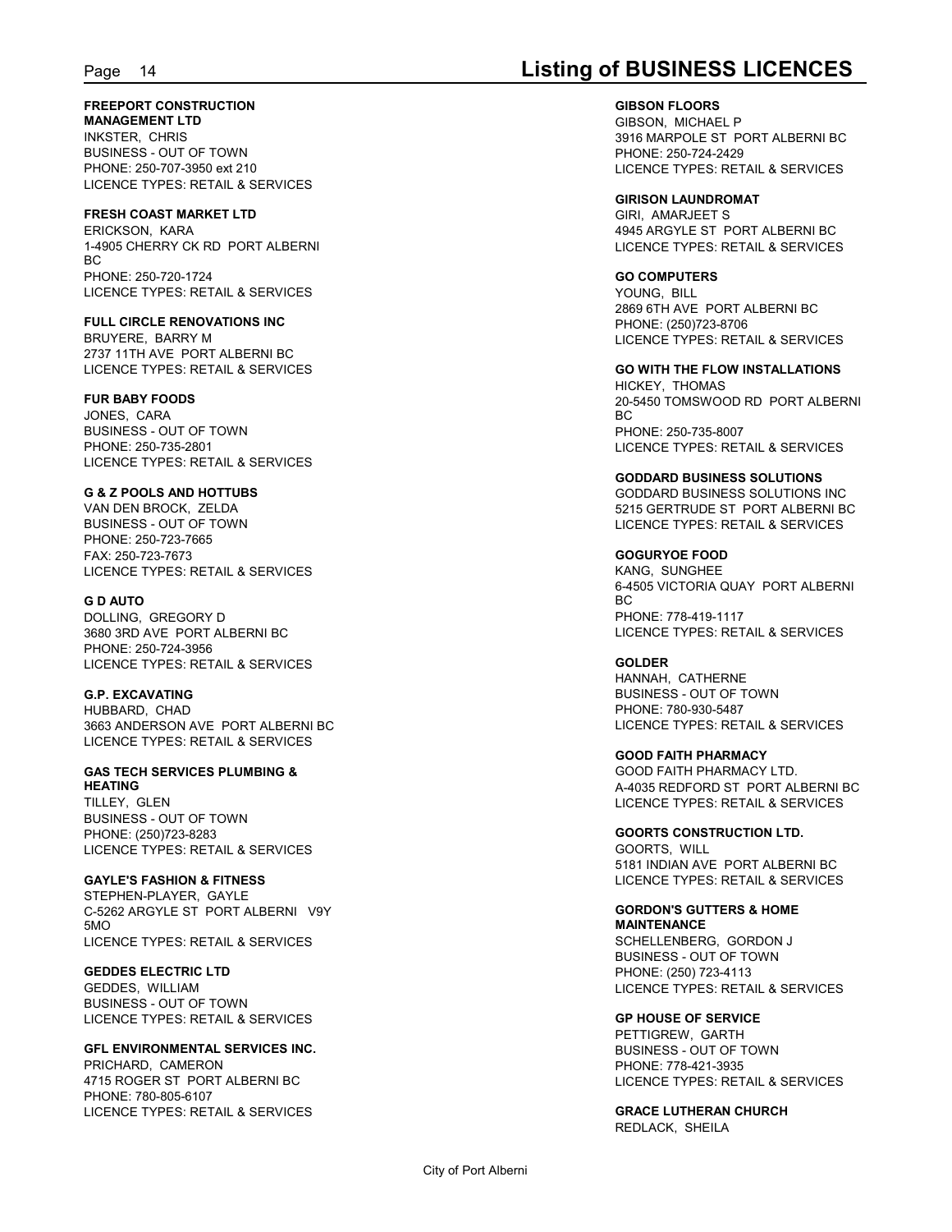## Page 14 **Listing of BUSINESS LICENCES**

**FREEPORT CONSTRUCTION**

**MANAGEMENT LTD** INKSTER, CHRIS BUSINESS - OUT OF TOWN PHONE: 250-707-3950 ext 210 LICENCE TYPES: RETAIL & SERVICES

#### **FRESH COAST MARKET LTD**

ERICKSON, KARA 1-4905 CHERRY CK RD PORT ALBERNI BC and the state of the state of the state of the state of the state of the state of the state of the state of PHONE: 250-720-1724 LICENCE TYPES: RETAIL & SERVICES

**FULL CIRCLE RENOVATIONS INC** BRUYERE, BARRY M 2737 11TH AVE PORT ALBERNI BC LICENCE TYPES: RETAIL & SERVICES

**FUR BABY FOODS**

JONES, CARA BUSINESS - OUT OF TOWN PHONE: 250-735-2801 LICENCE TYPES: RETAIL & SERVICES

**G & Z POOLS AND HOTTUBS**

VAN DEN BROCK, ZELDA BUSINESS - OUT OF TOWN PHONE: 250-723-7665 FAX: 250-723-7673 LICENCE TYPES: RETAIL & SERVICES

**G D AUTO** DOLLING, GREGORY D 3680 3RD AVE PORT ALBERNI BC PHONE: 250-724-3956 LICENCE TYPES: RETAIL & SERVICES

**G.P. EXCAVATING** HUBBARD, CHAD 3663 ANDERSON AVE PORT ALBERNI BC LICENCE TYPES: RETAIL & SERVICES

**GAS TECH SERVICES PLUMBING & HEATING** TILLEY, GLEN BUSINESS - OUT OF TOWN PHONE: (250)723-8283

LICENCE TYPES: RETAIL & SERVICES **GAYLE'S FASHION & FITNESS** STEPHEN-PLAYER, GAYLE

C-5262 ARGYLE ST PORT ALBERNI V9Y 5MO LICENCE TYPES: RETAIL & SERVICES

**GEDDES ELECTRIC LTD** GEDDES, WILLIAM BUSINESS - OUT OF TOWN LICENCE TYPES: RETAIL & SERVICES

**GFL ENVIRONMENTAL SERVICES INC.** PRICHARD, CAMERON 4715 ROGER ST PORT ALBERNI BC PHONE: 780-805-6107 LICENCE TYPES: RETAIL & SERVICES

**GIBSON FLOORS** GIBSON, MICHAEL P 3916 MARPOLE ST PORT ALBERNI BC PHONE: 250-724-2429 LICENCE TYPES: RETAIL & SERVICES

**GIRISON LAUNDROMAT** GIRI, AMARJEET S 4945 ARGYLE ST PORT ALBERNI BC LICENCE TYPES: RETAIL & SERVICES

#### **GO COMPUTERS**

YOUNG, BILL 2869 6TH AVE PORT ALBERNI BC PHONE: (250)723-8706 LICENCE TYPES: RETAIL & SERVICES

**GO WITH THE FLOW INSTALLATIONS** HICKEY, THOMAS 20-5450 TOMSWOOD RD PORT ALBERNI BC and the state of the state of the state of the state of the state of the state of the state of the state of PHONE: 250-735-8007 LICENCE TYPES: RETAIL & SERVICES

**GODDARD BUSINESS SOLUTIONS** GODDARD BUSINESS SOLUTIONS INC 5215 GERTRUDE ST PORT ALBERNI BC LICENCE TYPES: RETAIL & SERVICES

**GOGURYOE FOOD** KANG, SUNGHEE 6-4505 VICTORIA QUAY PORT ALBERNI BC and the state of the state of the state of the state of the state of the state of the state of the state of PHONE: 778-419-1117 LICENCE TYPES: RETAIL & SERVICES

**GOLDER** HANNAH, CATHERNE BUSINESS - OUT OF TOWN PHONE: 780-930-5487 LICENCE TYPES: RETAIL & SERVICES

**GOOD FAITH PHARMACY** GOOD FAITH PHARMACY LTD. A-4035 REDFORD ST PORT ALBERNI BC LICENCE TYPES: RETAIL & SERVICES

**GOORTS CONSTRUCTION LTD.** GOORTS, WILL 5181 INDIAN AVE PORT ALBERNI BC LICENCE TYPES: RETAIL & SERVICES

**GORDON'S GUTTERS & HOME MAINTENANCE**

SCHELLENBERG, GORDON J BUSINESS - OUT OF TOWN PHONE: (250) 723-4113 LICENCE TYPES: RETAIL & SERVICES

**GP HOUSE OF SERVICE** PETTIGREW, GARTH BUSINESS - OUT OF TOWN PHONE: 778-421-3935 LICENCE TYPES: RETAIL & SERVICES

**GRACE LUTHERAN CHURCH** REDLACK, SHEILA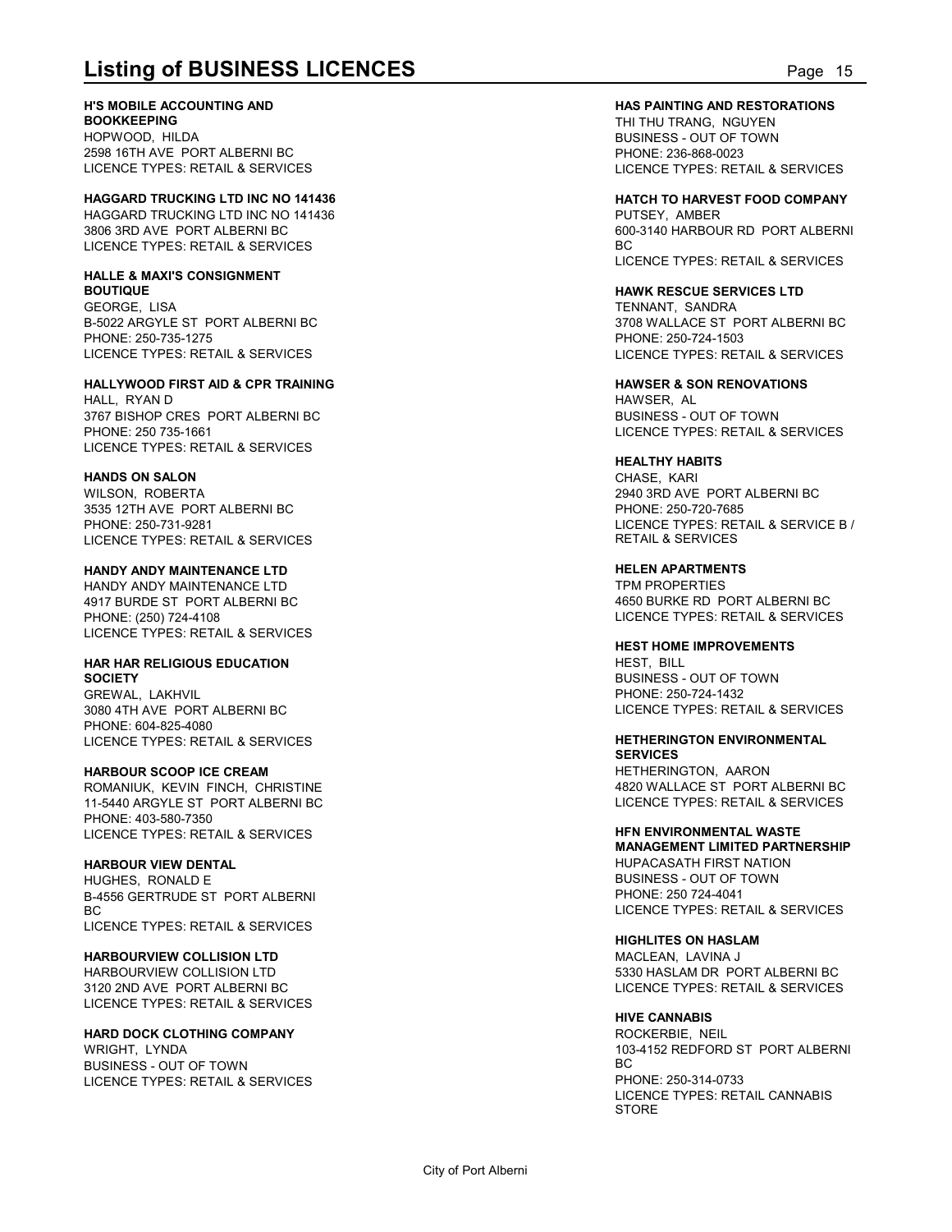#### **H'S MOBILE ACCOUNTING AND**

**BOOKKEEPING** HOPWOOD, HILDA 2598 16TH AVE PORT ALBERNI BC LICENCE TYPES: RETAIL & SERVICES

**HAGGARD TRUCKING LTD INC NO 141436** HAGGARD TRUCKING LTD INC NO 141436 3806 3RD AVE PORT ALBERNI BC LICENCE TYPES: RETAIL & SERVICES

#### **HALLE & MAXI'S CONSIGNMENT BOUTIQUE**

GEORGE, LISA B-5022 ARGYLE ST PORT ALBERNI BC PHONE: 250-735-1275 LICENCE TYPES: RETAIL & SERVICES

**HALLYWOOD FIRST AID & CPR TRAINING** HALL, RYAN D

3767 BISHOP CRES PORT ALBERNI BC PHONE: 250 735-1661 LICENCE TYPES: RETAIL & SERVICES

#### **HANDS ON SALON**

WILSON, ROBERTA 3535 12TH AVE PORT ALBERNI BC PHONE: 250-731-9281 LICENCE TYPES: RETAIL & SERVICES

### **HANDY ANDY MAINTENANCE LTD**

HANDY ANDY MAINTENANCE LTD 4917 BURDE ST PORT ALBERNI BC PHONE: (250) 724-4108 LICENCE TYPES: RETAIL & SERVICES

### **HAR HAR RELIGIOUS EDUCATION**

**SOCIETY** GREWAL, LAKHVIL 3080 4TH AVE PORT ALBERNI BC PHONE: 604-825-4080 LICENCE TYPES: RETAIL & SERVICES

#### **HARBOUR SCOOP ICE CREAM**

ROMANIUK, KEVIN FINCH, CHRISTINE 11-5440 ARGYLE ST PORT ALBERNI BC PHONE: 403-580-7350 LICENCE TYPES: RETAIL & SERVICES

#### **HARBOUR VIEW DENTAL**

HUGHES, RONALD E B-4556 GERTRUDE ST PORT ALBERNI BC and the state of the state of the state of the state of the state of the state of the state of the state of LICENCE TYPES: RETAIL & SERVICES

#### **HARBOURVIEW COLLISION LTD**

HARBOURVIEW COLLISION LTD 3120 2ND AVE PORT ALBERNI BC LICENCE TYPES: RETAIL & SERVICES

#### **HARD DOCK CLOTHING COMPANY**

WRIGHT, LYNDA BUSINESS - OUT OF TOWN LICENCE TYPES: RETAIL & SERVICES **HAS PAINTING AND RESTORATIONS**

**Listing of BUSINESS LICENCES**<br> **Listing of BUSINESS LICENCES**<br> **EXECUTED BOOKKEEPING**<br>
HOPWOOD, HILDA<br>
POPWOOD, HILDA<br>
LICENCE TYPES: RETAIL & SERVICES<br>
PLOENCE TYPES: RETAIL & SERVICES<br>
PLOENCE TYPES: RETAIL & SERVICES THI THU TRANG, NGUYEN BUSINESS - OUT OF TOWN PHONE: 236-868-0023 LICENCE TYPES: RETAIL & SERVICES

> **HATCH TO HARVEST FOOD COMPANY** PUTSEY, AMBER 600-3140 HARBOUR RD PORT ALBERNI BC and the state of the state of the state of the state of the state of the state of the state of the state of LICENCE TYPES: RETAIL & SERVICES

#### **HAWK RESCUE SERVICES LTD**

TENNANT, SANDRA 3708 WALLACE ST PORT ALBERNI BC PHONE: 250-724-1503 LICENCE TYPES: RETAIL & SERVICES

#### **HAWSER & SON RENOVATIONS** HAWSER, AL BUSINESS - OUT OF TOWN LICENCE TYPES: RETAIL & SERVICES

#### **HEALTHY HABITS**

CHASE, KARI 2940 3RD AVE PORT ALBERNI BC PHONE: 250-720-7685 LICENCE TYPES: RETAIL & SERVICE B / RETAIL & SERVICES

### **HELEN APARTMENTS**

TPM PROPERTIES 4650 BURKE RD PORT ALBERNI BC LICENCE TYPES: RETAIL & SERVICES

#### **HEST HOME IMPROVEMENTS**

HEST, BILL BUSINESS - OUT OF TOWN PHONE: 250-724-1432 LICENCE TYPES: RETAIL & SERVICES

#### **HETHERINGTON ENVIRONMENTAL SERVICES**

HETHERINGTON, AARON 4820 WALLACE ST PORT ALBERNI BC LICENCE TYPES: RETAIL & SERVICES

### **HFN ENVIRONMENTAL WASTE**

**MANAGEMENT LIMITED PARTNERSHIP** HUPACASATH FIRST NATION BUSINESS - OUT OF TOWN PHONE: 250 724-4041 LICENCE TYPES: RETAIL & SERVICES

#### **HIGHLITES ON HASLAM**

MACLEAN, LAVINA J 5330 HASLAM DR PORT ALBERNI BC LICENCE TYPES: RETAIL & SERVICES

#### **HIVE CANNABIS**

ROCKERBIE, NEIL 103-4152 REDFORD ST PORT ALBERNI BC and the state of the state of the state of the state of the state of the state of the state of the state of PHONE: 250-314-0733 LICENCE TYPES: RETAIL CANNABIS STORE **STORE**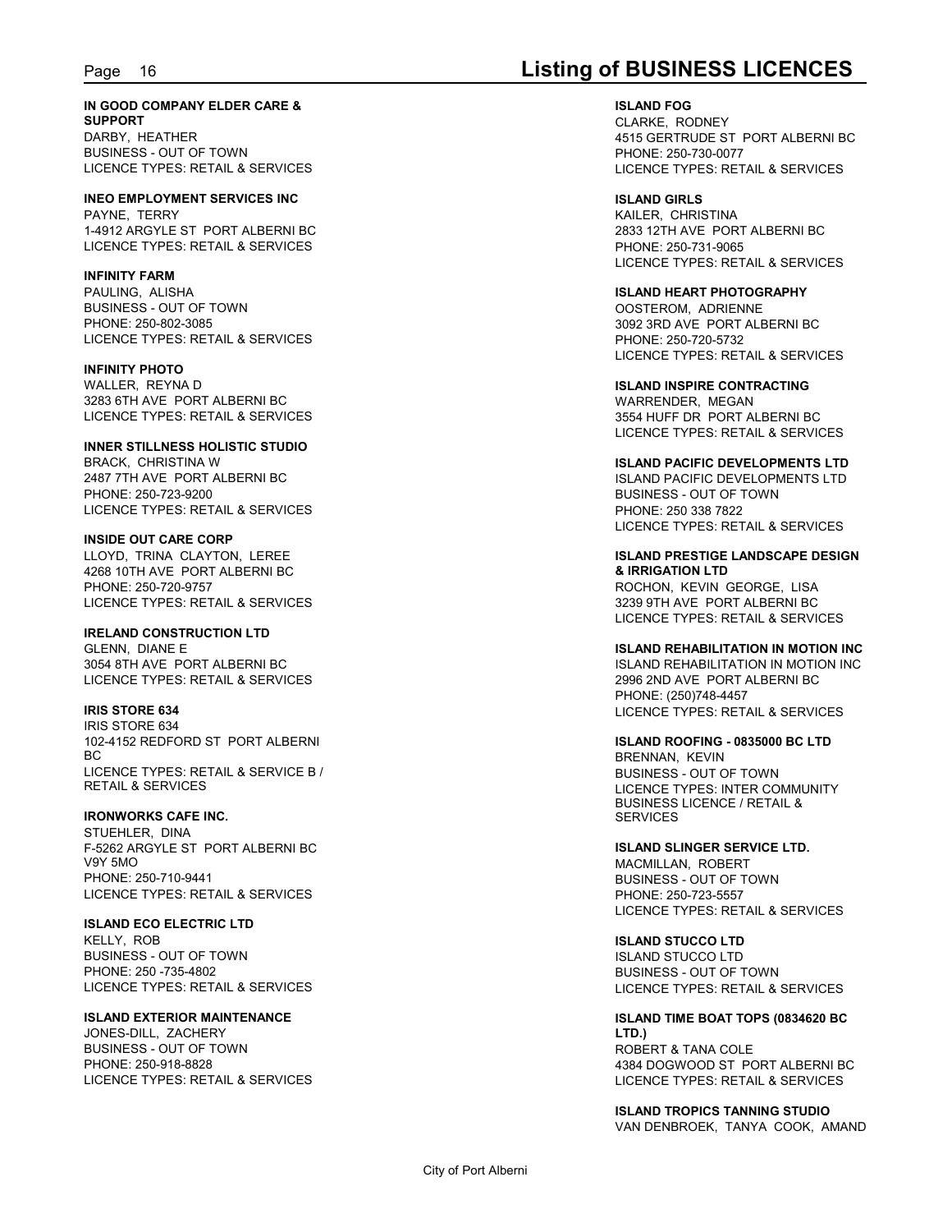## Page 16 **Listing of BUSINESS LICENCES**

**IN GOOD COMPANY ELDER CARE & SUPPORT**

DARBY, HEATHER BUSINESS - OUT OF TOWN LICENCE TYPES: RETAIL & SERVICES

**INEO EMPLOYMENT SERVICES INC** PAYNE, TERRY 1-4912 ARGYLE ST PORT ALBERNI BC LICENCE TYPES: RETAIL & SERVICES

**INFINITY FARM**

PAULING, ALISHA BUSINESS - OUT OF TOWN PHONE: 250-802-3085 LICENCE TYPES: RETAIL & SERVICES

**INFINITY PHOTO** WALLER, REYNA D 3283 6TH AVE PORT ALBERNI BC LICENCE TYPES: RETAIL & SERVICES

**INNER STILLNESS HOLISTIC STUDIO** BRACK, CHRISTINA W 2487 7TH AVE PORT ALBERNI BC PHONE: 250-723-9200 LICENCE TYPES: RETAIL & SERVICES

**INSIDE OUT CARE CORP** LLOYD, TRINA CLAYTON, LEREE 4268 10TH AVE PORT ALBERNI BC PHONE: 250-720-9757 LICENCE TYPES: RETAIL & SERVICES

**IRELAND CONSTRUCTION LTD** GLENN, DIANE E 3054 8TH AVE PORT ALBERNI BC LICENCE TYPES: RETAIL & SERVICES

**IRIS STORE 634** IRIS STORE 634 102-4152 REDFORD ST PORT ALBERNI BC and the state of the state of the state of the state of the state of the state of the state of the state of LICENCE TYPES: RETAIL & SERVICE B / RETAIL & SERVICES

**IRONWORKS CAFE INC.** STUEHLER, DINA F-5262 ARGYLE ST PORT ALBERNI BC V9Y 5MO PHONE: 250-710-9441 LICENCE TYPES: RETAIL & SERVICES

**ISLAND ECO ELECTRIC LTD** KELLY ROB BUSINESS - OUT OF TOWN PHONE: 250 -735-4802 LICENCE TYPES: RETAIL & SERVICES

**ISLAND EXTERIOR MAINTENANCE** JONES-DILL, ZACHERY

BUSINESS - OUT OF TOWN PHONE: 250-918-8828 LICENCE TYPES: RETAIL & SERVICES

**ISLAND FOG** CLARKE, RODNEY 4515 GERTRUDE ST PORT ALBERNI BC PHONE: 250-730-0077 LICENCE TYPES: RETAIL & SERVICES

**ISLAND GIRLS** KAILER, CHRISTINA 2833 12TH AVE PORT ALBERNI BC PHONE: 250-731-9065 LICENCE TYPES: RETAIL & SERVICES

**ISLAND HEART PHOTOGRAPHY** OOSTEROM, ADRIENNE 3092 3RD AVE PORT ALBERNI BC PHONE: 250-720-5732 LICENCE TYPES: RETAIL & SERVICES

**ISLAND INSPIRE CONTRACTING** WARRENDER, MEGAN 3554 HUFF DR PORT ALBERNI BC LICENCE TYPES: RETAIL & SERVICES

**ISLAND PACIFIC DEVELOPMENTS LTD** ISLAND PACIFIC DEVELOPMENTS LTD BUSINESS - OUT OF TOWN PHONE: 250 338 7822 LICENCE TYPES: RETAIL & SERVICES

**ISLAND PRESTIGE LANDSCAPE DESIGN & IRRIGATION LTD** ROCHON, KEVIN GEORGE, LISA 3239 9TH AVE PORT ALBERNI BC LICENCE TYPES: RETAIL & SERVICES

**ISLAND REHABILITATION IN MOTION INC** ISLAND REHABILITATION IN MOTION INC 2996 2ND AVE PORT ALBERNI BC PHONE: (250)748-4457 LICENCE TYPES: RETAIL & SERVICES

**ISLAND ROOFING - 0835000 BC LTD** BRENNAN, KEVIN BUSINESS - OUT OF TOWN LICENCE TYPES: INTER COMMUNITY BUSINESS LICENCE / RETAIL & SERVICES

**ISLAND SLINGER SERVICE LTD.** MACMILLAN, ROBERT BUSINESS - OUT OF TOWN PHONE: 250-723-5557 LICENCE TYPES: RETAIL & SERVICES

**ISLAND STUCCO LTD** ISLAND STUCCO LTD BUSINESS - OUT OF TOWN LICENCE TYPES: RETAIL & SERVICES

**ISLAND TIME BOAT TOPS (0834620 BC LTD.)** ROBERT & TANA COLE 4384 DOGWOOD ST PORT ALBERNI BC LICENCE TYPES: RETAIL & SERVICES

**ISLAND TROPICS TANNING STUDIO** VAN DENBROEK, TANYA COOK, AMAND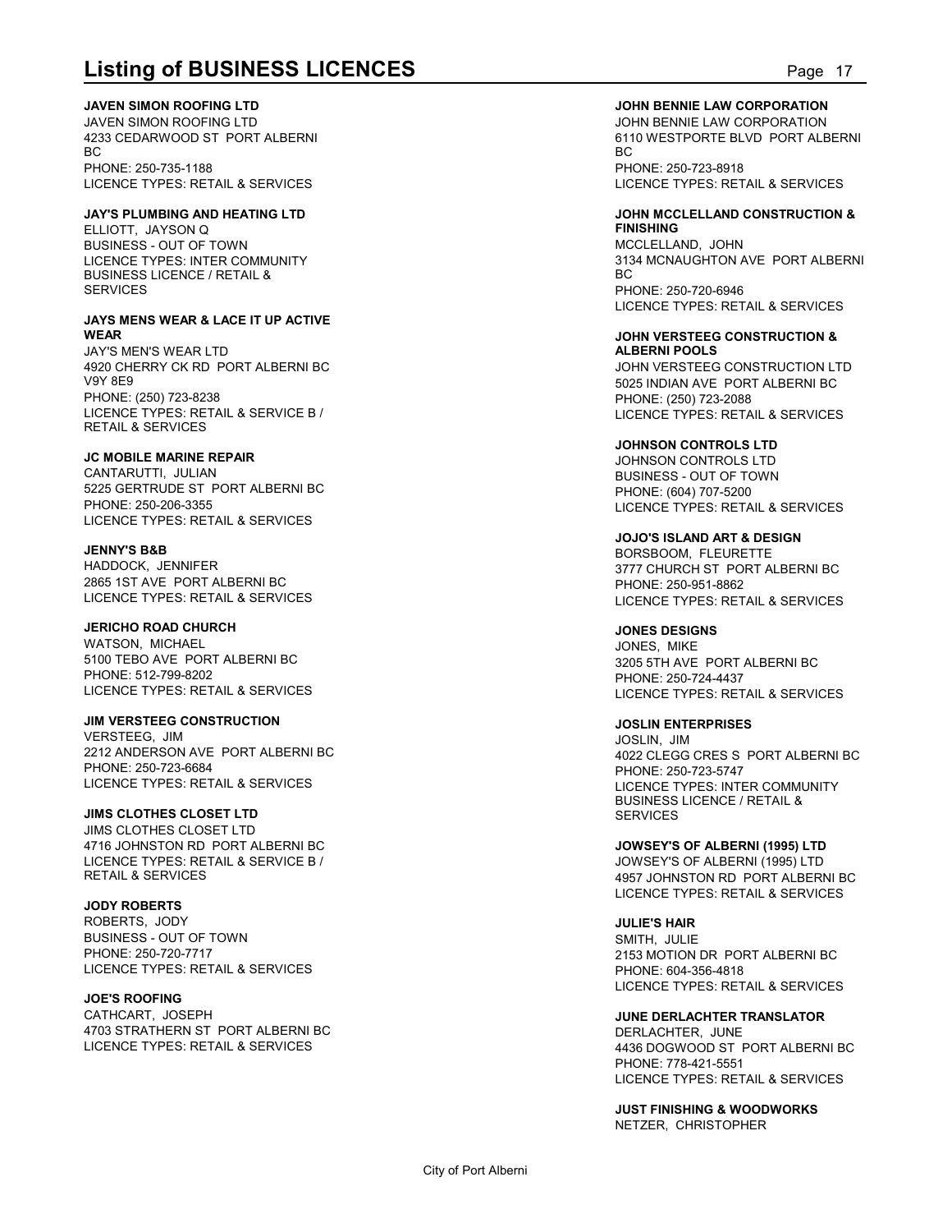**JAVEN SIMON ROOFING LTD**

JAVEN SIMON ROOFING LTD 4233 CEDARWOOD ST PORT ALBERNI BC and the state of the state of the state of the state of the state of the state of the state of the state of PHONE: 250-735-1188 LICENCE TYPES: RETAIL & SERVICES

#### **JAY'S PLUMBING AND HEATING LTD**

ELLIOTT, JAYSON Q BUSINESS - OUT OF TOWN LICENCE TYPES: INTER COMMUNITY<br>BLISINESS LICENCE / RETAIL & RO BUSINESS LICENCE / RETAIL & **SERVICES** 

#### **JAYS MENS WEAR & LACE IT UP ACTIVE WEAR**

JAY'S MEN'S WEAR LTD 4920 CHERRY CK RD PORT ALBERNI BC V9Y 8E9 PHONE: (250) 723-8238 LICENCE TYPES: RETAIL & SERVICE B / RETAIL & SERVICES

#### **JC MOBILE MARINE REPAIR**

CANTARUTTI, JULIAN 5225 GERTRUDE ST PORT ALBERNI BC PHONE: 250-206-3355 LICENCE TYPES: RETAIL & SERVICES

#### **JENNY'S B&B**

HADDOCK, JENNIFER 2865 1ST AVE PORT ALBERNI BC LICENCE TYPES: RETAIL & SERVICES

#### **JERICHO ROAD CHURCH**

WATSON, MICHAEL 5100 TEBO AVE PORT ALBERNI BC PHONE: 512-799-8202 LICENCE TYPES: RETAIL & SERVICES

#### **JIM VERSTEEG CONSTRUCTION**

VERSTEEG, JIM 2212 ANDERSON AVE PORT ALBERNI BC PHONE: 250-723-6684 LICENCE TYPES: RETAIL & SERVICES

### **JIMS CLOTHES CLOSET LTD**

JIMS CLOTHES CLOSET LTD 4716 JOHNSTON RD PORT ALBERNI BC LICENCE TYPES: RETAIL & SERVICE B / RETAIL & SERVICES

### **JODY ROBERTS**

ROBERTS, JODY BUSINESS - OUT OF TOWN PHONE: 250-720-7717 LICENCE TYPES: RETAIL & SERVICES

#### **JOE'S ROOFING**

CATHCART, JOSEPH 4703 STRATHERN ST PORT ALBERNI BC LICENCE TYPES: RETAIL & SERVICES

#### **JOHN BENNIE LAW CORPORATION**

**Listing of BUSINESS LICENCES**<br> **Listing of BUSINESS LICENCES**<br>
JAVEN SIMON ROOFING LTD<br>
JAVEN SIMON ROOFING LTD<br>
BC TO BOOK BENNIE LAW CORPORATION<br>
BC TO PHONE: 250-735-1188<br>
PHONE: 250-735-1188<br>
PHONE: 250-735-1188 JOHN BENNIE LAW CORPORATION 6110 WESTPORTE BLVD PORT ALBERNI BC and the state of the state of the state of the state of the state of the state of the state of the state of PHONE: 250-723-8918 LICENCE TYPES: RETAIL & SERVICES

#### **JOHN MCCLELLAND CONSTRUCTION & FINISHING**

MCCLELLAND, JOHN 3134 MCNAUGHTON AVE PORT ALBERNI BC and the state of the state of the state of the state of the state of the state of the state of the state of PHONE: 250-720-6946 LICENCE TYPES: RETAIL & SERVICES

#### **JOHN VERSTEEG CONSTRUCTION & ALBERNI POOLS**

JOHN VERSTEEG CONSTRUCTION LTD 5025 INDIAN AVE PORT ALBERNI BC PHONE: (250) 723-2088 LICENCE TYPES: RETAIL & SERVICES

#### **JOHNSON CONTROLS LTD**

JOHNSON CONTROLS LTD BUSINESS - OUT OF TOWN PHONE: (604) 707-5200 LICENCE TYPES: RETAIL & SERVICES

### **JOJO'S ISLAND ART & DESIGN**

BORSBOOM, FLEURETTE 3777 CHURCH ST PORT ALBERNI BC PHONE: 250-951-8862 LICENCE TYPES: RETAIL & SERVICES

#### **JONES DESIGNS**

JONES, MIKE 3205 5TH AVE PORT ALBERNI BC PHONE: 250-724-4437 LICENCE TYPES: RETAIL & SERVICES

#### **JOSLIN ENTERPRISES**

JOSLIN, JIM 4022 CLEGG CRES S PORT ALBERNI BC PHONE: 250-723-5747 LICENCE TYPES: INTER COMMUNITY BUSINESS LICENCE / RETAIL & **SERVICES** 

**JOWSEY'S OF ALBERNI (1995) LTD** JOWSEY'S OF ALBERNI (1995) LTD 4957 JOHNSTON RD PORT ALBERNI BC LICENCE TYPES: RETAIL & SERVICES

### **JULIE'S HAIR**

SMITH, JULIE 2153 MOTION DR PORT ALBERNI BC PHONE: 604-356-4818 LICENCE TYPES: RETAIL & SERVICES

#### **JUNE DERLACHTER TRANSLATOR** DERLACHTER, JUNE

4436 DOGWOOD ST PORT ALBERNI BC PHONE: 778-421-5551 LICENCE TYPES: RETAIL & SERVICES

**JUST FINISHING & WOODWORKS** NETZER, CHRISTOPHER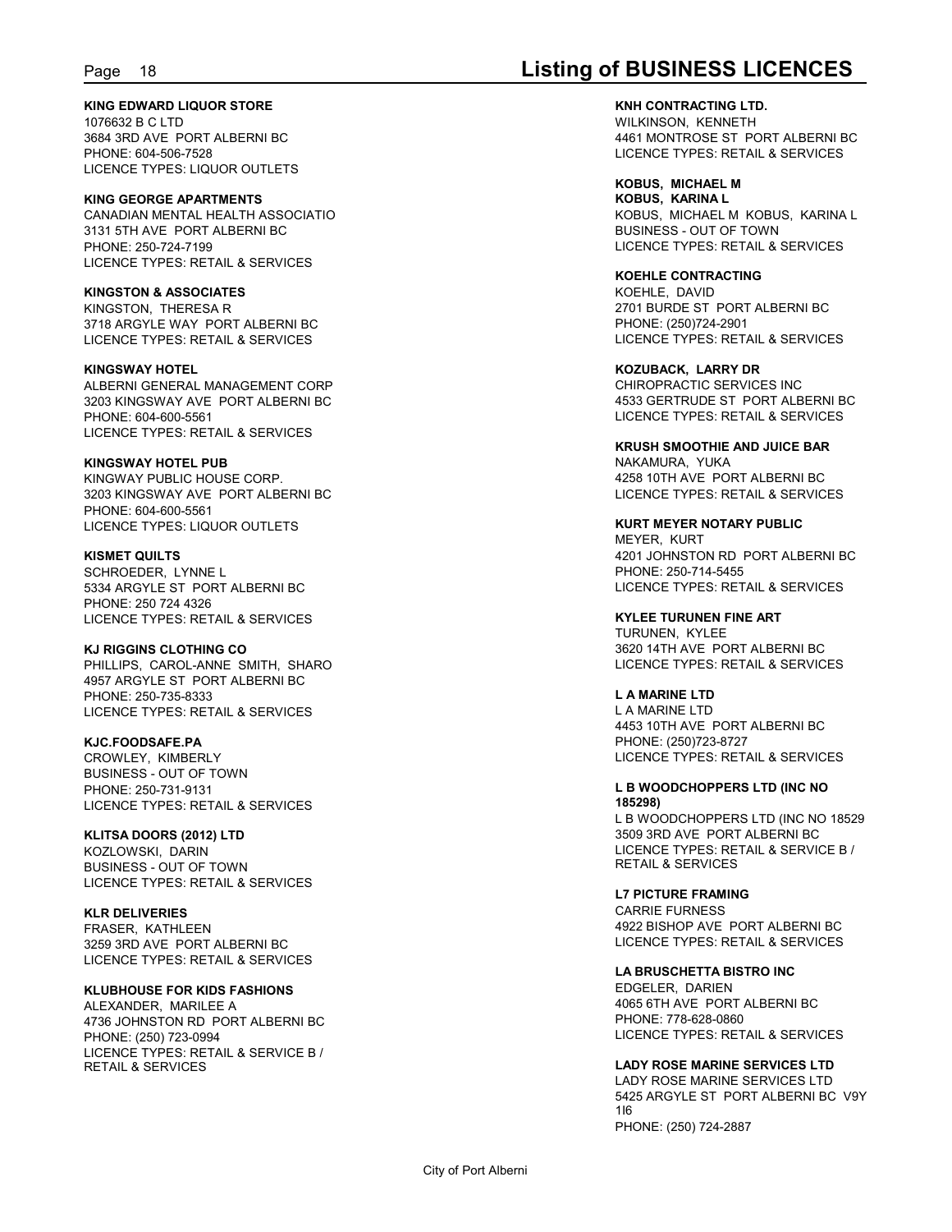#### **KING EDWARD LIQUOR STORE** 1076632 B C LTD 3684 3RD AVE PORT ALBERNI BC PHONE: 604-506-7528

LICENCE TYPES: LIQUOR OUTLETS

**KING GEORGE APARTMENTS** CANADIAN MENTAL HEALTH ASSOCIATIO 3131 5TH AVE PORT ALBERNI BC PHONE: 250-724-7199 LICENCE TYPES: RETAIL & SERVICES

### **KINGSTON & ASSOCIATES**

KINGSTON, THERESA R 3718 ARGYLE WAY PORT ALBERNI BC LICENCE TYPES: RETAIL & SERVICES

### **KINGSWAY HOTEL**

ALBERNI GENERAL MANAGEMENT CORP 3203 KINGSWAY AVE PORT ALBERNI BC PHONE: 604-600-5561 LICENCE TYPES: RETAIL & SERVICES

### **KINGSWAY HOTEL PUB**

KINGWAY PUBLIC HOUSE CORP. 3203 KINGSWAY AVE PORT ALBERNI BC PHONE: 604-600-5561 LICENCE TYPES: LIQUOR OUTLETS

### **KISMET QUILTS**

SCHROEDER, LYNNE L 5334 ARGYLE ST PORT ALBERNI BC PHONE: 250 724 4326 LICENCE TYPES: RETAIL & SERVICES

### **KJ RIGGINS CLOTHING CO**

PHILLIPS, CAROL-ANNE SMITH, SHARO 4957 ARGYLE ST PORT ALBERNI BC PHONE: 250-735-8333 LICENCE TYPES: RETAIL & SERVICES

#### **KJC.FOODSAFE.PA**

CROWLEY, KIMBERLY BUSINESS - OUT OF TOWN PHONE: 250-731-9131 LICENCE TYPES: RETAIL & SERVICES

### **KLITSA DOORS (2012) LTD**

KOZLOWSKI, DARIN BUSINESS - OUT OF TOWN LICENCE TYPES: RETAIL & SERVICES

**KLR DELIVERIES** FRASER, KATHLEEN

3259 3RD AVE PORT ALBERNI BC LICENCE TYPES: RETAIL & SERVICES

### **KLUBHOUSE FOR KIDS FASHIONS**

ALEXANDER, MARILEE A 4736 JOHNSTON RD PORT ALBERNI BC PHONE: (250) 723-0994 LICENCE TYPES: RETAIL & SERVICE B / RETAIL & SERVICES

## Page 18 **Listing of BUSINESS LICENCES**

**KNH CONTRACTING LTD.** WILKINSON, KENNETH 4461 MONTROSE ST PORT ALBERNI BC LICENCE TYPES: RETAIL & SERVICES

**KOBUS, MICHAEL M KOBUS, KARINA L** KOBUS, MICHAEL M KOBUS, KARINA L BUSINESS - OUT OF TOWN LICENCE TYPES: RETAIL & SERVICES

#### **KOEHLE CONTRACTING** KOEHLE, DAVID 2701 BURDE ST PORT ALBERNI BC PHONE: (250)724-2901 LICENCE TYPES: RETAIL & SERVICES

**KOZUBACK, LARRY DR** CHIROPRACTIC SERVICES INC 4533 GERTRUDE ST PORT ALBERNI BC LICENCE TYPES: RETAIL & SERVICES

#### **KRUSH SMOOTHIE AND JUICE BAR** NAKAMURA, YUKA

4258 10TH AVE PORT ALBERNI BC LICENCE TYPES: RETAIL & SERVICES

## **KURT MEYER NOTARY PUBLIC** MEYER, KURT

4201 JOHNSTON RD PORT ALBERNI BC PHONE: 250-714-5455 LICENCE TYPES: RETAIL & SERVICES

### **KYLEE TURUNEN FINE ART** TURUNEN, KYLEE

3620 14TH AVE PORT ALBERNI BC LICENCE TYPES: RETAIL & SERVICES

### **L A MARINE LTD**

L A MARINE LTD 4453 10TH AVE PORT ALBERNI BC PHONE: (250)723-8727 LICENCE TYPES: RETAIL & SERVICES

### **L B WOODCHOPPERS LTD (INC NO 185298)**

L B WOODCHOPPERS LTD (INC NO 18529 3509 3RD AVE PORT ALBERNI BC LICENCE TYPES: RETAIL & SERVICE B / RETAIL & SERVICES

#### **L7 PICTURE FRAMING** CARRIE FURNESS 4922 BISHOP AVE PORT ALBERNI BC LICENCE TYPES: RETAIL & SERVICES

**LA BRUSCHETTA BISTRO INC** EDGELER, DARIEN 4065 6TH AVE PORT ALBERNI BC PHONE: 778-628-0860 LICENCE TYPES: RETAIL & SERVICES

### **LADY ROSE MARINE SERVICES LTD**

LADY ROSE MARINE SERVICES LTD 5425 ARGYLE ST PORT ALBERNI BC V9Y 1I6 PHONE: (250) 724-2887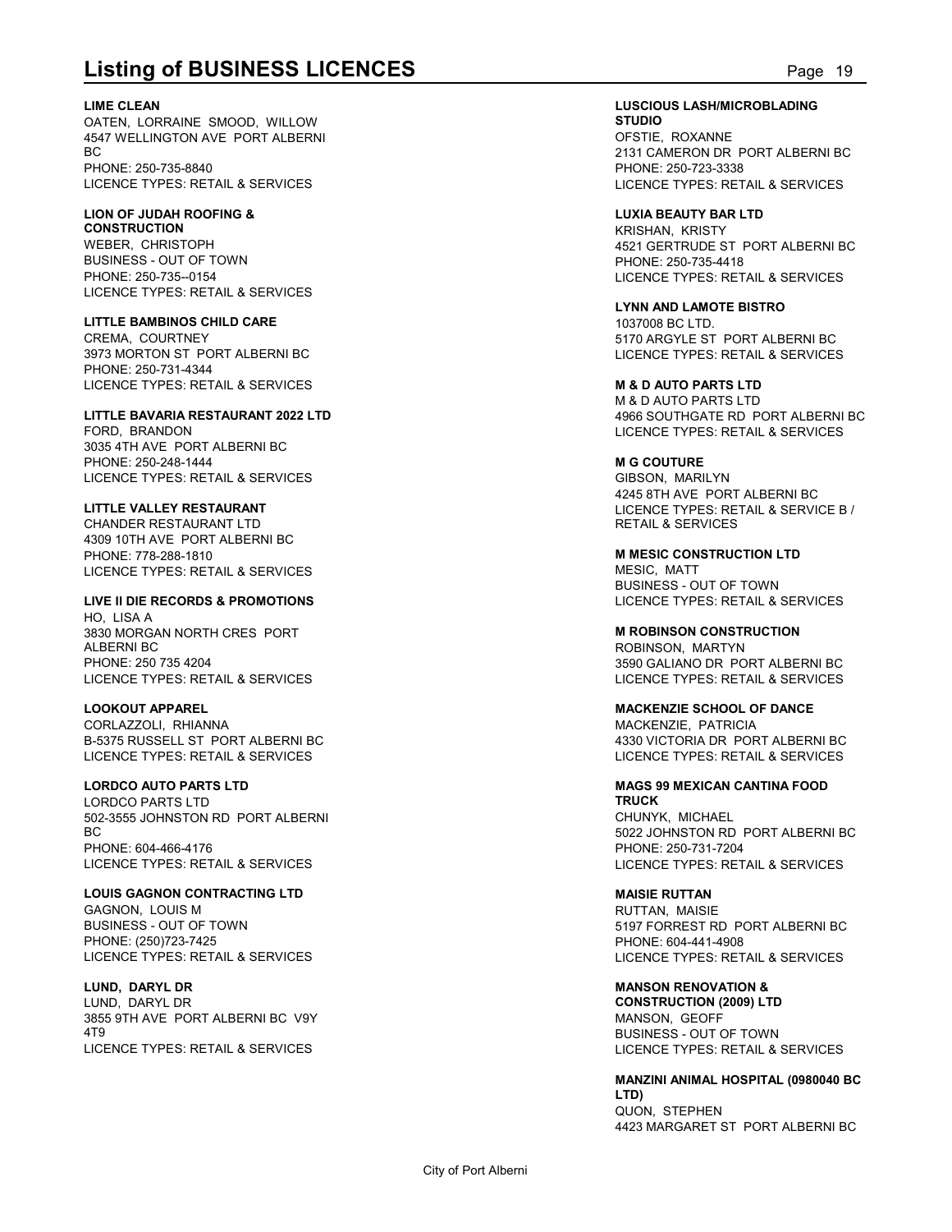**Listing of BUSINESS LICENCES**<br>
LIME CLEAN<br>
OATEN, LORRAINE SMOOD, WILLOW<br>
BC TRIPLE, ROXANNE<br>
BC PHONE: 250-735-8840<br>
PHONE: 250-735-8840<br>
PHONE: 250-735-8840 **LIME CLEAN** OATEN, LORRAINE SMOOD, WILLOW 4547 WELLINGTON AVE PORT ALBERNI BC and the state of the state of the state of the state of the state of the state of the state of the state of PHONE: 250-735-8840 LICENCE TYPES: RETAIL & SERVICES

#### **LION OF JUDAH ROOFING & CONSTRUCTION** WEBER, CHRISTOPH

BUSINESS - OUT OF TOWN PHONE: 250-735--0154 LICENCE TYPES: RETAIL & SERVICES

### **LITTLE BAMBINOS CHILD CARE**

CREMA, COURTNEY 3973 MORTON ST PORT ALBERNI BC PHONE: 250-731-4344 LICENCE TYPES: RETAIL & SERVICES

### **LITTLE BAVARIA RESTAURANT 2022 LTD** FORD, BRANDON 3035 4TH AVE PORT ALBERNI BC

PHONE: 250-248-1444 LICENCE TYPES: RETAIL & SERVICES

### **LITTLE VALLEY RESTAURANT**

CHANDER RESTAURANT LTD 4309 10TH AVE PORT ALBERNI BC PHONE: 778-288-1810 LICENCE TYPES: RETAIL & SERVICES

### **LIVE II DIE RECORDS & PROMOTIONS**

HO, LISA A 3830 MORGAN NORTH CRES PORT ALBERNI BC PHONE: 250 735 4204 LICENCE TYPES: RETAIL & SERVICES

### **LOOKOUT APPAREL**

CORLAZZOLI, RHIANNA B-5375 RUSSELL ST PORT ALBERNI BC LICENCE TYPES: RETAIL & SERVICES

### **LORDCO AUTO PARTS LTD**

LORDCO PARTS LTD 502-3555 JOHNSTON RD PORT ALBERNI BC and the state of the state of the state of the state of the state of the state of the state of the state of PHONE: 604-466-4176 LICENCE TYPES: RETAIL & SERVICES

### **LOUIS GAGNON CONTRACTING LTD**

GAGNON, LOUIS M BUSINESS - OUT OF TOWN PHONE: (250)723-7425 LICENCE TYPES: RETAIL & SERVICES

### **LUND, DARYL DR**

LUND, DARYL DR 3855 9TH AVE PORT ALBERNI BC V9Y 4T9 LICENCE TYPES: RETAIL & SERVICES

#### **LUSCIOUS LASH/MICROBLADING STUDIO** OFSTIE, ROXANNE 2131 CAMERON DR PORT ALBERNI BC

PHONE: 250-723-3338 LICENCE TYPES: RETAIL & SERVICES

### **LUXIA BEAUTY BAR LTD**

KRISHAN, KRISTY 4521 GERTRUDE ST PORT ALBERNI BC PHONE: 250-735-4418 LICENCE TYPES: RETAIL & SERVICES

**LYNN AND LAMOTE BISTRO** 1037008 BC LTD. 5170 ARGYLE ST PORT ALBERNI BC LICENCE TYPES: RETAIL & SERVICES

### **M & D AUTO PARTS LTD**

M & D AUTO PARTS LTD 4966 SOUTHGATE RD PORT ALBERNI BC LICENCE TYPES: RETAIL & SERVICES

### **M G COUTURE**

GIBSON, MARILYN 4245 8TH AVE PORT ALBERNI BC LICENCE TYPES: RETAIL & SERVICE B / RETAIL & SERVICES

**M MESIC CONSTRUCTION LTD** MESIC, MATT BUSINESS - OUT OF TOWN LICENCE TYPES: RETAIL & SERVICES

### **M ROBINSON CONSTRUCTION**

ROBINSON, MARTYN 3590 GALIANO DR PORT ALBERNI BC LICENCE TYPES: RETAIL & SERVICES

### **MACKENZIE SCHOOL OF DANCE**

MACKENZIE, PATRICIA 4330 VICTORIA DR PORT ALBERNI BC LICENCE TYPES: RETAIL & SERVICES

#### **MAGS 99 MEXICAN CANTINA FOOD TRUCK** CHUNYK, MICHAEL 5022 JOHNSTON RD PORT ALBERNI BC

PHONE: 250-731-7204 LICENCE TYPES: RETAIL & SERVICES

### **MAISIE RUTTAN**

RUTTAN, MAISIE 5197 FORREST RD PORT ALBERNI BC PHONE: 604-441-4908 LICENCE TYPES: RETAIL & SERVICES

### **MANSON RENOVATION &**

**CONSTRUCTION (2009) LTD** MANSON, GEOFF BUSINESS - OUT OF TOWN LICENCE TYPES: RETAIL & SERVICES

**MANZINI ANIMAL HOSPITAL (0980040 BC LTD)** QUON, STEPHEN 4423 MARGARET ST PORT ALBERNI BC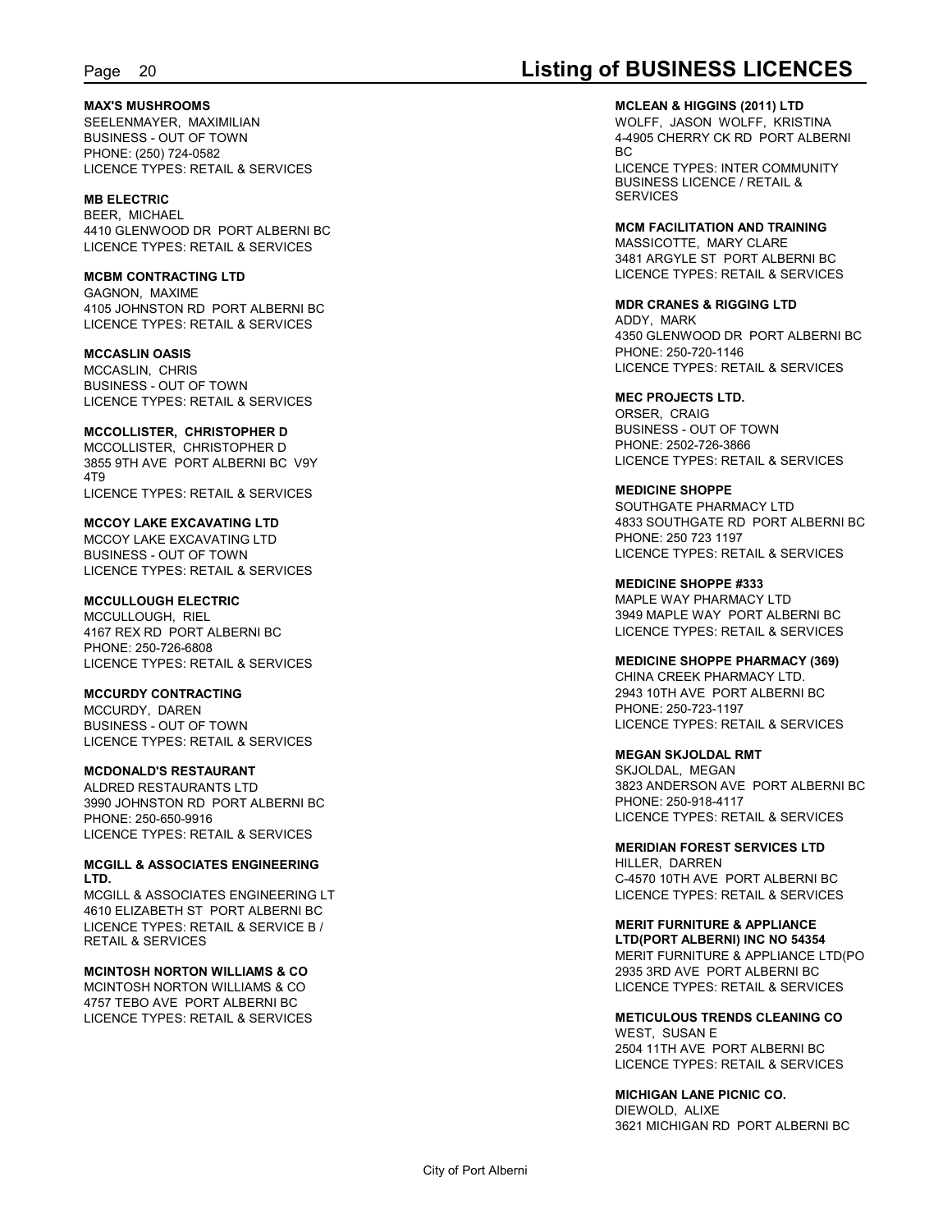#### **MAX'S MUSHROOMS** SEELENMAYER, MAXIMILIAN BUSINESS - OUT OF TOWN PHONE: (250) 724-0582 LICENCE TYPES: RETAIL & SERVICES

**MB ELECTRIC** BEER, MICHAEL 4410 GLENWOOD DR PORT ALBERNI BC LICENCE TYPES: RETAIL & SERVICES

#### **MCBM CONTRACTING LTD**

GAGNON, MAXIME 4105 JOHNSTON RD PORT ALBERNI BC LICENCE TYPES: RETAIL & SERVICES

**MCCASLIN OASIS** MCCASLIN, CHRIS BUSINESS - OUT OF TOWN LICENCE TYPES: RETAIL & SERVICES

**MCCOLLISTER, CHRISTOPHER D** MCCOLLISTER, CHRISTOPHER D 3855 9TH AVE PORT ALBERNI BC V9Y 4T9 LICENCE TYPES: RETAIL & SERVICES

**MCCOY LAKE EXCAVATING LTD** MCCOY LAKE EXCAVATING LTD BUSINESS - OUT OF TOWN LICENCE TYPES: RETAIL & SERVICES

**MCCULLOUGH ELECTRIC** MCCULLOUGH, RIEL 4167 REX RD PORT ALBERNI BC

PHONE: 250-726-6808 LICENCE TYPES: RETAIL & SERVICES

**MCCURDY CONTRACTING**

MCCURDY, DAREN BUSINESS - OUT OF TOWN LICENCE TYPES: RETAIL & SERVICES

**MCDONALD'S RESTAURANT**

ALDRED RESTAURANTS LTD 3990 JOHNSTON RD PORT ALBERNI BC PHONE: 250-650-9916 LICENCE TYPES: RETAIL & SERVICES

**MCGILL & ASSOCIATES ENGINEERING LTD.**

MCGILL & ASSOCIATES ENGINEERING LT 4610 ELIZABETH ST PORT ALBERNI BC LICENCE TYPES: RETAIL & SERVICE B / RETAIL & SERVICES

### **MCINTOSH NORTON WILLIAMS & CO**

MCINTOSH NORTON WILLIAMS & CO 4757 TEBO AVE PORT ALBERNI BC LICENCE TYPES: RETAIL & SERVICES

## Page 20 **Listing of BUSINESS LICENCES**

**MCLEAN & HIGGINS (2011) LTD** WOLFF, JASON WOLFF, KRISTINA 4-4905 CHERRY CK RD PORT ALBERNI BC and the state of the state of the state of the state of the state of the state of the state of the state of

LICENCE TYPES: INTER COMMUNITY BUSINESS LICENCE / RETAIL & **SERVICES** 

**MCM FACILITATION AND TRAINING** MASSICOTTE, MARY CLARE 3481 ARGYLE ST PORT ALBERNI BC LICENCE TYPES: RETAIL & SERVICES

**MDR CRANES & RIGGING LTD**

ADDY, MARK 4350 GLENWOOD DR PORT ALBERNI BC PHONE: 250-720-1146 LICENCE TYPES: RETAIL & SERVICES

**MEC PROJECTS LTD.** ORSER, CRAIG BUSINESS - OUT OF TOWN PHONE: 2502-726-3866 LICENCE TYPES: RETAIL & SERVICES

**MEDICINE SHOPPE** SOUTHGATE PHARMACY LTD 4833 SOUTHGATE RD PORT ALBERNI BC PHONE: 250 723 1197 LICENCE TYPES: RETAIL & SERVICES

**MEDICINE SHOPPE #333** MAPLE WAY PHARMACY LTD 3949 MAPLE WAY PORT ALBERNI BC LICENCE TYPES: RETAIL & SERVICES

**MEDICINE SHOPPE PHARMACY (369)** CHINA CREEK PHARMACY LTD. 2943 10TH AVE PORT ALBERNI BC PHONE: 250-723-1197 LICENCE TYPES: RETAIL & SERVICES

**MEGAN SKJOLDAL RMT** SKJOLDAL, MEGAN 3823 ANDERSON AVE PORT ALBERNI BC PHONE: 250-918-4117 LICENCE TYPES: RETAIL & SERVICES

**MERIDIAN FOREST SERVICES LTD** HILLER, DARREN C-4570 10TH AVE PORT ALBERNI BC LICENCE TYPES: RETAIL & SERVICES

**MERIT FURNITURE & APPLIANCE LTD(PORT ALBERNI) INC NO 54354** MERIT FURNITURE & APPLIANCE LTD(PO 2935 3RD AVE PORT ALBERNI BC LICENCE TYPES: RETAIL & SERVICES

**METICULOUS TRENDS CLEANING CO** WEST, SUSAN E 2504 11TH AVE PORT ALBERNI BC LICENCE TYPES: RETAIL & SERVICES

**MICHIGAN LANE PICNIC CO.**

DIEWOLD, ALIXE 3621 MICHIGAN RD PORT ALBERNI BC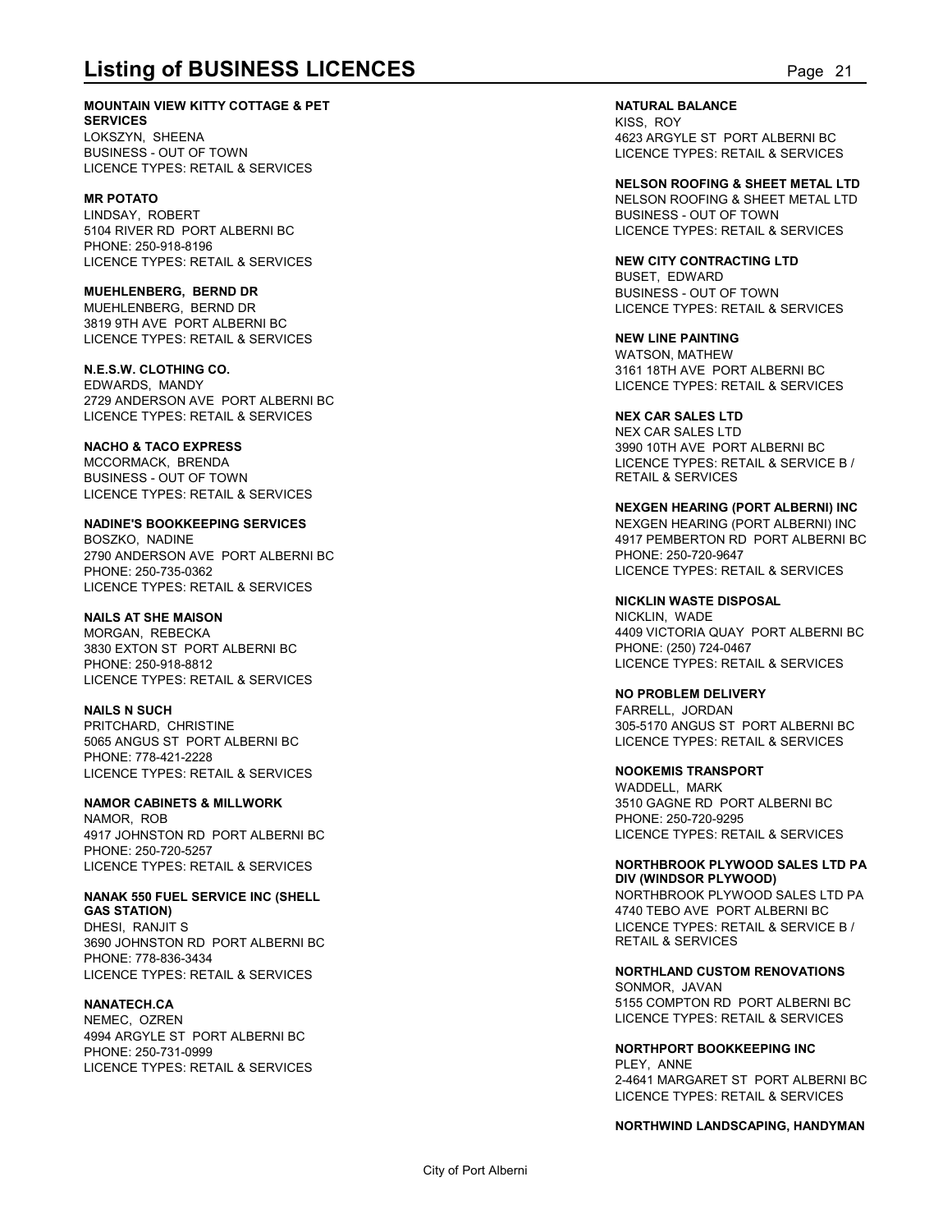**MOUNTAIN VIEW KITTY COTTAGE & PET SERVICES** LOKSZYN, SHEENA

BUSINESS - OUT OF TOWN LICENCE TYPES: RETAIL & SERVICES

#### **MR POTATO**

LINDSAY, ROBERT 5104 RIVER RD PORT ALBERNI BC PHONE: 250-918-8196 LICENCE TYPES: RETAIL & SERVICES

**MUEHLENBERG, BERND DR** MUEHLENBERG, BERND DR 3819 9TH AVE PORT ALBERNI BC LICENCE TYPES: RETAIL & SERVICES

**N.E.S.W. CLOTHING CO.** EDWARDS, MANDY 2729 ANDERSON AVE PORT ALBERNI BC LICENCE TYPES: RETAIL & SERVICES

#### **NACHO & TACO EXPRESS**

MCCORMACK, BRENDA BUSINESS - OUT OF TOWN LICENCE TYPES: RETAIL & SERVICES

### **NADINE'S BOOKKEEPING SERVICES**

BOSZKO, NADINE 2790 ANDERSON AVE PORT ALBERNI BC PHONE: 250-735-0362 LICENCE TYPES: RETAIL & SERVICES

### **NAILS AT SHE MAISON**

MORGAN, REBECKA 3830 EXTON ST PORT ALBERNI BC PHONE: 250-918-8812 LICENCE TYPES: RETAIL & SERVICES

**NAILS N SUCH** PRITCHARD, CHRISTINE 5065 ANGUS ST PORT ALBERNI BC PHONE: 778-421-2228 LICENCE TYPES: RETAIL & SERVICES

**NAMOR CABINETS & MILLWORK** NAMOR, ROB 4917 JOHNSTON RD PORT ALBERNI BC PHONE: 250-720-5257

LICENCE TYPES: RETAIL & SERVICES

**NANAK 550 FUEL SERVICE INC (SHELL GAS STATION)** DHESI, RANJIT S 3690 JOHNSTON RD PORT ALBERNI BC PHONE: 778-836-3434 LICENCE TYPES: RETAIL & SERVICES

**NANATECH.CA**

NEMEC, OZREN 4994 ARGYLE ST PORT ALBERNI BC PHONE: 250-731-0999 LICENCE TYPES: RETAIL & SERVICES

**Listing of BUSINESS LICENCES**<br>
MOUNTAIN VIEW KITTY COTTAGE & PET<br>
SERVICES<br>
LOKSZYN, SHEENA<br>
LOKSZYN, SHEENA<br>
BUSINESS - OUT OF TOWN<br>
PAGE TYPES: RETAIL & SERVICES<br>
PAGE TYPES: RETAIL & SERVICES<br>
PAGE TYPES: RETAIL & SERV **NATURAL BALANCE** KISS, ROY 4623 ARGYLE ST PORT ALBERNI BC LICENCE TYPES: RETAIL & SERVICES

> **NELSON ROOFING & SHEET METAL LTD** NELSON ROOFING & SHEET METAL LTD BUSINESS - OUT OF TOWN LICENCE TYPES: RETAIL & SERVICES

**NEW CITY CONTRACTING LTD** BUSET, EDWARD BUSINESS - OUT OF TOWN LICENCE TYPES: RETAIL & SERVICES

**NEW LINE PAINTING** WATSON, MATHEW 3161 18TH AVE PORT ALBERNI BC LICENCE TYPES: RETAIL & SERVICES

**NEX CAR SALES LTD** NEX CAR SALES LTD 3990 10TH AVE PORT ALBERNI BC LICENCE TYPES: RETAIL & SERVICE B / RETAIL & SERVICES

#### **NEXGEN HEARING (PORT ALBERNI) INC**

NEXGEN HEARING (PORT ALBERNI) INC 4917 PEMBERTON RD PORT ALBERNI BC PHONE: 250-720-9647 LICENCE TYPES: RETAIL & SERVICES

**NICKLIN WASTE DISPOSAL** NICKLIN, WADE 4409 VICTORIA QUAY PORT ALBERNI BC PHONE: (250) 724-0467 LICENCE TYPES: RETAIL & SERVICES

**NO PROBLEM DELIVERY** FARRELL, JORDAN 305-5170 ANGUS ST PORT ALBERNI BC LICENCE TYPES: RETAIL & SERVICES

**NOOKEMIS TRANSPORT** WADDELL, MARK 3510 GAGNE RD PORT ALBERNI BC PHONE: 250-720-9295 LICENCE TYPES: RETAIL & SERVICES

**NORTHBROOK PLYWOOD SALES LTD PA DIV (WINDSOR PLYWOOD)** NORTHBROOK PLYWOOD SALES LTD PA

4740 TEBO AVE PORT ALBERNI BC LICENCE TYPES: RETAIL & SERVICE B / RETAIL & SERVICES

**NORTHLAND CUSTOM RENOVATIONS** SONMOR, JAVAN

5155 COMPTON RD PORT ALBERNI BC LICENCE TYPES: RETAIL & SERVICES

**NORTHPORT BOOKKEEPING INC** PLEY, ANNE 2-4641 MARGARET ST PORT ALBERNI BC LICENCE TYPES: RETAIL & SERVICES

#### **NORTHWIND LANDSCAPING, HANDYMAN**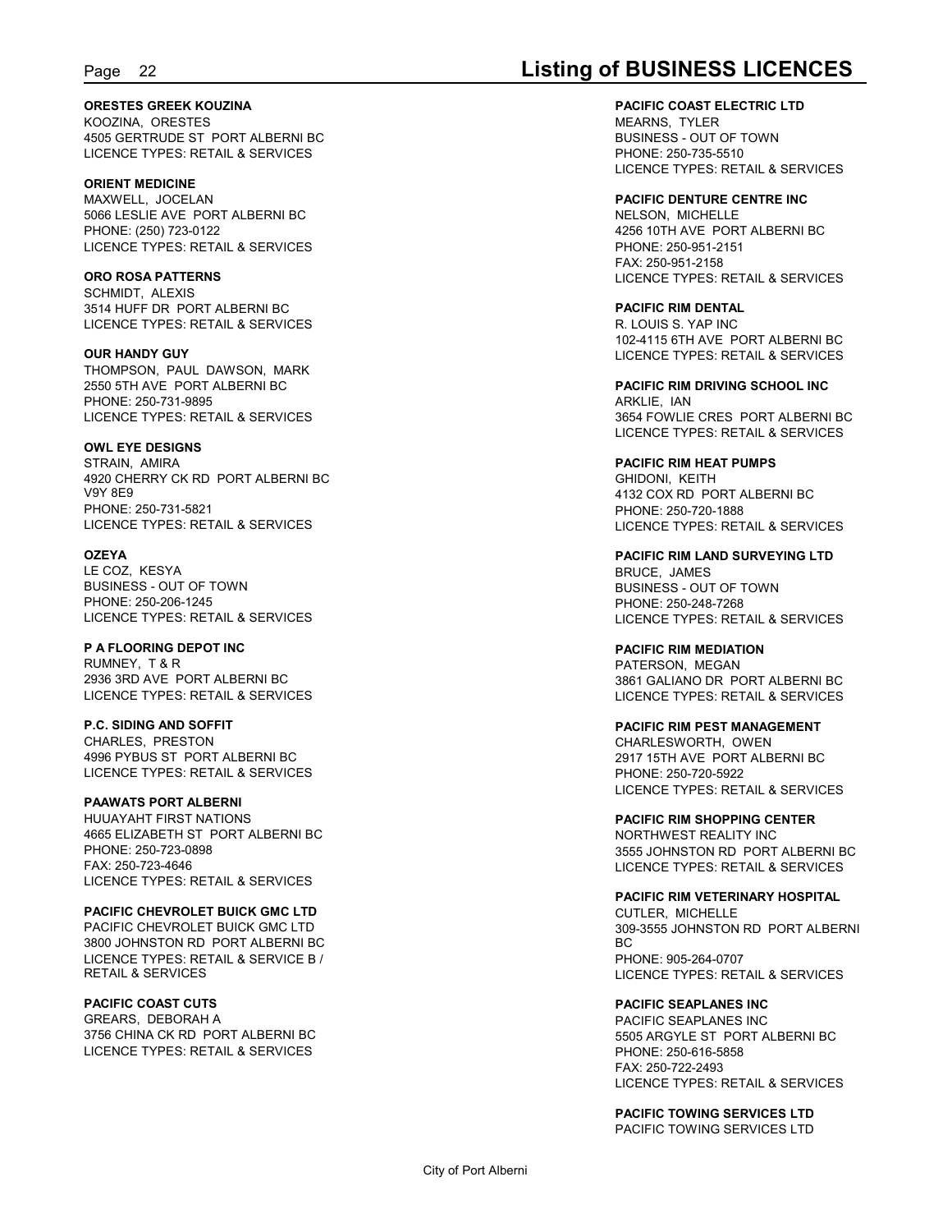#### **ORESTES GREEK KOUZINA**

KOOZINA, ORESTES 4505 GERTRUDE ST PORT ALBERNI BC LICENCE TYPES: RETAIL & SERVICES

#### **ORIENT MEDICINE**

MAXWELL, JOCELAN 5066 LESLIE AVE PORT ALBERNI BC PHONE: (250) 723-0122 LICENCE TYPES: RETAIL & SERVICES

#### **ORO ROSA PATTERNS**

SCHMIDT, ALEXIS 3514 HUFF DR PORT ALBERNI BC LICENCE TYPES: RETAIL & SERVICES

**OUR HANDY GUY** THOMPSON, PAUL DAWSON, MARK 2550 5TH AVE PORT ALBERNI BC PHONE: 250-731-9895 LICENCE TYPES: RETAIL & SERVICES

#### **OWL EYE DESIGNS**

STRAIN, AMIRA 4920 CHERRY CK RD PORT ALBERNI BC V9Y 8E9 PHONE: 250-731-5821 LICENCE TYPES: RETAIL & SERVICES

#### **OZEYA**

LE COZ, KESYA BUSINESS - OUT OF TOWN PHONE: 250-206-1245 LICENCE TYPES: RETAIL & SERVICES

#### **P A FLOORING DEPOT INC**

RUMNEY, T & R 2936 3RD AVE PORT ALBERNI BC LICENCE TYPES: RETAIL & SERVICES

#### **P.C. SIDING AND SOFFIT**

CHARLES, PRESTON 4996 PYBUS ST PORT ALBERNI BC LICENCE TYPES: RETAIL & SERVICES

#### **PAAWATS PORT ALBERNI**

HUUAYAHT FIRST NATIONS 4665 ELIZABETH ST PORT ALBERNI BC PHONE: 250-723-0898 FAX: 250-723-4646 LICENCE TYPES: RETAIL & SERVICES

### **PACIFIC CHEVROLET BUICK GMC LTD**

PACIFIC CHEVROLET BUICK GMC LTD 3800 JOHNSTON RD PORT ALBERNI BC LICENCE TYPES: RETAIL & SERVICE B / RETAIL & SERVICES

#### **PACIFIC COAST CUTS**

GREARS, DEBORAH A 3756 CHINA CK RD PORT ALBERNI BC LICENCE TYPES: RETAIL & SERVICES

## Page 22 **Listing of BUSINESS LICENCES**

#### **PACIFIC COAST ELECTRIC LTD**

MEARNS, TYLER BUSINESS - OUT OF TOWN PHONE: 250-735-5510 LICENCE TYPES: RETAIL & SERVICES

#### **PACIFIC DENTURE CENTRE INC**

NELSON, MICHELLE 4256 10TH AVE PORT ALBERNI BC PHONE: 250-951-2151 FAX: 250-951-2158 LICENCE TYPES: RETAIL & SERVICES

#### **PACIFIC RIM DENTAL** R. LOUIS S. YAP INC 102-4115 6TH AVE PORT ALBERNI BC LICENCE TYPES: RETAIL & SERVICES

**PACIFIC RIM DRIVING SCHOOL INC** ARKLIE, IAN 3654 FOWLIE CRES PORT ALBERNI BC LICENCE TYPES: RETAIL & SERVICES

#### **PACIFIC RIM HEAT PUMPS** GHIDONI, KEITH

4132 COX RD PORT ALBERNI BC PHONE: 250-720-1888 LICENCE TYPES: RETAIL & SERVICES

**PACIFIC RIM LAND SURVEYING LTD** BRUCE, JAMES BUSINESS - OUT OF TOWN PHONE: 250-248-7268 LICENCE TYPES: RETAIL & SERVICES

#### **PACIFIC RIM MEDIATION** PATERSON, MEGAN 3861 GALIANO DR PORT ALBERNI BC LICENCE TYPES: RETAIL & SERVICES

#### **PACIFIC RIM PEST MANAGEMENT**

CHARLESWORTH, OWEN 2917 15TH AVE PORT ALBERNI BC PHONE: 250-720-5922 LICENCE TYPES: RETAIL & SERVICES

#### **PACIFIC RIM SHOPPING CENTER** NORTHWEST REALITY INC 3555 JOHNSTON RD PORT ALBERNI BC LICENCE TYPES: RETAIL & SERVICES

#### **PACIFIC RIM VETERINARY HOSPITAL** CUTLER, MICHELLE 309-3555 JOHNSTON RD PORT ALBERNI BC and the state of the state of the state of the state of the state of the state of the state of the state of PHONE: 905-264-0707 LICENCE TYPES: RETAIL & SERVICES

**PACIFIC SEAPLANES INC** PACIFIC SEAPLANES INC 5505 ARGYLE ST PORT ALBERNI BC PHONE: 250-616-5858 FAX: 250-722-2493

LICENCE TYPES: RETAIL & SERVICES

**PACIFIC TOWING SERVICES LTD** PACIFIC TOWING SERVICES LTD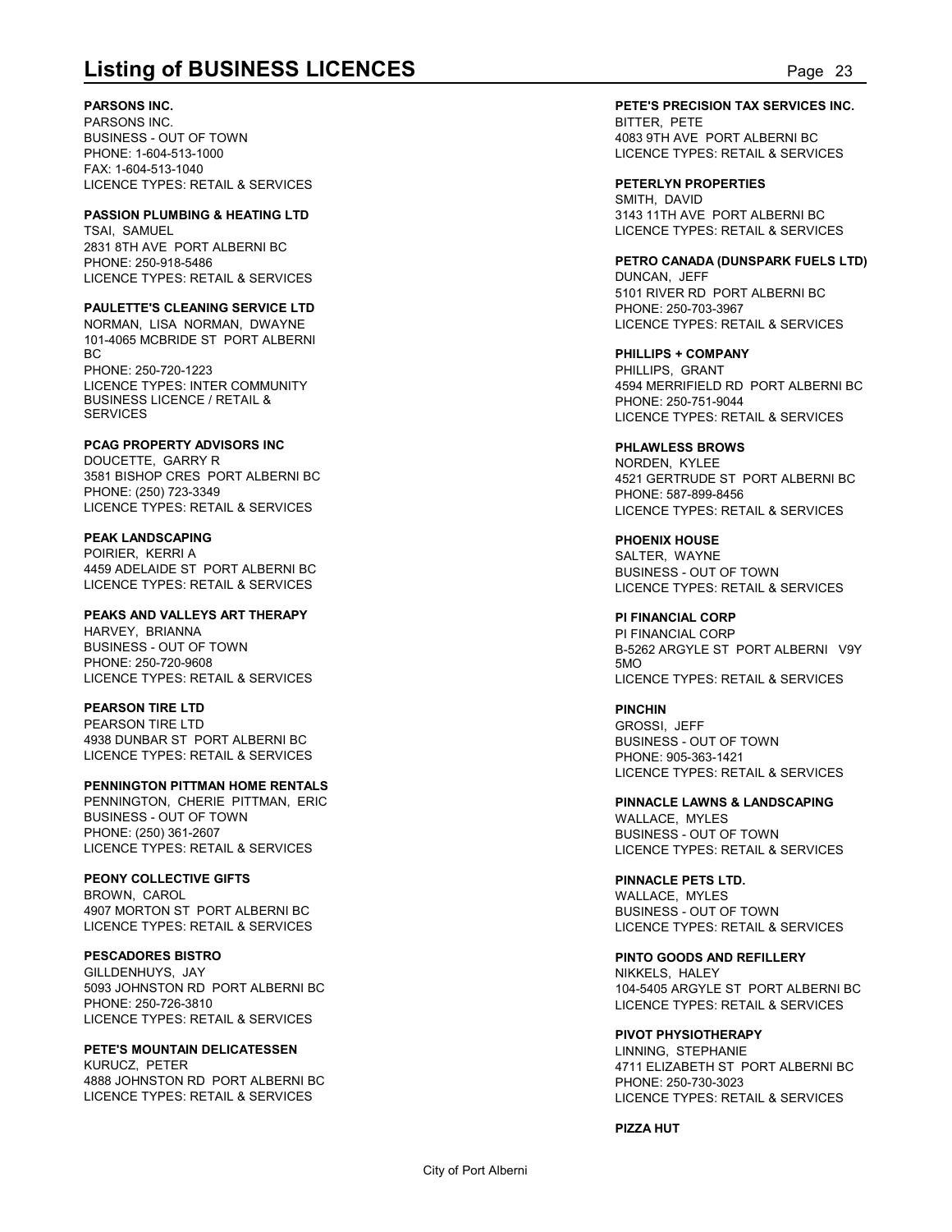#### **PARSONS INC.**

PARSONS INC. BUSINESS - OUT OF TOWN PHONE: 1-604-513-1000 FAX: 1-604-513-1040 LICENCE TYPES: RETAIL & SERVICES

### **PASSION PLUMBING & HEATING LTD**

TSAI, SAMUEL 2831 8TH AVE PORT ALBERNI BC PHONE: 250-918-5486 LICENCE TYPES: RETAIL & SERVICES

#### **PAULETTE'S CLEANING SERVICE LTD**

NORMAN, LISA NORMAN, DWAYNE 101-4065 MCBRIDE ST PORT ALBERNI BC and the state of the state of the state of the state of the state of the state of the state of the state of PHONE: 250-720-1223

LICENCE TYPES: INTER COMMUNITY BUSINESS LICENCE / RETAIL & **SERVICES** 

### **PCAG PROPERTY ADVISORS INC**

DOUCETTE, GARRY R 3581 BISHOP CRES PORT ALBERNI BC PHONE: (250) 723-3349 LICENCE TYPES: RETAIL & SERVICES

#### **PEAK LANDSCAPING**

POIRIER, KERRI A 4459 ADELAIDE ST PORT ALBERNI BC LICENCE TYPES: RETAIL & SERVICES

### **PEAKS AND VALLEYS ART THERAPY**

HARVEY, BRIANNA BUSINESS - OUT OF TOWN PHONE: 250-720-9608 LICENCE TYPES: RETAIL & SERVICES

#### **PEARSON TIRE LTD**

PEARSON TIRE LTD 4938 DUNBAR ST PORT ALBERNI BC LICENCE TYPES: RETAIL & SERVICES

#### **PENNINGTON PITTMAN HOME RENTALS**

PENNINGTON, CHERIE PITTMAN, ERIC BUSINESS - OUT OF TOWN PHONE: (250) 361-2607 LICENCE TYPES: RETAIL & SERVICES

### **PEONY COLLECTIVE GIFTS**

BROWN, CAROL 4907 MORTON ST PORT ALBERNI BC LICENCE TYPES: RETAIL & SERVICES

#### **PESCADORES BISTRO**

GILLDENHUYS, JAY 5093 JOHNSTON RD PORT ALBERNI BC PHONE: 250-726-3810 LICENCE TYPES: RETAIL & SERVICES

#### **PETE'S MOUNTAIN DELICATESSEN** KURUCZ, PETER

4888 JOHNSTON RD PORT ALBERNI BC LICENCE TYPES: RETAIL & SERVICES

# **Listing of BUSINESS LICENCES**<br>
PARSONS INC.<br>
PARSONS INC.<br>
PARSONS INC.<br>
BUSINESS - OUT OF TOWN<br>
BUSINESS - OUT OF TOWN<br>
PAC: 1-604-513-1040<br>
PAC: 1-604-513-1040 **PETE'S PRECISION TAX SERVICES INC.** BITTER, PETE 4083 9TH AVE PORT ALBERNI BC LICENCE TYPES: RETAIL & SERVICES

**PETERLYN PROPERTIES** SMITH, DAVID 3143 11TH AVE PORT ALBERNI BC LICENCE TYPES: RETAIL & SERVICES

**PETRO CANADA (DUNSPARK FUELS LTD)** DUNCAN, JEFF 5101 RIVER RD PORT ALBERNI BC PHONE: 250-703-3967 LICENCE TYPES: RETAIL & SERVICES

**PHILLIPS + COMPANY** PHILLIPS, GRANT 4594 MERRIFIELD RD PORT ALBERNI BC PHONE: 250-751-9044 LICENCE TYPES: RETAIL & SERVICES

#### **PHLAWLESS BROWS**

NORDEN, KYLEE 4521 GERTRUDE ST PORT ALBERNI BC PHONE: 587-899-8456 LICENCE TYPES: RETAIL & SERVICES

**PHOENIX HOUSE** SALTER, WAYNE BUSINESS - OUT OF TOWN LICENCE TYPES: RETAIL & SERVICES

### **PI FINANCIAL CORP**

PI FINANCIAL CORP B-5262 ARGYLE ST PORT ALBERNI V9Y 5MO LICENCE TYPES: RETAIL & SERVICES

**PINCHIN** GROSSI, JEFF BUSINESS - OUT OF TOWN PHONE: 905-363-1421 LICENCE TYPES: RETAIL & SERVICES

**PINNACLE LAWNS & LANDSCAPING** WALLACE, MYLES BUSINESS - OUT OF TOWN LICENCE TYPES: RETAIL & SERVICES

### **PINNACLE PETS LTD.**

WALLACE, MYLES BUSINESS - OUT OF TOWN LICENCE TYPES: RETAIL & SERVICES

**PINTO GOODS AND REFILLERY** NIKKELS, HALEY

104-5405 ARGYLE ST PORT ALBERNI BC LICENCE TYPES: RETAIL & SERVICES

#### **PIVOT PHYSIOTHERAPY**

LINNING, STEPHANIE 4711 ELIZABETH ST PORT ALBERNI BC PHONE: 250-730-3023 LICENCE TYPES: RETAIL & SERVICES

**PIZZA HUT**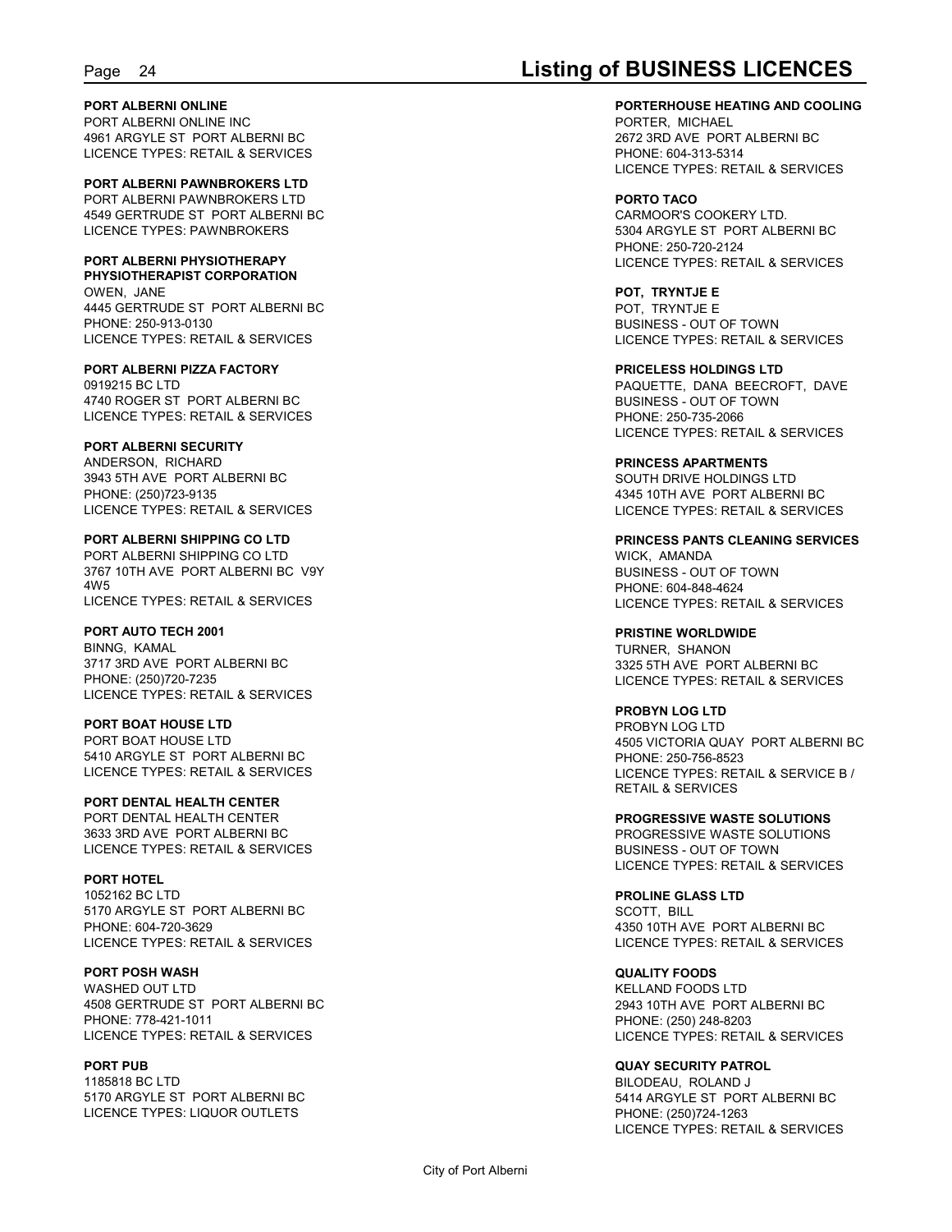#### **PORT ALBERNI ONLINE**

PORT ALBERNI ONLINE INC 4961 ARGYLE ST PORT ALBERNI BC LICENCE TYPES: RETAIL & SERVICES

**PORT ALBERNI PAWNBROKERS LTD** PORT ALBERNI PAWNBROKERS LTD 4549 GERTRUDE ST PORT ALBERNI BC LICENCE TYPES: PAWNBROKERS

### **PORT ALBERNI PHYSIOTHERAPY**

**PHYSIOTHERAPIST CORPORATION** OWEN, JANE 4445 GERTRUDE ST PORT ALBERNI BC PHONE: 250-913-0130 LICENCE TYPES: RETAIL & SERVICES

#### **PORT ALBERNI PIZZA FACTORY**

0919215 BC LTD 4740 ROGER ST PORT ALBERNI BC LICENCE TYPES: RETAIL & SERVICES

#### **PORT ALBERNI SECURITY**

ANDERSON, RICHARD 3943 5TH AVE PORT ALBERNI BC PHONE: (250)723-9135 LICENCE TYPES: RETAIL & SERVICES

#### **PORT ALBERNI SHIPPING CO LTD** PORT ALBERNI SHIPPING CO LTD 3767 10TH AVE PORT ALBERNI BC V9Y

4W5 LICENCE TYPES: RETAIL & SERVICES

#### **PORT AUTO TECH 2001**

BINNG, KAMAL 3717 3RD AVE PORT ALBERNI BC PHONE: (250)720-7235 LICENCE TYPES: RETAIL & SERVICES

#### **PORT BOAT HOUSE LTD** PORT BOAT HOUSE LTD 5410 ARGYLE ST PORT ALBERNI BC LICENCE TYPES: RETAIL & SERVICES

**PORT DENTAL HEALTH CENTER** PORT DENTAL HEALTH CENTER 3633 3RD AVE PORT ALBERNI BC LICENCE TYPES: RETAIL & SERVICES

#### **PORT HOTEL** 1052162 BC LTD 5170 ARGYLE ST PORT ALBERNI BC PHONE: 604-720-3629 LICENCE TYPES: RETAIL & SERVICES

**PORT POSH WASH** WASHED OUT LTD. 4508 GERTRUDE ST PORT ALBERNI BC PHONE: 778-421-1011 LICENCE TYPES: RETAIL & SERVICES

#### **PORT PUB**

1185818 BC LTD 5170 ARGYLE ST PORT ALBERNI BC LICENCE TYPES: LIQUOR OUTLETS

## Page 24 **Listing of BUSINESS LICENCES**

#### **PORTERHOUSE HEATING AND COOLING**

PORTER, MICHAEL 2672 3RD AVE PORT ALBERNI BC PHONE: 604-313-5314 LICENCE TYPES: RETAIL & SERVICES

#### **PORTO TACO**

CARMOOR'S COOKERY LTD. 5304 ARGYLE ST PORT ALBERNI BC PHONE: 250-720-2124 LICENCE TYPES: RETAIL & SERVICES

**POT, TRYNTJE E** POT, TRYNTJE E BUSINESS - OUT OF TOWN LICENCE TYPES: RETAIL & SERVICES

### **PRICELESS HOLDINGS LTD**

PAQUETTE, DANA BEECROFT, DAVE BUSINESS - OUT OF TOWN PHONE: 250-735-2066 LICENCE TYPES: RETAIL & SERVICES

#### **PRINCESS APARTMENTS** SOUTH DRIVE HOLDINGS LTD

4345 10TH AVE PORT ALBERNI BC LICENCE TYPES: RETAIL & SERVICES

#### **PRINCESS PANTS CLEANING SERVICES** WICK, AMANDA BUSINESS - OUT OF TOWN PHONE: 604-848-4624

LICENCE TYPES: RETAIL & SERVICES

#### **PRISTINE WORLDWIDE** TURNER, SHANON 3325 5TH AVE PORT ALBERNI BC LICENCE TYPES: RETAIL & SERVICES

#### **PROBYN LOG LTD**

PROBYN LOG LTD 4505 VICTORIA QUAY PORT ALBERNI BC PHONE: 250-756-8523 LICENCE TYPES: RETAIL & SERVICE B / RETAIL & SERVICES

#### **PROGRESSIVE WASTE SOLUTIONS** PROGRESSIVE WASTE SOLUTIONS BUSINESS - OUT OF TOWN LICENCE TYPES: RETAIL & SERVICES

**PROLINE GLASS LTD** SCOTT, BILL 4350 10TH AVE PORT ALBERNI BC LICENCE TYPES: RETAIL & SERVICES

## **QUALITY FOODS**

KELLAND FOODS LTD 2943 10TH AVE PORT ALBERNI BC PHONE: (250) 248-8203 LICENCE TYPES: RETAIL & SERVICES

#### **QUAY SECURITY PATROL**

BILODEAU, ROLAND J 5414 ARGYLE ST PORT ALBERNI BC PHONE: (250)724-1263 LICENCE TYPES: RETAIL & SERVICES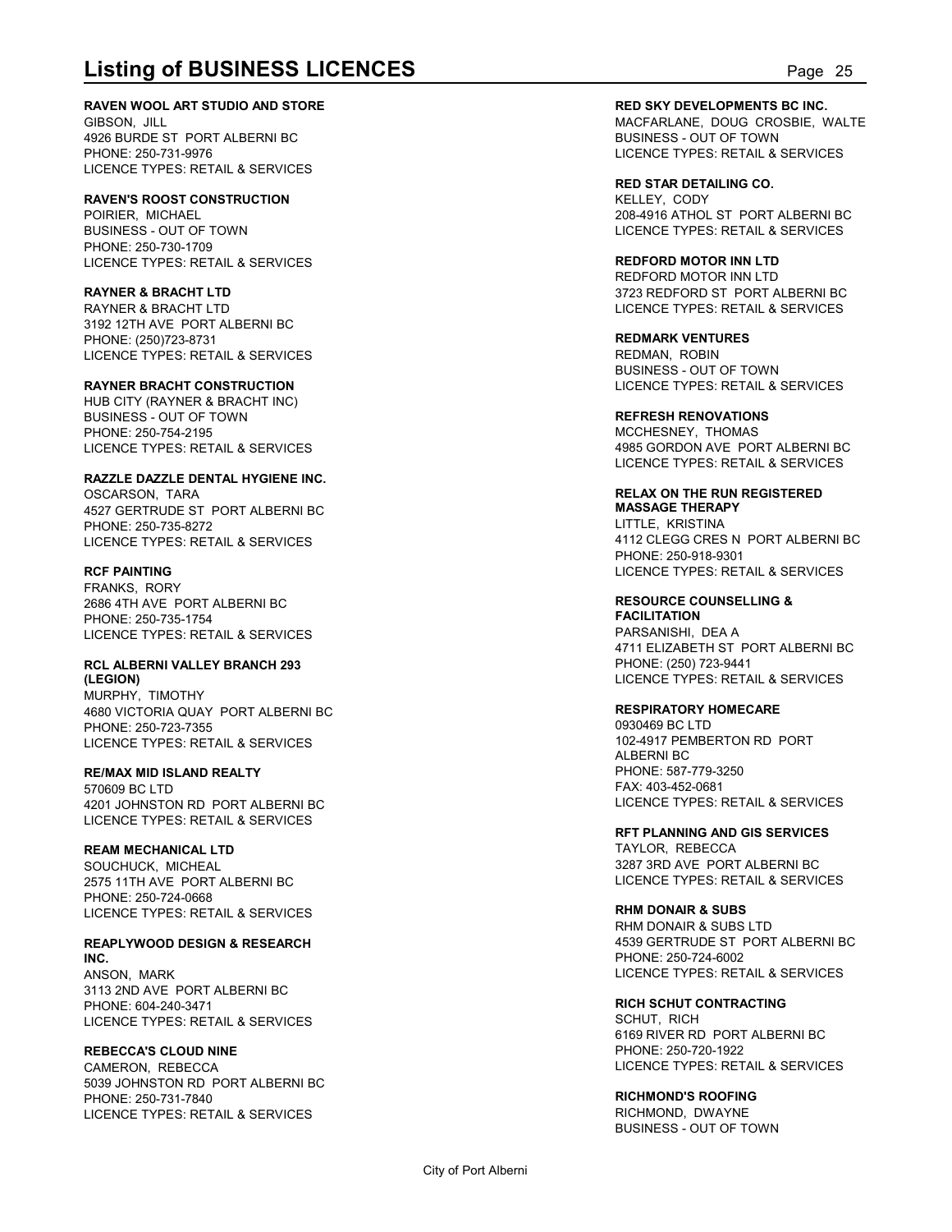#### **RAVEN WOOL ART STUDIO AND STORE**

GIBSON, JILL 4926 BURDE ST PORT ALBERNI BC PHONE: 250-731-9976 LICENCE TYPES: RETAIL & SERVICES

### **RAVEN'S ROOST CONSTRUCTION**

POIRIER, MICHAEL BUSINESS - OUT OF TOWN PHONE: 250-730-1709 LICENCE TYPES: RETAIL & SERVICES

### **RAYNER & BRACHT LTD**

RAYNER & BRACHT LTD 3192 12TH AVE PORT ALBERNI BC PHONE: (250)723-8731 LICENCE TYPES: RETAIL & SERVICES

#### **RAYNER BRACHT CONSTRUCTION**

HUB CITY (RAYNER & BRACHT INC) BUSINESS - OUT OF TOWN PHONE: 250-754-2195 LICENCE TYPES: RETAIL & SERVICES

#### **RAZZLE DAZZLE DENTAL HYGIENE INC.**

OSCARSON, TARA 4527 GERTRUDE ST PORT ALBERNI BC PHONE: 250-735-8272 LICENCE TYPES: RETAIL & SERVICES

### **RCF PAINTING**

FRANKS, RORY 2686 4TH AVE PORT ALBERNI BC PHONE: 250-735-1754 LICENCE TYPES: RETAIL & SERVICES

### **RCL ALBERNI VALLEY BRANCH 293**

**(LEGION)** MURPHY, TIMOTHY 4680 VICTORIA QUAY PORT ALBERNI BC PHONE: 250-723-7355 LICENCE TYPES: RETAIL & SERVICES

### **RE/MAX MID ISLAND REALTY**

570609 BC LTD 4201 JOHNSTON RD PORT ALBERNI BC LICENCE TYPES: RETAIL & SERVICES

### **REAM MECHANICAL LTD**

SOUCHUCK, MICHEAL 2575 11TH AVE PORT ALBERNI BC PHONE: 250-724-0668 LICENCE TYPES: RETAIL & SERVICES

### **REAPLYWOOD DESIGN & RESEARCH INC.**

ANSON, MARK 3113 2ND AVE PORT ALBERNI BC PHONE: 604-240-3471 LICENCE TYPES: RETAIL & SERVICES

### **REBECCA'S CLOUD NINE**

CAMERON, REBECCA 5039 JOHNSTON RD PORT ALBERNI BC PHONE: 250-731-7840 LICENCE TYPES: RETAIL & SERVICES

**Listing of BUSINESS LICENCES**<br> **RAVEN WOOL ART STUDIO AND STORE**<br>
GIBSON, JILL<br>
PAGEARLANE, DOUG CROSBIE, WALTE<br>
PAGEARLANE, DOUG CROSBIE, WALTE<br>
PAGEARLANE, DOUG CROSBIE, WALTE<br>
PAGEARLANE DOUG CROSBIE, WALTE<br>
PAGEARLANE **RED SKY DEVELOPMENTS BC INC.** MACFARLANE, DOUG CROSBIE, WALTE BUSINESS - OUT OF TOWN LICENCE TYPES: RETAIL & SERVICES

> **RED STAR DETAILING CO.** KELLEY, CODY 208-4916 ATHOL ST PORT ALBERNI BC LICENCE TYPES: RETAIL & SERVICES

### **REDFORD MOTOR INN LTD**

REDFORD MOTOR INN LTD 3723 REDFORD ST PORT ALBERNI BC LICENCE TYPES: RETAIL & SERVICES

**REDMARK VENTURES** REDMAN, ROBIN BUSINESS - OUT OF TOWN LICENCE TYPES: RETAIL & SERVICES

#### **REFRESH RENOVATIONS**

MCCHESNEY, THOMAS 4985 GORDON AVE PORT ALBERNI BC LICENCE TYPES: RETAIL & SERVICES

#### **RELAX ON THE RUN REGISTERED MASSAGE THERAPY**

LITTLE, KRISTINA 4112 CLEGG CRES N PORT ALBERNI BC PHONE: 250-918-9301 LICENCE TYPES: RETAIL & SERVICES

### **RESOURCE COUNSELLING &**

**FACILITATION** PARSANISHI, DEA A 4711 ELIZABETH ST PORT ALBERNI BC PHONE: (250) 723-9441 LICENCE TYPES: RETAIL & SERVICES

#### **RESPIRATORY HOMECARE**

0930469 BC LTD 102-4917 PEMBERTON RD PORT ALBERNI BC PHONE: 587-779-3250 FAX: 403-452-0681 LICENCE TYPES: RETAIL & SERVICES

**RFT PLANNING AND GIS SERVICES** TAYLOR, REBECCA 3287 3RD AVE PORT ALBERNI BC LICENCE TYPES: RETAIL & SERVICES

#### **RHM DONAIR & SUBS**

RHM DONAIR & SUBS LTD 4539 GERTRUDE ST PORT ALBERNI BC PHONE: 250-724-6002 LICENCE TYPES: RETAIL & SERVICES

**RICH SCHUT CONTRACTING** SCHUT, RICH 6169 RIVER RD PORT ALBERNI BC PHONE: 250-720-1922 LICENCE TYPES: RETAIL & SERVICES

### **RICHMOND'S ROOFING**

RICHMOND, DWAYNE BUSINESS - OUT OF TOWN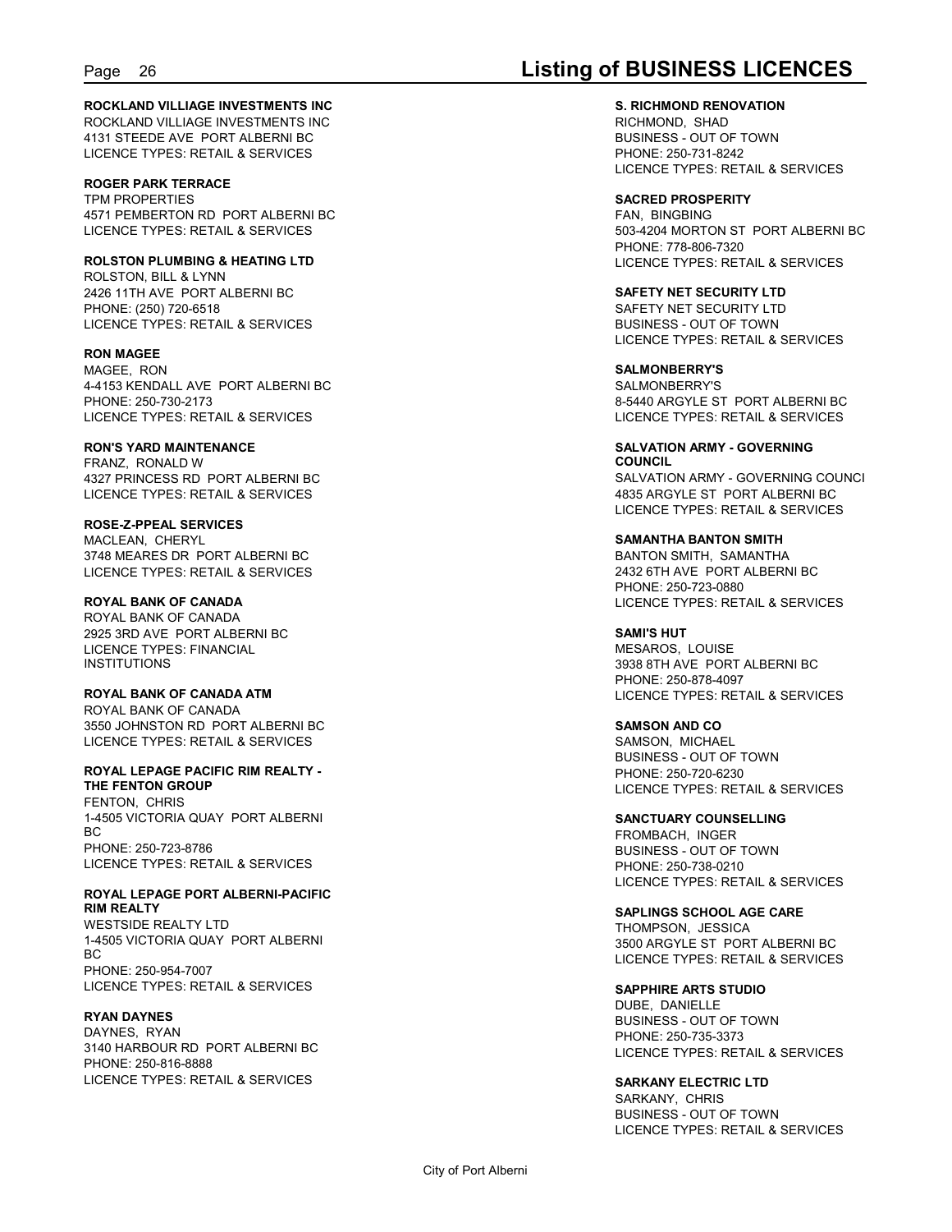## Page 26 **Listing of BUSINESS LICENCES**

#### **ROCKLAND VILLIAGE INVESTMENTS INC** ROCKLAND VILLIAGE INVESTMENTS INC 4131 STEEDE AVE PORT ALBERNI BC LICENCE TYPES: RETAIL & SERVICES

**ROGER PARK TERRACE** TPM PROPERTIES 4571 PEMBERTON RD PORT ALBERNI BC LICENCE TYPES: RETAIL & SERVICES

**ROLSTON PLUMBING & HEATING LTD** ROLSTON, BILL & LYNN 2426 11TH AVE PORT ALBERNI BC PHONE: (250) 720-6518 LICENCE TYPES: RETAIL & SERVICES

**RON MAGEE** MAGEE, RON 4-4153 KENDALL AVE PORT ALBERNI BC PHONE: 250-730-2173 LICENCE TYPES: RETAIL & SERVICES

**RON'S YARD MAINTENANCE** FRANZ, RONALD W 4327 PRINCESS RD PORT ALBERNI BC LICENCE TYPES: RETAIL & SERVICES

**ROSE-Z-PPEAL SERVICES** MACLEAN, CHERYL 3748 MEARES DR PORT ALBERNI BC LICENCE TYPES: RETAIL & SERVICES

**ROYAL BANK OF CANADA** ROYAL BANK OF CANADA 2925 3RD AVE PORT ALBERNI BC LICENCE TYPES: FINANCIAL INSTITUTIONS

**ROYAL BANK OF CANADA ATM** ROYAL BANK OF CANADA 3550 JOHNSTON RD PORT ALBERNI BC LICENCE TYPES: RETAIL & SERVICES

**ROYAL LEPAGE PACIFIC RIM REALTY - THE FENTON GROUP** FENTON, CHRIS 1-4505 VICTORIA QUAY PORT ALBERNI BC and the state of the state of the state of the state of the state of the state of the state of the state of PHONE: 250-723-8786 LICENCE TYPES: RETAIL & SERVICES

**ROYAL LEPAGE PORT ALBERNI-PACIFIC RIM REALTY** WESTSIDE REALTY LTD 1-4505 VICTORIA QUAY PORT ALBERNI BC and the state of the state of the state of the state of the state of the state of the state of the state of PHONE: 250-954-7007 LICENCE TYPES: RETAIL & SERVICES

#### **RYAN DAYNES**

DAYNES, RYAN 3140 HARBOUR RD PORT ALBERNI BC PHONE: 250-816-8888 LICENCE TYPES: RETAIL & SERVICES

**S. RICHMOND RENOVATION** RICHMOND, SHAD BUSINESS - OUT OF TOWN PHONE: 250-731-8242 LICENCE TYPES: RETAIL & SERVICES

**SACRED PROSPERITY** FAN, BINGBING 503-4204 MORTON ST PORT ALBERNI BC PHONE: 778-806-7320 LICENCE TYPES: RETAIL & SERVICES

**SAFETY NET SECURITY LTD** SAFETY NET SECURITY LTD BUSINESS - OUT OF TOWN LICENCE TYPES: RETAIL & SERVICES

**SALMONBERRY'S** SALMONBERRY'S 8-5440 ARGYLE ST PORT ALBERNI BC LICENCE TYPES: RETAIL & SERVICES

**SALVATION ARMY - GOVERNING COUNCIL** SALVATION ARMY - GOVERNING COUNCI 4835 ARGYLE ST PORT ALBERNI BC LICENCE TYPES: RETAIL & SERVICES

**SAMANTHA BANTON SMITH** BANTON SMITH, SAMANTHA 2432 6TH AVE PORT ALBERNI BC PHONE: 250-723-0880 LICENCE TYPES: RETAIL & SERVICES

**SAMI'S HUT** MESAROS, LOUISE 3938 8TH AVE PORT ALBERNI BC PHONE: 250-878-4097 LICENCE TYPES: RETAIL & SERVICES

**SAMSON AND CO** SAMSON, MICHAEL BUSINESS - OUT OF TOWN PHONE: 250-720-6230 LICENCE TYPES: RETAIL & SERVICES

**SANCTUARY COUNSELLING** FROMBACH, INGER BUSINESS - OUT OF TOWN PHONE: 250-738-0210 LICENCE TYPES: RETAIL & SERVICES

**SAPLINGS SCHOOL AGE CARE** THOMPSON, JESSICA 3500 ARGYLE ST PORT ALBERNI BC LICENCE TYPES: RETAIL & SERVICES

**SAPPHIRE ARTS STUDIO** DUBE, DANIELLE BUSINESS - OUT OF TOWN PHONE: 250-735-3373 LICENCE TYPES: RETAIL & SERVICES

**SARKANY ELECTRIC LTD** SARKANY, CHRIS BUSINESS - OUT OF TOWN LICENCE TYPES: RETAIL & SERVICES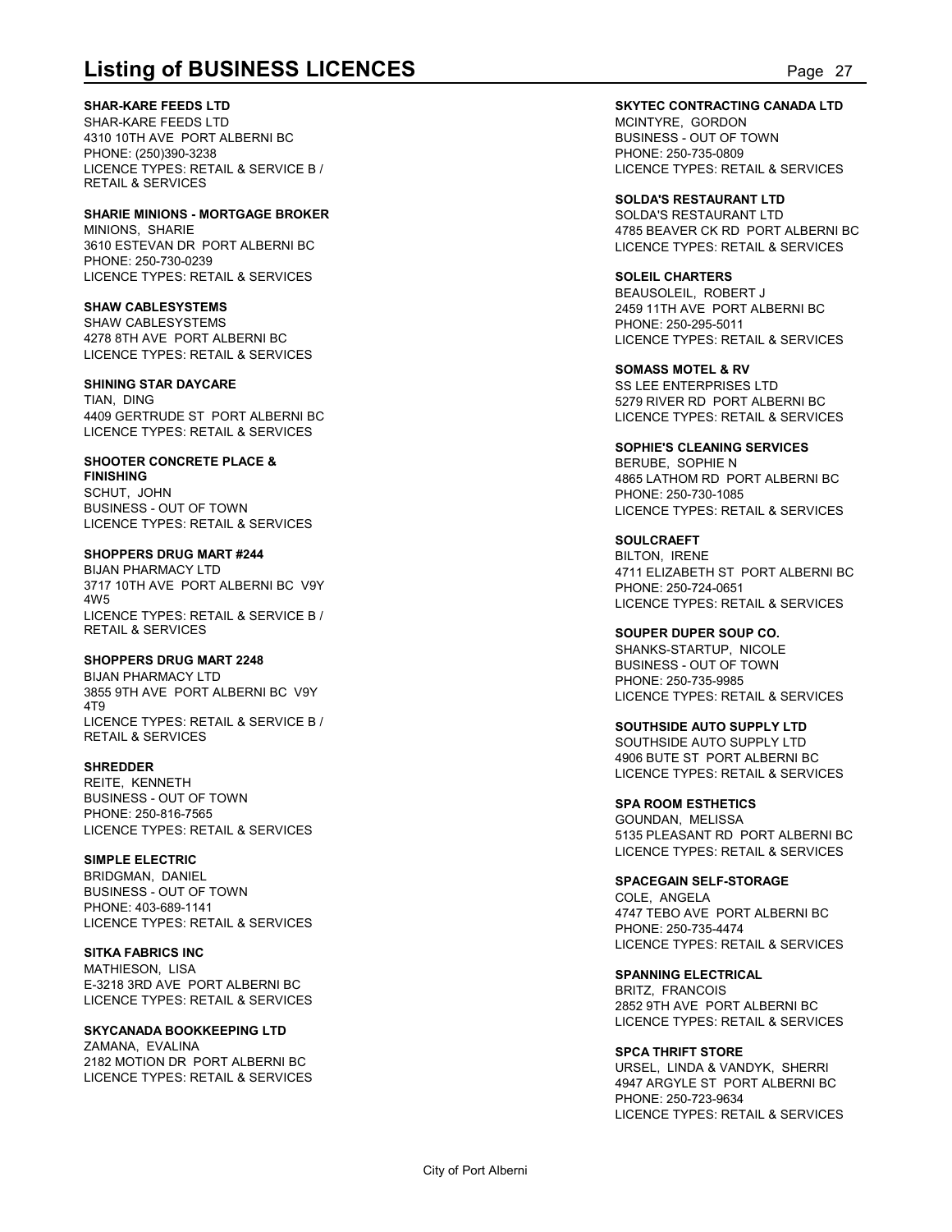**SHAR-KARE FEEDS LTD**

SHAR-KARE FEEDS LTD 4310 10TH AVE PORT ALBERNI BC PHONE: (250)390-3238 LICENCE TYPES: RETAIL & SERVICE B / RETAIL & SERVICES

**SHARIE MINIONS - MORTGAGE BROKER** MINIONS, SHARIE 3610 ESTEVAN DR PORT ALBERNI BC PHONE: 250-730-0239 LICENCE TYPES: RETAIL & SERVICES

**SHAW CABLESYSTEMS** SHAW CABLESYSTEMS 4278 8TH AVE PORT ALBERNI BC LICENCE TYPES: RETAIL & SERVICES

**SHINING STAR DAYCARE** TIAN, DING 4409 GERTRUDE ST PORT ALBERNI BC LICENCE TYPES: RETAIL & SERVICES

**SHOOTER CONCRETE PLACE & FINISHING** SCHUT, JOHN BUSINESS - OUT OF TOWN LICENCE TYPES: RETAIL & SERVICES

**SHOPPERS DRUG MART #244** BIJAN PHARMACY LTD

3717 10TH AVE PORT ALBERNI BC V9Y 4W5 LICENCE TYPES: RETAIL & SERVICE B / RETAIL & SERVICES

#### **SHOPPERS DRUG MART 2248**

BIJAN PHARMACY LTD 3855 9TH AVE PORT ALBERNI BC V9Y 4T9 LICENCE TYPES: RETAIL & SERVICE B / RETAIL & SERVICES

**SHREDDER** REITE KENNETH BUSINESS - OUT OF TOWN

PHONE: 250-816-7565 LICENCE TYPES: RETAIL & SERVICES

**SIMPLE ELECTRIC** BRIDGMAN, DANIEL BUSINESS - OUT OF TOWN PHONE: 403-689-1141 LICENCE TYPES: RETAIL & SERVICES

**SITKA FABRICS INC** MATHIESON, LISA E-3218 3RD AVE PORT ALBERNI BC LICENCE TYPES: RETAIL & SERVICES

**SKYCANADA BOOKKEEPING LTD** ZAMANA, EVALINA 2182 MOTION DR PORT ALBERNI BC LICENCE TYPES: RETAIL & SERVICES

**Listing of BUSINESS LICENCES**<br> **SHAR-KARE FEEDS LTD**<br>
SHAR-KARE FEEDS LTD<br>
SHAR-KARE FEEDS LTD<br>
PORT ALBERNI BC<br>
PORT ALBERNI BC<br>
PORT SESS - OUT OF TOWN<br>
PORT CENCE TYPES: RETAIL & SERVICE B /<br>
PORT CENCE TYPES: RETAIL & **SKYTEC CONTRACTING CANADA LTD** MCINTYRE, GORDON BUSINESS - OUT OF TOWN PHONE: 250-735-0809 LICENCE TYPES: RETAIL & SERVICES

> **SOLDA'S RESTAURANT LTD** SOLDA'S RESTAURANT LTD 4785 BEAVER CK RD PORT ALBERNI BC LICENCE TYPES: RETAIL & SERVICES

**SOLEIL CHARTERS** BEAUSOLEIL, ROBERT J 2459 11TH AVE PORT ALBERNI BC PHONE: 250-295-5011 LICENCE TYPES: RETAIL & SERVICES

**SOMASS MOTEL & RV** SS LEE ENTERPRISES LTD 5279 RIVER RD PORT ALBERNI BC LICENCE TYPES: RETAIL & SERVICES

**SOPHIE'S CLEANING SERVICES** BERUBE, SOPHIE N 4865 LATHOM RD PORT ALBERNI BC PHONE: 250-730-1085 LICENCE TYPES: RETAIL & SERVICES

**SOULCRAEFT** BILTON, IRENE 4711 ELIZABETH ST PORT ALBERNI BC PHONE: 250-724-0651 LICENCE TYPES: RETAIL & SERVICES

**SOUPER DUPER SOUP CO.** SHANKS-STARTUP, NICOLE BUSINESS - OUT OF TOWN PHONE: 250-735-9985 LICENCE TYPES: RETAIL & SERVICES

**SOUTHSIDE AUTO SUPPLY LTD** SOUTHSIDE AUTO SUPPLY LTD 4906 BUTE ST PORT ALBERNI BC LICENCE TYPES: RETAIL & SERVICES

**SPA ROOM ESTHETICS** GOUNDAN, MELISSA 5135 PLEASANT RD PORT ALBERNI BC LICENCE TYPES: RETAIL & SERVICES

**SPACEGAIN SELF-STORAGE** COLE, ANGELA 4747 TEBO AVE PORT ALBERNI BC PHONE: 250-735-4474 LICENCE TYPES: RETAIL & SERVICES

**SPANNING ELECTRICAL** BRITZ, FRANCOIS 2852 9TH AVE PORT ALBERNI BC LICENCE TYPES: RETAIL & SERVICES

**SPCA THRIFT STORE** URSEL, LINDA & VANDYK, SHERRI 4947 ARGYLE ST PORT ALBERNI BC PHONE: 250-723-9634 LICENCE TYPES: RETAIL & SERVICES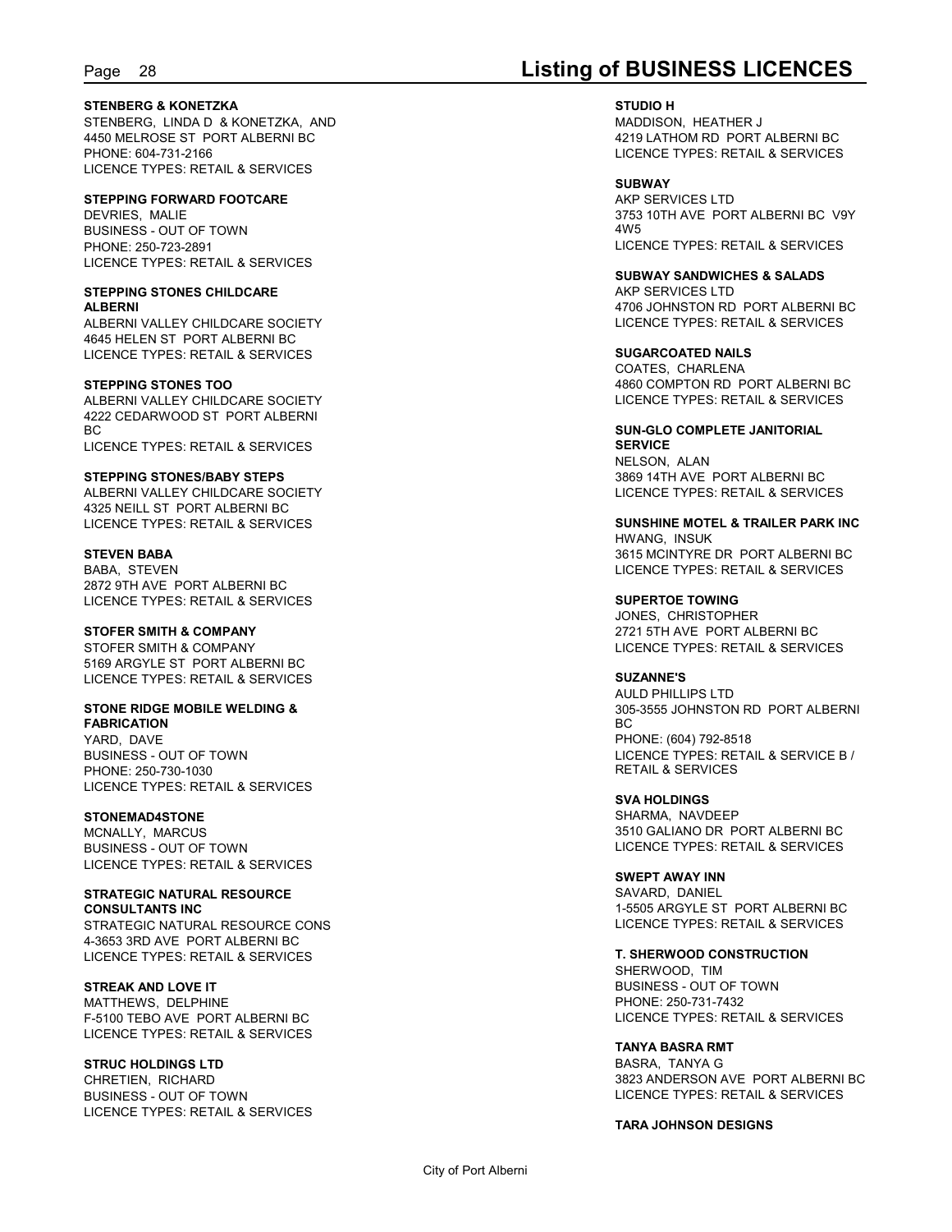### **STENBERG & KONETZKA**

STENBERG, LINDA D & KONETZKA, AND 4450 MELROSE ST PORT ALBERNI BC PHONE: 604-731-2166 LICENCE TYPES: RETAIL & SERVICES

#### **STEPPING FORWARD FOOTCARE**

DEVRIES, MALIE BUSINESS - OUT OF TOWN PHONE: 250-723-2891 LICENCE TYPES: RETAIL & SERVICES

#### **STEPPING STONES CHILDCARE ALBERNI**

ALBERNI VALLEY CHILDCARE SOCIETY 4645 HELEN ST PORT ALBERNI BC LICENCE TYPES: RETAIL & SERVICES

#### **STEPPING STONES TOO**

ALBERNI VALLEY CHILDCARE SOCIETY 4222 CEDARWOOD ST PORT ALBERNI BC and the state of the state of the state of the state of the state of the state of the state of the state of LICENCE TYPES: RETAIL & SERVICES

#### **STEPPING STONES/BABY STEPS**

ALBERNI VALLEY CHILDCARE SOCIETY 4325 NEILL ST PORT ALBERNI BC LICENCE TYPES: RETAIL & SERVICES

#### **STEVEN BABA**

BABA, STEVEN 2872 9TH AVE PORT ALBERNI BC LICENCE TYPES: RETAIL & SERVICES

#### **STOFER SMITH & COMPANY**

STOFER SMITH & COMPANY 5169 ARGYLE ST PORT ALBERNI BC LICENCE TYPES: RETAIL & SERVICES

#### **STONE RIDGE MOBILE WELDING & FABRICATION**

YARD, DAVE BUSINESS - OUT OF TOWN PHONE: 250-730-1030 LICENCE TYPES: RETAIL & SERVICES

#### **STONEMAD4STONE**

MCNALLY, MARCUS BUSINESS - OUT OF TOWN LICENCE TYPES: RETAIL & SERVICES

#### **STRATEGIC NATURAL RESOURCE CONSULTANTS INC**

STRATEGIC NATURAL RESOURCE CONS 4-3653 3RD AVE PORT ALBERNI BC LICENCE TYPES: RETAIL & SERVICES

### **STREAK AND LOVE IT**

MATTHEWS, DELPHINE F-5100 TEBO AVE PORT ALBERNI BC LICENCE TYPES: RETAIL & SERVICES

### **STRUC HOLDINGS LTD**

CHRETIEN, RICHARD BUSINESS - OUT OF TOWN LICENCE TYPES: RETAIL & SERVICES

## Page 28 **Listing of BUSINESS LICENCES**

#### **STUDIO H**

MADDISON, HEATHER J 4219 LATHOM RD PORT ALBERNI BC LICENCE TYPES: RETAIL & SERVICES

#### **SUBWAY**

AKP SERVICES LTD 3753 10TH AVE PORT ALBERNI BC V9Y 4W5 LICENCE TYPES: RETAIL & SERVICES

**SUBWAY SANDWICHES & SALADS** AKP SERVICES LTD 4706 JOHNSTON RD PORT ALBERNI BC LICENCE TYPES: RETAIL & SERVICES

#### **SUGARCOATED NAILS**

COATES, CHARLENA 4860 COMPTON RD PORT ALBERNI BC LICENCE TYPES: RETAIL & SERVICES

#### **SUN-GLO COMPLETE JANITORIAL SERVICE**

NELSON, ALAN 3869 14TH AVE PORT ALBERNI BC LICENCE TYPES: RETAIL & SERVICES

**SUNSHINE MOTEL & TRAILER PARK INC** HWANG, INSUK 3615 MCINTYRE DR PORT ALBERNI BC LICENCE TYPES: RETAIL & SERVICES

#### **SUPERTOE TOWING**

JONES, CHRISTOPHER 2721 5TH AVE PORT ALBERNI BC LICENCE TYPES: RETAIL & SERVICES

**SUZANNE'S** AULD PHILLIPS LTD 305-3555 JOHNSTON RD PORT ALBERNI BC and the state of the state of the state of the state of the state of the state of the state of the state of PHONE: (604) 792-8518 LICENCE TYPES: RETAIL & SERVICE B / RETAIL & SERVICES

**SVA HOLDINGS** SHARMA, NAVDEEP 3510 GALIANO DR PORT ALBERNI BC LICENCE TYPES: RETAIL & SERVICES

**SWEPT AWAY INN** SAVARD, DANIEL 1-5505 ARGYLE ST PORT ALBERNI BC LICENCE TYPES: RETAIL & SERVICES

**T. SHERWOOD CONSTRUCTION** SHERWOOD, TIM BUSINESS - OUT OF TOWN PHONE: 250-731-7432 LICENCE TYPES: RETAIL & SERVICES

#### **TANYA BASRA RMT**

BASRA, TANYA G 3823 ANDERSON AVE PORT ALBERNI BC LICENCE TYPES: RETAIL & SERVICES

#### **TARA JOHNSON DESIGNS**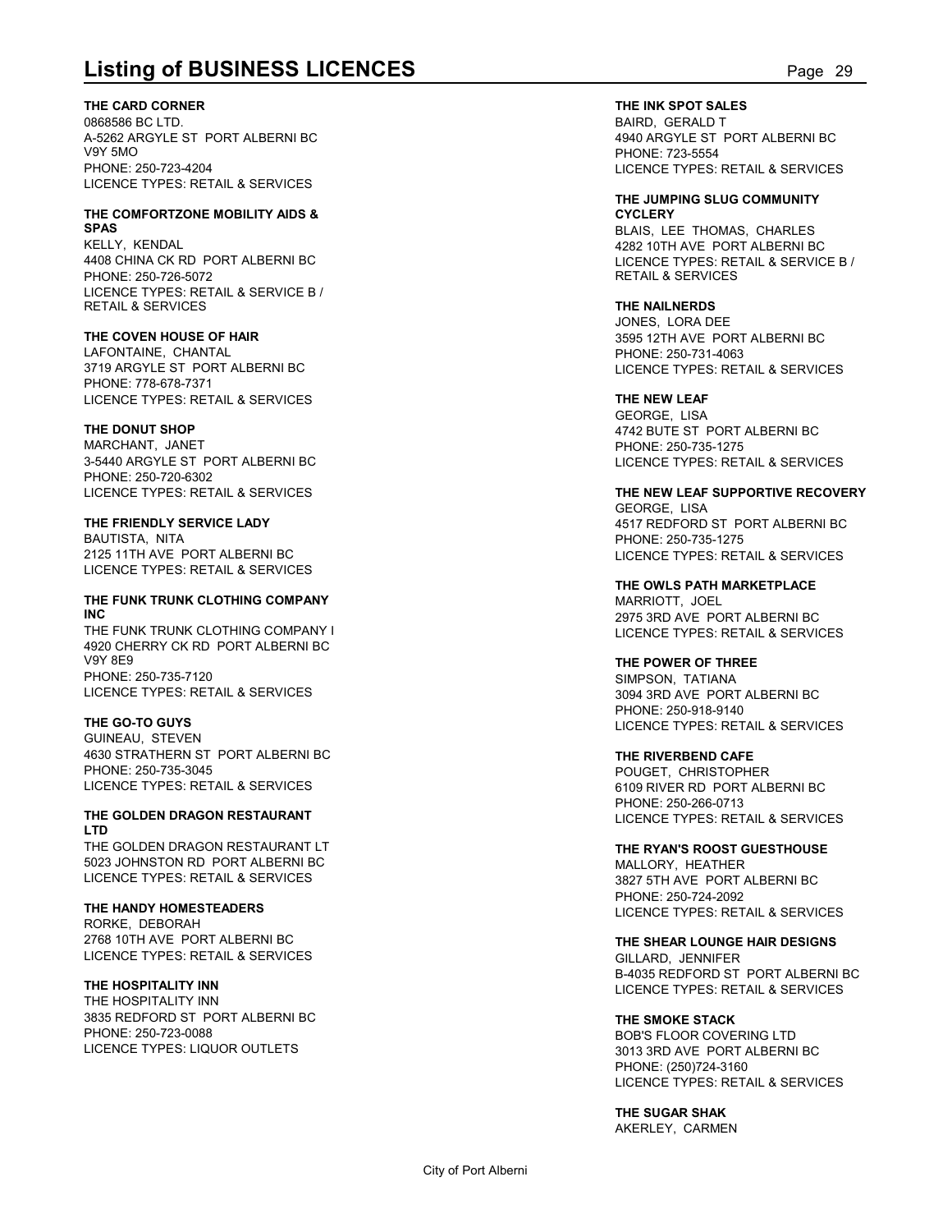**THE CARD CORNER**

0868586 BC LTD. A-5262 ARGYLE ST PORT ALBERNI BC V9Y 5MO PHONE: 250-723-4204 LICENCE TYPES: RETAIL & SERVICES

#### **THE COMFORTZONE MOBILITY AIDS & SPAS**

KELLY, KENDAL 4408 CHINA CK RD PORT ALBERNI BC PHONE: 250-726-5072 LICENCE TYPES: RETAIL & SERVICE B / RETAIL & SERVICES

#### **THE COVEN HOUSE OF HAIR**

LAFONTAINE, CHANTAL 3719 ARGYLE ST PORT ALBERNI BC PHONE: 778-678-7371 LICENCE TYPES: RETAIL & SERVICES

#### **THE DONUT SHOP**

MARCHANT, JANET 3-5440 ARGYLE ST PORT ALBERNI BC PHONE: 250-720-6302 LICENCE TYPES: RETAIL & SERVICES

### **THE FRIENDLY SERVICE LADY**

BAUTISTA, NITA 2125 11TH AVE PORT ALBERNI BC LICENCE TYPES: RETAIL & SERVICES

### **THE FUNK TRUNK CLOTHING COMPANY INC**

THE FUNK TRUNK CLOTHING COMPANY I 4920 CHERRY CK RD PORT ALBERNI BC V9Y 8E9 PHONE: 250-735-7120 LICENCE TYPES: RETAIL & SERVICES

### **THE GO-TO GUYS**

GUINEAU, STEVEN 4630 STRATHERN ST PORT ALBERNI BC PHONE: 250-735-3045 LICENCE TYPES: RETAIL & SERVICES

#### **THE GOLDEN DRAGON RESTAURANT LTD**

THE GOLDEN DRAGON RESTAURANT LT 5023 JOHNSTON RD PORT ALBERNI BC LICENCE TYPES: RETAIL & SERVICES

### **THE HANDY HOMESTEADERS**

RORKE, DEBORAH 2768 10TH AVE PORT ALBERNI BC LICENCE TYPES: RETAIL & SERVICES

### **THE HOSPITALITY INN**

THE HOSPITALITY INN 3835 REDFORD ST PORT ALBERNI BC PHONE: 250-723-0088 LICENCE TYPES: LIQUOR OUTLETS

**Listing of BUSINESS LICENCES**<br>
THE INK SPOT SALES<br>
DRESSES BC LTD.<br>
A-5262 ARGYLE ST PORT ALBERNI BC<br>
PHONE: 250-723-4204<br>
PHONE: 250-723-4204<br>
PHONE: 250-723-4204<br>
PHONE: 250-723-4204 **THE INK SPOT SALES** BAIRD, GERALD T 4940 ARGYLE ST PORT ALBERNI BC PHONE: 723-5554 LICENCE TYPES: RETAIL & SERVICES

#### **THE JUMPING SLUG COMMUNITY CYCLERY**

BLAIS, LEE THOMAS, CHARLES 4282 10TH AVE PORT ALBERNI BC LICENCE TYPES: RETAIL & SERVICE B / RETAIL & SERVICES

#### **THE NAILNERDS** JONES, LORA DEE

3595 12TH AVE PORT ALBERNI BC PHONE: 250-731-4063 LICENCE TYPES: RETAIL & SERVICES

### **THE NEW LEAF**

GEORGE, LISA 4742 BUTE ST PORT ALBERNI BC PHONE: 250-735-1275 LICENCE TYPES: RETAIL & SERVICES

### **THE NEW LEAF SUPPORTIVE RECOVERY**

GEORGE, LISA 4517 REDFORD ST PORT ALBERNI BC PHONE: 250-735-1275 LICENCE TYPES: RETAIL & SERVICES

**THE OWLS PATH MARKETPLACE** MARRIOTT, JOEL 2975 3RD AVE PORT ALBERNI BC LICENCE TYPES: RETAIL & SERVICES

### **THE POWER OF THREE**

SIMPSON, TATIANA 3094 3RD AVE PORT ALBERNI BC PHONE: 250-918-9140 LICENCE TYPES: RETAIL & SERVICES

#### **THE RIVERBEND CAFE**

POUGET, CHRISTOPHER 6109 RIVER RD PORT ALBERNI BC PHONE: 250-266-0713 LICENCE TYPES: RETAIL & SERVICES

#### **THE RYAN'S ROOST GUESTHOUSE** MALLORY, HEATHER 3827 5TH AVE PORT ALBERNI BC PHONE: 250-724-2092 LICENCE TYPES: RETAIL & SERVICES

**THE SHEAR LOUNGE HAIR DESIGNS** GILLARD, JENNIFER B-4035 REDFORD ST PORT ALBERNI BC LICENCE TYPES: RETAIL & SERVICES

#### **THE SMOKE STACK**

BOB'S FLOOR COVERING LTD 3013 3RD AVE PORT ALBERNI BC PHONE: (250)724-3160 LICENCE TYPES: RETAIL & SERVICES

**THE SUGAR SHAK** AKERLEY, CARMEN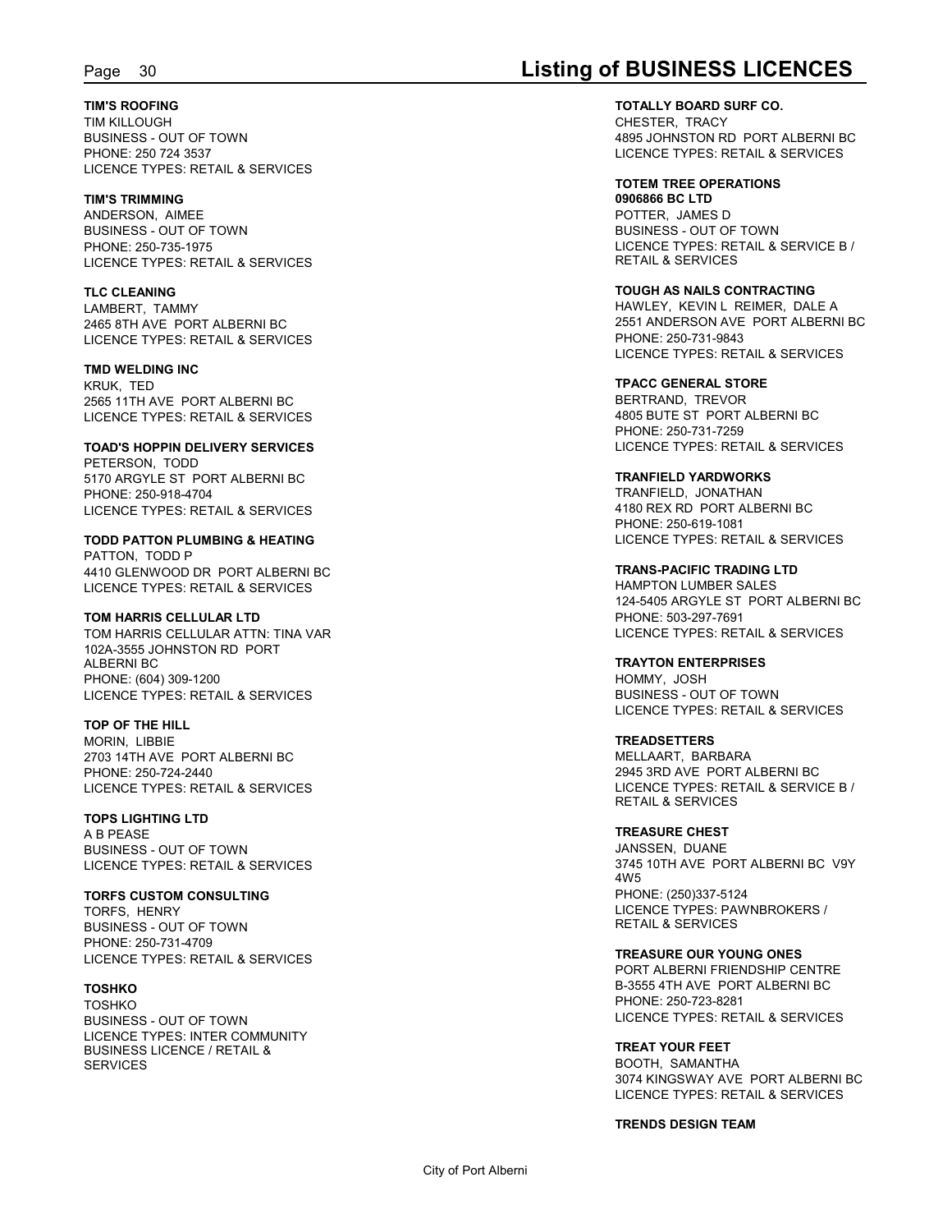#### **TIM'S ROOFING**

TIM KILLOUGH BUSINESS - OUT OF TOWN PHONE: 250 724 3537 LICENCE TYPES: RETAIL & SERVICES

#### **TIM'S TRIMMING**

ANDERSON, AIMEE BUSINESS - OUT OF TOWN PHONE: 250-735-1975 LICENCE TYPES: RETAIL & SERVICES

#### **TLC CLEANING**

LAMBERT, TAMMY 2465 8TH AVE PORT ALBERNI BC LICENCE TYPES: RETAIL & SERVICES

#### **TMD WELDING INC**

KRUK, TED 2565 11TH AVE PORT ALBERNI BC LICENCE TYPES: RETAIL & SERVICES

#### **TOAD'S HOPPIN DELIVERY SERVICES**

PETERSON, TODD 5170 ARGYLE ST PORT ALBERNI BC PHONE: 250-918-4704 LICENCE TYPES: RETAIL & SERVICES

#### **TODD PATTON PLUMBING & HEATING** PATTON, TODD P 4410 GLENWOOD DR PORT ALBERNI BC

LICENCE TYPES: RETAIL & SERVICES

### **TOM HARRIS CELLULAR LTD**

TOM HARRIS CELLULAR ATTN: TINA VAR 102A-3555 JOHNSTON RD PORT ALBERNI BC PHONE: (604) 309-1200 LICENCE TYPES: RETAIL & SERVICES

#### **TOP OF THE HILL**

MORIN, LIBBIE 2703 14TH AVE PORT ALBERNI BC PHONE: 250-724-2440 LICENCE TYPES: RETAIL & SERVICES

#### **TOPS LIGHTING LTD**

A B PEASE BUSINESS - OUT OF TOWN LICENCE TYPES: RETAIL & SERVICES<br>4W5

### **TORFS CUSTOM CONSULTING**

TORFS, HENRY BUSINESS - OUT OF TOWN PHONE: 250-731-4709 LICENCE TYPES: RETAIL & SERVICES

### **TOSHKO**

TOSHKO BUSINESS - OUT OF TOWN LICENCE TYPES: INTER COMMUNITY BUSINESS LICENCE / RETAIL & **SERVICES** 

## Page 30 **Listing of BUSINESS LICENCES**

**TOTALLY BOARD SURF CO.** CHESTER, TRACY 4895 JOHNSTON RD PORT ALBERNI BC LICENCE TYPES: RETAIL & SERVICES

### **TOTEM TREE OPERATIONS**

**0906866 BC LTD** POTTER, JAMES D BUSINESS - OUT OF TOWN LICENCE TYPES: RETAIL & SERVICE B / RETAIL & SERVICES

#### **TOUGH AS NAILS CONTRACTING**

HAWLEY, KEVIN L REIMER, DALE A 2551 ANDERSON AVE PORT ALBERNI BC PHONE: 250-731-9843 LICENCE TYPES: RETAIL & SERVICES

### **TPACC GENERAL STORE**

BERTRAND, TREVOR 4805 BUTE ST PORT ALBERNI BC PHONE: 250-731-7259 LICENCE TYPES: RETAIL & SERVICES

#### **TRANFIELD YARDWORKS**

TRANFIELD, JONATHAN 4180 REX RD PORT ALBERNI BC PHONE: 250-619-1081 LICENCE TYPES: RETAIL & SERVICES

**TRANS-PACIFIC TRADING LTD** HAMPTON LUMBER SALES 124-5405 ARGYLE ST PORT ALBERNI BC PHONE: 503-297-7691 LICENCE TYPES: RETAIL & SERVICES

#### **TRAYTON ENTERPRISES**

HOMMY, JOSH BUSINESS - OUT OF TOWN LICENCE TYPES: RETAIL & SERVICES

#### **TREADSETTERS** MELLAART, BARBARA 2945 3RD AVE PORT ALBERNI BC LICENCE TYPES: RETAIL & SERVICE B / RETAIL & SERVICES

#### **TREASURE CHEST**

JANSSEN, DUANE 3745 10TH AVE PORT ALBERNI BC V9Y 4W5 PHONE: (250)337-5124 LICENCE TYPES: PAWNBROKERS / RETAIL & SERVICES

#### **TREASURE OUR YOUNG ONES**

PORT ALBERNI FRIENDSHIP CENTRE B-3555 4TH AVE PORT ALBERNI BC PHONE: 250-723-8281 LICENCE TYPES: RETAIL & SERVICES

#### **TREAT YOUR FEET**

BOOTH, SAMANTHA 3074 KINGSWAY AVE PORT ALBERNI BC LICENCE TYPES: RETAIL & SERVICES

#### **TRENDS DESIGN TEAM**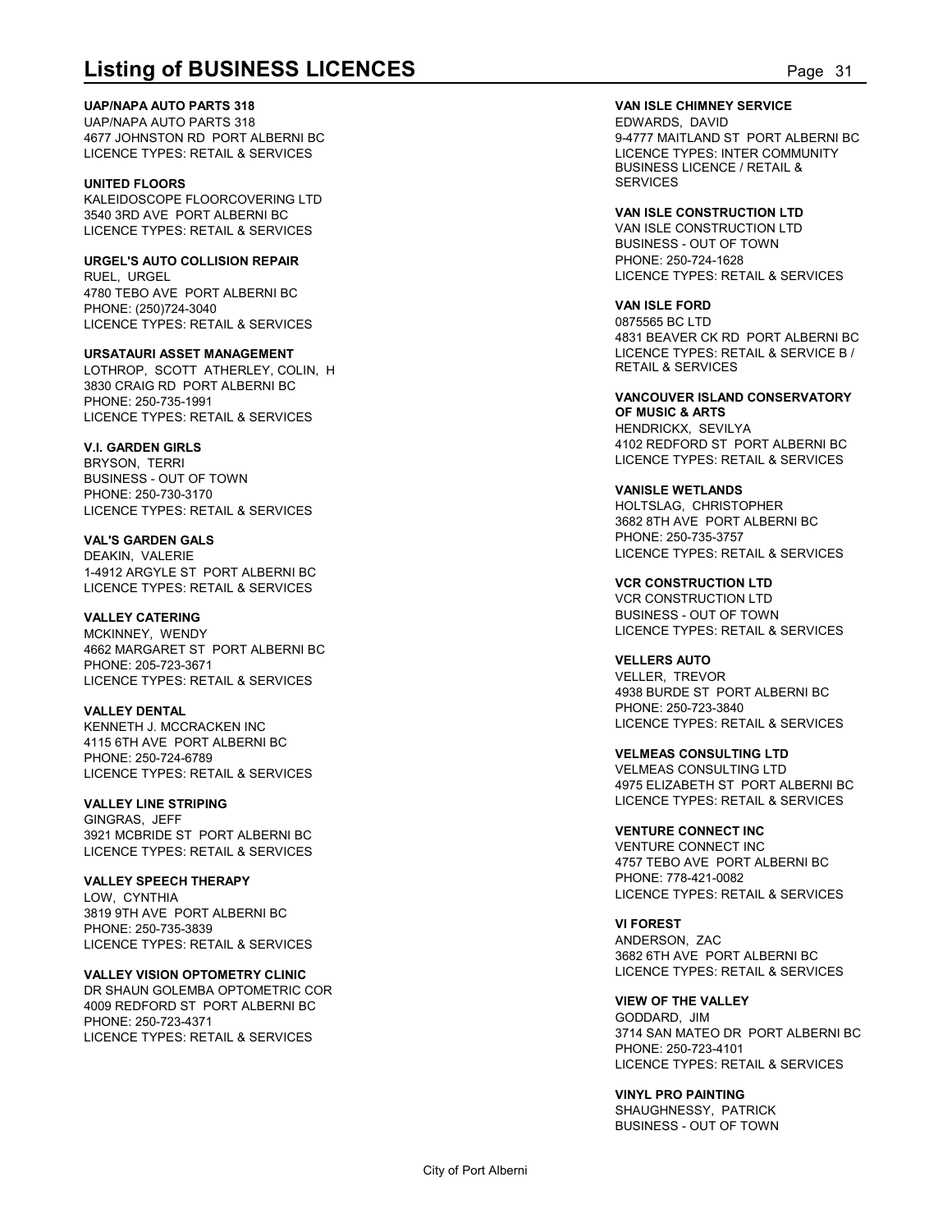**UAP/NAPA AUTO PARTS 318**

UAP/NAPA AUTO PARTS 318 4677 JOHNSTON RD PORT ALBERNI BC LICENCE TYPES: RETAIL & SERVICES

**UNITED FLOORS** KALEIDOSCOPE FLOORCOVERING LTD 3540 3RD AVE PORT ALBERNI BC LICENCE TYPES: RETAIL & SERVICES

**URGEL'S AUTO COLLISION REPAIR** RUEL, URGEL 4780 TEBO AVE PORT ALBERNI BC PHONE: (250)724-3040 LICENCE TYPES: RETAIL & SERVICES

**URSATAURI ASSET MANAGEMENT** LOTHROP, SCOTT ATHERLEY, COLIN, H 3830 CRAIG RD PORT ALBERNI BC PHONE: 250-735-1991 LICENCE TYPES: RETAIL & SERVICES

**V.I. GARDEN GIRLS** BRYSON, TERRI BUSINESS - OUT OF TOWN PHONE: 250-730-3170 LICENCE TYPES: RETAIL & SERVICES

**VAL'S GARDEN GALS** DEAKIN, VALERIE 1-4912 ARGYLE ST PORT ALBERNI BC LICENCE TYPES: RETAIL & SERVICES

**VALLEY CATERING** MCKINNEY, WENDY 4662 MARGARET ST PORT ALBERNI BC PHONE: 205-723-3671 LICENCE TYPES: RETAIL & SERVICES

**VALLEY DENTAL** KENNETH J. MCCRACKEN INC 4115 6TH AVE PORT ALBERNI BC PHONE: 250-724-6789 LICENCE TYPES: RETAIL & SERVICES

**VALLEY LINE STRIPING** GINGRAS, JEFF 3921 MCBRIDE ST PORT ALBERNI BC LICENCE TYPES: RETAIL & SERVICES

**VALLEY SPEECH THERAPY** LOW, CYNTHIA 3819 9TH AVE PORT ALBERNI BC PHONE: 250-735-3839 LICENCE TYPES: RETAIL & SERVICES

**VALLEY VISION OPTOMETRY CLINIC** DR SHAUN GOLEMBA OPTOMETRIC COR 4009 REDFORD ST PORT ALBERNI BC PHONE: 250-723-4371 LICENCE TYPES: RETAIL & SERVICES

**Listing of BUSINESS LICENCES**<br>
UAPINAPA AUTO PARTS 318<br>
UAPINAPA AUTO PARTS 318<br>
UAPINAPA AUTO PARTS 318<br>
EDWARDS, DAVID<br>
DENCE TYPES: INTERNATION BORT ALBERNI BC<br>
LICENCE TYPES: INTER COMMUNITY<br>
BUSINESS LICENCE TYPES: I **VAN ISLE CHIMNEY SERVICE** EDWARDS, DAVID 9-4777 MAITLAND ST PORT ALBERNI BC LICENCE TYPES: INTER COMMUNITY BUSINESS LICENCE / RETAIL & **SERVICES** 

> **VAN ISLE CONSTRUCTION LTD** VAN ISLE CONSTRUCTION LTD BUSINESS - OUT OF TOWN PHONE: 250-724-1628 LICENCE TYPES: RETAIL & SERVICES

**VAN ISLE FORD** 0875565 BC LTD 4831 BEAVER CK RD PORT ALBERNI BC LICENCE TYPES: RETAIL & SERVICE B / RETAIL & SERVICES

**VANCOUVER ISLAND CONSERVATORY OF MUSIC & ARTS** HENDRICKX, SEVILYA 4102 REDFORD ST PORT ALBERNI BC LICENCE TYPES: RETAIL & SERVICES

**VANISLE WETLANDS** HOLTSLAG, CHRISTOPHER 3682 8TH AVE PORT ALBERNI BC PHONE: 250-735-3757 LICENCE TYPES: RETAIL & SERVICES

**VCR CONSTRUCTION LTD** VCR CONSTRUCTION LTD BUSINESS - OUT OF TOWN LICENCE TYPES: RETAIL & SERVICES

**VELLERS AUTO** VELLER, TREVOR 4938 BURDE ST PORT ALBERNI BC PHONE: 250-723-3840 LICENCE TYPES: RETAIL & SERVICES

**VELMEAS CONSULTING LTD** VELMEAS CONSULTING LTD 4975 ELIZABETH ST PORT ALBERNI BC LICENCE TYPES: RETAIL & SERVICES

**VENTURE CONNECT INC** VENTURE CONNECT INC 4757 TEBO AVE PORT ALBERNI BC PHONE: 778-421-0082 LICENCE TYPES: RETAIL & SERVICES

**VI FOREST** ANDERSON, ZAC 3682 6TH AVE PORT ALBERNI BC LICENCE TYPES: RETAIL & SERVICES

**VIEW OF THE VALLEY** GODDARD, JIM 3714 SAN MATEO DR PORT ALBERNI BC PHONE: 250-723-4101 LICENCE TYPES: RETAIL & SERVICES

**VINYL PRO PAINTING** SHAUGHNESSY, PATRICK BUSINESS - OUT OF TOWN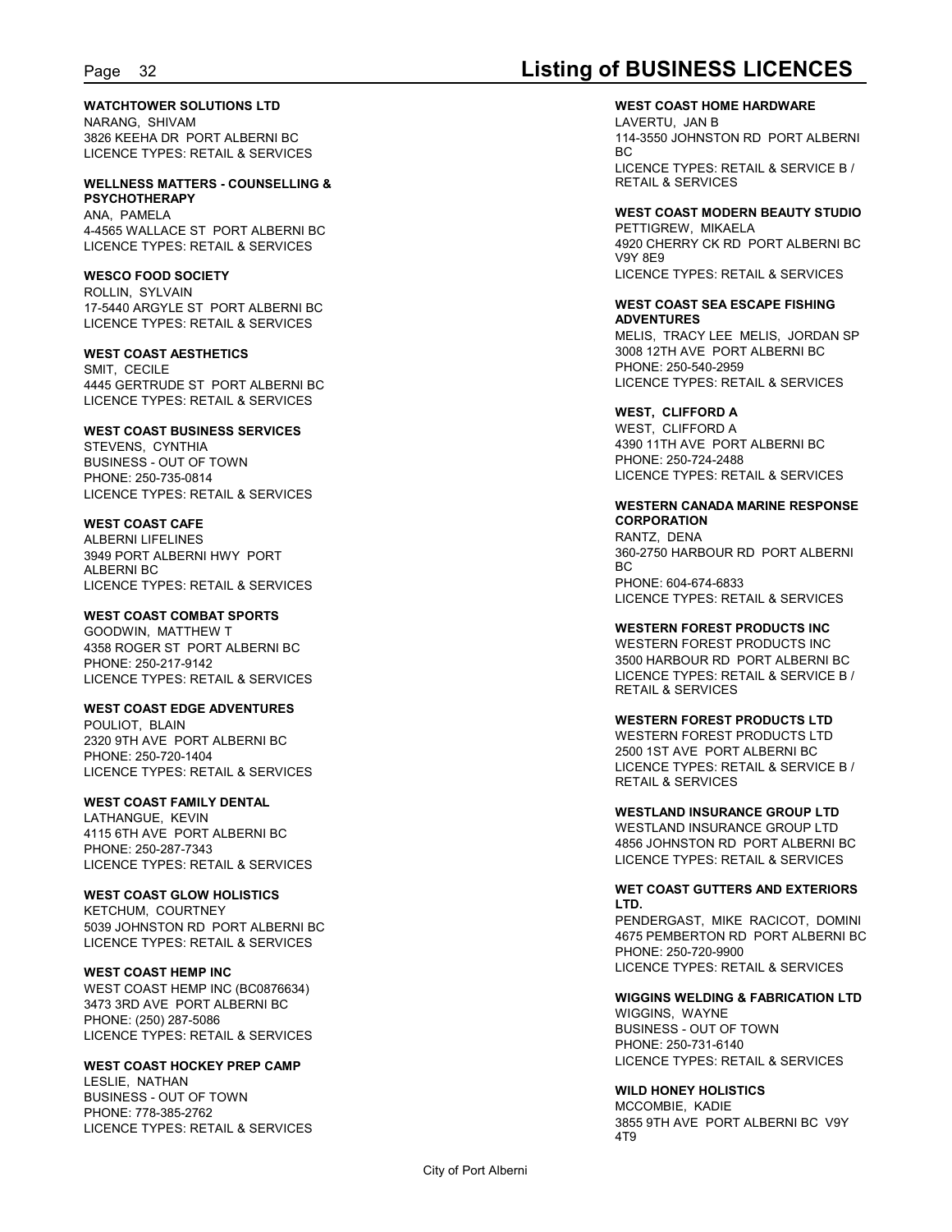### **WATCHTOWER SOLUTIONS LTD**

NARANG, SHIVAM 3826 KEEHA DR PORT ALBERNI BC<br>LICENCE TYPES: RETAIL & SERVICES LICENCE TYPES: RETAIL & SERVICES

#### **WELLNESS MATTERS - COUNSELLING & PSYCHOTHERAPY**

ANA, PAMELA 4-4565 WALLACE ST PORT ALBERNI BC LICENCE TYPES: RETAIL & SERVICES

#### **WESCO FOOD SOCIETY**

ROLLIN, SYLVAIN 17-5440 ARGYLE ST PORT ALBERNI BC LICENCE TYPES: RETAIL & SERVICES

#### **WEST COAST AESTHETICS**

SMIT, CECILE 4445 GERTRUDE ST PORT ALBERNI BC LICENCE TYPES: RETAIL & SERVICES

#### **WEST COAST BUSINESS SERVICES**

STEVENS, CYNTHIA BUSINESS - OUT OF TOWN PHONE: 250-735-0814 LICENCE TYPES: RETAIL & SERVICES

### **WEST COAST CAFE**

ALBERNI LIFELINES 3949 PORT ALBERNI HWY PORT ALBERNI BC LICENCE TYPES: RETAIL & SERVICES

### **WEST COAST COMBAT SPORTS**

GOODWIN, MATTHEW T 4358 ROGER ST PORT ALBERNI BC PHONE: 250-217-9142 LICENCE TYPES: RETAIL & SERVICES

#### **WEST COAST EDGE ADVENTURES**

POULIOT, BLAIN 2320 9TH AVE PORT ALBERNI BC PHONE: 250-720-1404 LICENCE TYPES: RETAIL & SERVICES

### **WEST COAST FAMILY DENTAL**

LATHANGUE, KEVIN 4115 6TH AVE PORT ALBERNI BC PHONE: 250-287-7343 LICENCE TYPES: RETAIL & SERVICES

#### **WEST COAST GLOW HOLISTICS** KETCHUM, COURTNEY

5039 JOHNSTON RD PORT ALBERNI BC LICENCE TYPES: RETAIL & SERVICES

### **WEST COAST HEMP INC**

WEST COAST HEMP INC (BC0876634) 3473 3RD AVE PORT ALBERNI BC PHONE: (250) 287-5086 LICENCE TYPES: RETAIL & SERVICES

### **WEST COAST HOCKEY PREP CAMP**

LESLIE, NATHAN BUSINESS - OUT OF TOWN PHONE: 778-385-2762 LICENCE TYPES: RETAIL & SERVICES<br>4T9

## Page 32 **Listing of BUSINESS LICENCES**

**WEST COAST HOME HARDWARE** LAVERTU, JAN B 114-3550 JOHNSTON RD PORT ALBERNI BC and the state of the state of the state of the state of the state of the state of the state of the state of LICENCE TYPES: RETAIL & SERVICE B / RETAIL & SERVICES

### **WEST COAST MODERN BEAUTY STUDIO**

PETTIGREW, MIKAELA 4920 CHERRY CK RD PORT ALBERNI BC V9Y 8E9 LICENCE TYPES: RETAIL & SERVICES

#### **WEST COAST SEA ESCAPE FISHING ADVENTURES**

MELIS, TRACY LEE MELIS, JORDAN SP 3008 12TH AVE PORT ALBERNI BC PHONE: 250-540-2959 LICENCE TYPES: RETAIL & SERVICES

### **WEST, CLIFFORD A**

WEST, CLIFFORD A 4390 11TH AVE PORT ALBERNI BC PHONE: 250-724-2488 LICENCE TYPES: RETAIL & SERVICES

#### **WESTERN CANADA MARINE RESPONSE CORPORATION**

RANTZ, DENA 360-2750 HARBOUR RD PORT ALBERNI BC and the state of the state of the state of the state of the state of the state of the state of the state of PHONE: 604-674-6833 LICENCE TYPES: RETAIL & SERVICES

#### **WESTERN FOREST PRODUCTS INC**

WESTERN FOREST PRODUCTS INC 3500 HARBOUR RD PORT ALBERNI BC LICENCE TYPES: RETAIL & SERVICE B / RETAIL & SERVICES

#### **WESTERN FOREST PRODUCTS LTD**

WESTERN FOREST PRODUCTS LTD 2500 1ST AVE PORT ALBERNI BC LICENCE TYPES: RETAIL & SERVICE B / RETAIL & SERVICES

#### **WESTLAND INSURANCE GROUP LTD**

WESTLAND INSURANCE GROUP LTD 4856 JOHNSTON RD PORT ALBERNI BC LICENCE TYPES: RETAIL & SERVICES

#### **WET COAST GUTTERS AND EXTERIORS LTD.**

PENDERGAST, MIKE RACICOT, DOMINI 4675 PEMBERTON RD PORT ALBERNI BC PHONE: 250-720-9900 LICENCE TYPES: RETAIL & SERVICES

#### **WIGGINS WELDING & FABRICATION LTD** WIGGINS, WAYNE BUSINESS - OUT OF TOWN PHONE: 250-731-6140 LICENCE TYPES: RETAIL & SERVICES

#### **WILD HONEY HOLISTICS**

MCCOMBIE, KADIE 3855 9TH AVE PORT ALBERNI BC V9Y 4T9